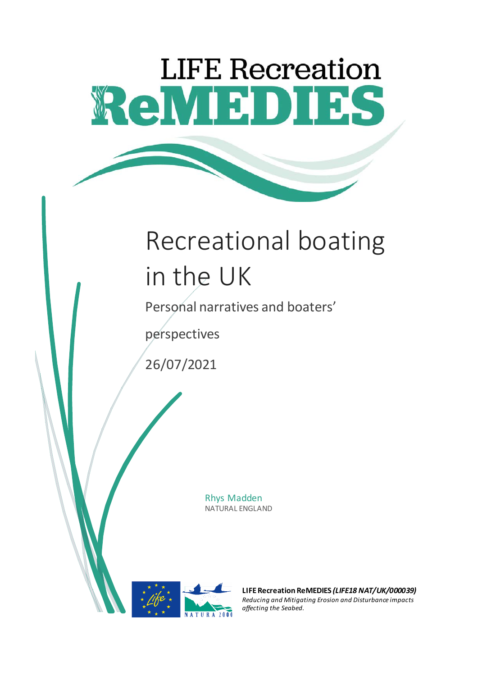# **LIFE Recreation** ReMEDIES

# Recreational boating in the UK

Personal narratives and boaters'

perspectives

26/07/2021

Rhys Madden NATURAL ENGLAND



**LIFE Recreation ReMEDIES** *(LIFE18 NAT/UK/000039) Reducing and Mitigating Erosion and Disturbance impacts affecting the Seabed.*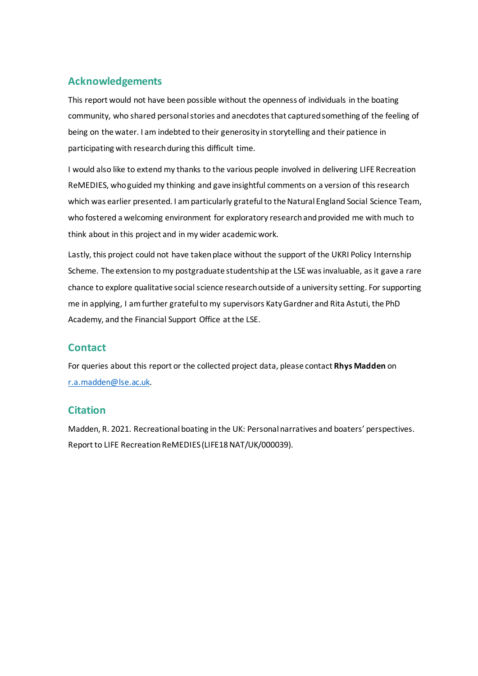## **Acknowledgements**

This report would not have been possible without the openness of individuals in the boating community, who shared personal stories and anecdotes that capturedsomething of the feeling of being on the water. I am indebted to their generosity in storytelling and their patience in participating with research during this difficult time.

I would also like to extend my thanks to the various people involved in delivering LIFE Recreation ReMEDIES, who guided my thinking and gave insightful comments on a version of this research which was earlier presented. I am particularly grateful to the Natural England Social Science Team, who fostered a welcoming environment for exploratory research and provided me with much to think about in this project and in my wider academic work.

Lastly, this project could not have taken place without the support of the UKRI Policy Internship Scheme. The extension to my postgraduate studentship at the LSE was invaluable, as it gave a rare chance to explore qualitative social science research outside of a university setting. For supporting me in applying, I am further grateful to my supervisors Katy Gardner and Rita Astuti, the PhD Academy, and the Financial Support Office at the LSE.

### **Contact**

For queries about this report or the collected project data, please contact **Rhys Madden** on [r.a.madden@lse.ac.uk.](mailto:r.a.madden@lse.ac.uk)

#### **Citation**

Madden, R. 2021. Recreational boating in the UK: Personal narratives and boaters' perspectives. Report to LIFE Recreation ReMEDIES (LIFE18 NAT/UK/000039).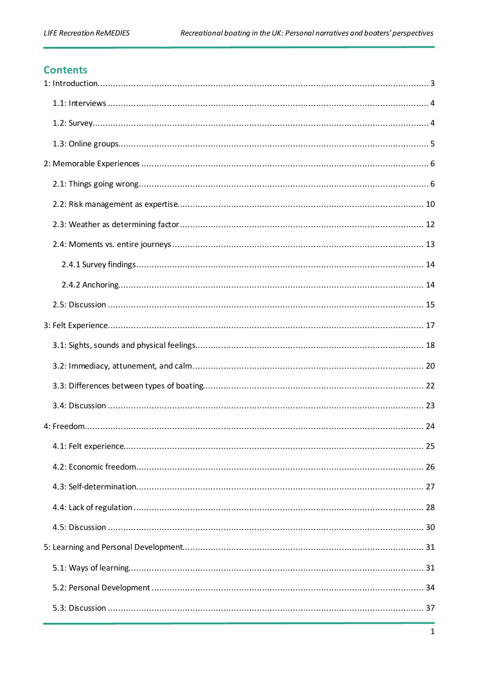# **Contents**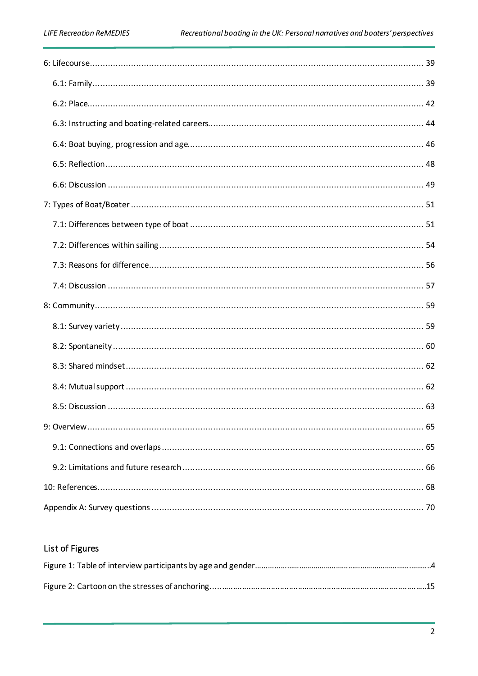# List of Figures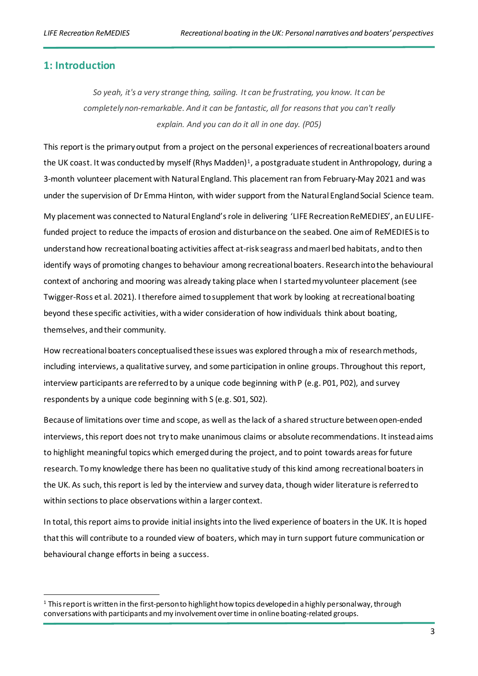#### <span id="page-4-0"></span>**1: Introduction**

*So yeah, it's a very strange thing, sailing. It can be frustrating, you know. It can be completely non-remarkable. And it can be fantastic, all for reasons that you can't really explain. And you can do it all in one day. (P05)*

This report is the primary output from a project on the personal experiences of recreational boaters around the UK coast. It was conducted by myself (Rhys Madden)<sup>[1](#page-4-1)</sup>, a postgraduate student in Anthropology, during a 3-month volunteer placement with Natural England. This placement ran from February-May 2021 and was under the supervision of Dr Emma Hinton, with wider support from the Natural England Social Science team. My placement was connected to Natural England's role in delivering 'LIFE Recreation ReMEDIES', an EU LIFEfunded project to reduce the impacts of erosion and disturbance on the seabed. One aim of ReMEDIES is to understand how recreational boating activities affect at-risk seagrass and maerl bed habitats, and to then identify ways of promoting changes to behaviour among recreational boaters. Research into the behavioural context of anchoring and mooring was already taking place when I started my volunteer placement (see Twigger-Ross et al. 2021). I therefore aimed to supplement that work by looking at recreational boating beyond these specific activities, with a wider consideration of how individuals think about boating, themselves, and their community.

How recreational boaters conceptualised these issues was explored through a mix of research methods, including interviews, a qualitative survey, and some participation in online groups. Throughout this report, interview participants are referred to by a unique code beginning with P (e.g. P01, P02), and survey respondents by a unique code beginning with S (e.g. S01, S02).

Because of limitations over time and scope, as well as the lack of a shared structure between open-ended interviews, this report does not try to make unanimous claims or absolute recommendations. It instead aims to highlight meaningful topics which emerged during the project, and to point towards areas for future research. To my knowledge there has been no qualitative study of this kind among recreational boaters in the UK. As such, this report is led by the interview and survey data, though wider literature is referred to within sections to place observations within a larger context.

In total, this report aims to provide initial insights into the lived experience of boaters in the UK. It is hoped that this will contribute to a rounded view of boaters, which may in turn support future communication or behavioural change efforts in being a success.

<span id="page-4-1"></span> $1$  This report is written in the first-person to highlight how topics developed in a highly personal way, through conversations with participants and my involvement over time in online boating-related groups.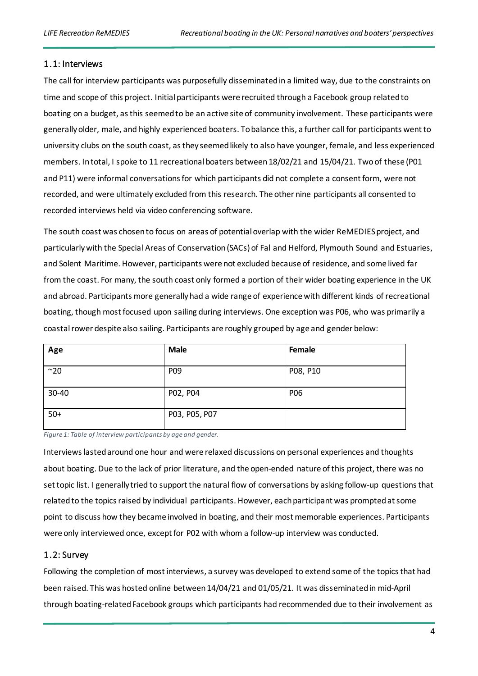#### <span id="page-5-0"></span>1.1: Interviews

The call for interview participants was purposefully disseminated in a limited way, due to the constraints on time and scope of this project. Initial participants were recruited through a Facebook group related to boating on a budget, as this seemed to be an active site of community involvement. These participants were generallyolder, male, and highly experienced boaters. To balance this, a further call for participants went to university clubs on the south coast, as they seemedlikely to also have younger, female, and less experienced members. In total, I spoke to 11 recreational boaters between 18/02/21 and 15/04/21. Two of these (P01 and P11) were informal conversations for which participants did not complete a consent form, were not recorded, and were ultimately excluded from this research. The other nine participants all consented to recorded interviews held via video conferencing software.

The south coast was chosen to focus on areas of potential overlap with the wider ReMEDIES project, and particularly with the Special Areas of Conservation (SACs) of Fal and Helford, Plymouth Sound and Estuaries, and Solent Maritime. However, participants were not excluded because of residence, and some lived far from the coast. For many, the south coast only formed a portion of their wider boating experience in the UK and abroad. Participants more generally had a wide range of experience with different kinds of recreational boating, though most focused upon sailing during interviews. One exception was P06, who was primarily a coastal rower despite also sailing. Participants are roughly grouped by age and gender below:

| Age           | <b>Male</b>     | Female   |
|---------------|-----------------|----------|
| $~^{\sim}$ 20 | P <sub>09</sub> | P08, P10 |
| 30-40         | P02, P04        | P06      |
| $50+$         | P03, P05, P07   |          |

*Figure 1: Table of interview participants by age and gender.* 

Interviews lasted around one hour and were relaxed discussions on personal experiences and thoughts about boating. Due to the lack of prior literature, and the open-ended nature of this project, there was no set topic list. I generally tried to support the natural flow of conversations by asking follow-up questions that related to the topics raised by individual participants. However, each participant was prompted at some point to discuss how they became involved in boating, and their most memorable experiences. Participants were only interviewed once, except for P02 with whom a follow-up interview was conducted.

#### <span id="page-5-1"></span>1.2: Survey

Following the completion of most interviews, a survey was developed to extend some of the topics that had been raised. This was hosted online between 14/04/21 and 01/05/21. It was disseminatedin mid-April through boating-related Facebook groups which participants had recommended due to their involvement as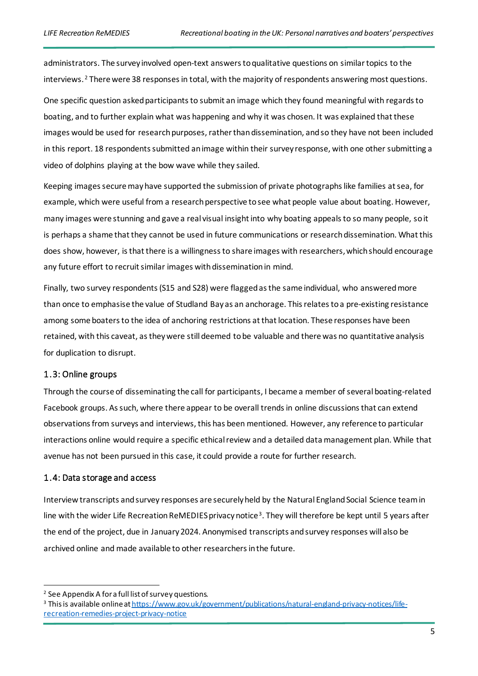administrators. The survey involved open-text answers to qualitative questions on similar topics to the interviews. [2](#page-6-1) There were 38 responsesin total, with the majority of respondents answering most questions.

One specific question asked participants to submit an image which they found meaningful with regards to boating, and to further explain what was happening and why it was chosen. It was explained that these images would be used for research purposes, rather than dissemination, and so they have not been included in this report. 18 respondents submitted an image within their survey response, with one other submitting a video of dolphins playing at the bow wave while they sailed.

Keeping images secure may have supported the submission of private photographslike families at sea, for example, which were useful from a research perspective to see what people value about boating. However, many images were stunning and gave a real visual insight into why boating appeals to so many people, so it is perhaps a shame that they cannot be used in future communications or research dissemination. What this does show, however, is that there is a willingness to share images with researchers, which should encourage any future effort to recruit similar images with dissemination in mind.

Finally, two survey respondents (S15 and S28) were flagged as the same individual, who answered more than once to emphasise the value of Studland Bay as an anchorage. This relates to a pre-existing resistance among some boaters to the idea of anchoring restrictions at that location. These responses have been retained, with this caveat, as they were still deemed to be valuable and there was no quantitative analysis for duplication to disrupt.

#### <span id="page-6-0"></span>1.3: Online groups

Through the course of disseminating the call for participants, I became a member ofseveral boating-related Facebook groups. As such, where there appear to be overall trends in online discussions that can extend observations from surveys and interviews, this has been mentioned. However, any reference to particular interactions online would require a specific ethical review and a detailed data management plan. While that avenue has not been pursued in this case, it could provide a route for further research.

#### 1.4: Data storage and access

Interview transcripts and survey responses are securely held by the Natural England Social Science teamin line with the wider Life Recreation ReMEDIES privacy notice<sup>[3](#page-6-2)</sup>. They will therefore be kept until 5 years after the end of the project, due in January 2024. Anonymised transcripts and survey responses will also be archived online and made available to other researchers in the future.

<span id="page-6-2"></span><span id="page-6-1"></span><sup>&</sup>lt;sup>2</sup> See Appendix A for a full list of survey questions.<br><sup>3</sup> This is available online a[t https://www.gov.uk/government/publications/natural-england-privacy-notices/life](https://www.gov.uk/government/publications/natural-england-privacy-notices/life-recreation-remedies-project-privacy-notice)[recreation-remedies-project-privacy-notice](https://www.gov.uk/government/publications/natural-england-privacy-notices/life-recreation-remedies-project-privacy-notice)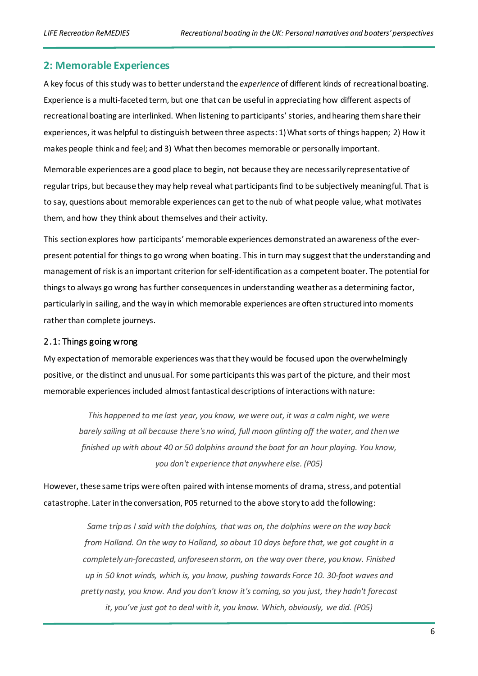#### <span id="page-7-0"></span>**2: Memorable Experiences**

A key focus of this study was to better understand the *experience* of different kinds of recreational boating. Experience is a multi-faceted term, but one that can be useful in appreciating how different aspects of recreational boating are interlinked. When listening to participants' stories, and hearing them share their experiences, it was helpful to distinguish between three aspects: 1) What sorts of things happen; 2) How it makes people think and feel; and 3) What then becomes memorable or personally important.

Memorable experiences are a good place to begin, not because they are necessarily representative of regular trips, but because they may help reveal what participants find to be subjectively meaningful. That is to say, questions about memorable experiences can get to the nub of what people value, what motivates them, and how they think about themselves and their activity.

This section explores how participants' memorable experiences demonstrated an awareness of the everpresent potential for things to go wrong when boating. This in turn may suggest that the understanding and management of risk is an important criterion for self-identification as a competent boater. The potential for things to always go wrong has further consequences in understanding weather as a determining factor, particularly in sailing, and the way in which memorable experiences are often structured into moments rather than complete journeys.

#### <span id="page-7-1"></span>2.1: Things going wrong

My expectation of memorable experiences was that they would be focused upon the overwhelmingly positive, or the distinct and unusual. For some participants this was part of the picture, and their most memorable experiences included almost fantastical descriptions of interactions with nature:

*This happened to me last year, you know, we were out, it was a calm night, we were barely sailing at all because there's no wind, full moon glinting off the water, and then we finished up with about 40 or 50 dolphins around the boat for an hour playing. You know, you don't experience that anywhere else. (P05)*

However, these same trips were often paired with intense moments of drama, stress, and potential catastrophe. Later in the conversation, P05 returned to the above story to add the following:

> *Same trip as I said with the dolphins, that was on, the dolphins were on the way back from Holland. On the way to Holland, so about 10 days before that, we got caught in a completely un-forecasted, unforeseen storm, on the way over there, you know. Finished up in 50 knot winds, which is, you know, pushing towards Force 10. 30-foot waves and pretty nasty, you know. And you don't know it's coming, so you just, they hadn't forecast it, you've just got to deal with it, you know. Which, obviously, we did. (P05)*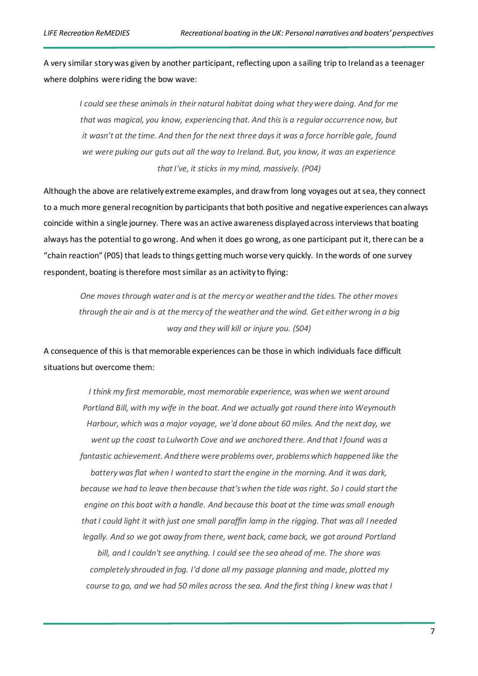A very similar story was given by another participant, reflecting upon a sailing trip to Ireland as a teenager where dolphins were riding the bow wave:

*I could see these animals in their natural habitat doing what they were doing. And for me that was magical, you know, experiencing that. And this is a regular occurrence now, but it wasn't at the time. And then for the next three days it was a force horrible gale, found we were puking our guts out all the way to Ireland. But, you know, it was an experience thatI've, it sticks in my mind, massively. (P04)*

Although the above are relatively extreme examples, and draw from long voyages out at sea, they connect to a much more general recognition by participants that both positive and negative experiences can always coincide within a single journey. There was an active awareness displayed across interviews that boating always has the potential to go wrong. And when it does go wrong, as one participant put it, there can be a "chain reaction" (P05) that leads to things getting much worse very quickly. In the words of one survey respondent, boating is therefore most similar as an activity to flying:

*One moves through water and is at the mercy or weather and the tides. The other moves through the air and is at the mercy of the weather and the wind. Get either wrong in a big way and they will kill or injure you. (S04)*

A consequence of this is that memorable experiences can be those in which individuals face difficult situations but overcome them:

> *I think my first memorable, most memorable experience, was when we went around Portland Bill, with my wife in the boat. And we actually got round there into Weymouth Harbour, which was a major voyage, we'd done about 60 miles. And the next day, we went up the coast to Lulworth Cove and we anchored there. And that I found was a*  fantastic achievement. And there were problems over, problems which happened like the *battery was flat when I wanted to start the engine in the morning. And it was dark, because we had to leave then because that's when the tide was right. So I could start the engine on this boat with a handle. And because this boat at the time was small enough that I could light it with just one small paraffin lamp in the rigging. That was all I needed legally. And so we got away from there, went back, came back, we got around Portland bill, and I couldn't see anything. I could see the sea ahead of me. The shore was completely shrouded in fog. I'd done all my passage planning and made, plotted my*

*course to go, and we had 50 miles across the sea. And the first thing I knew was that I*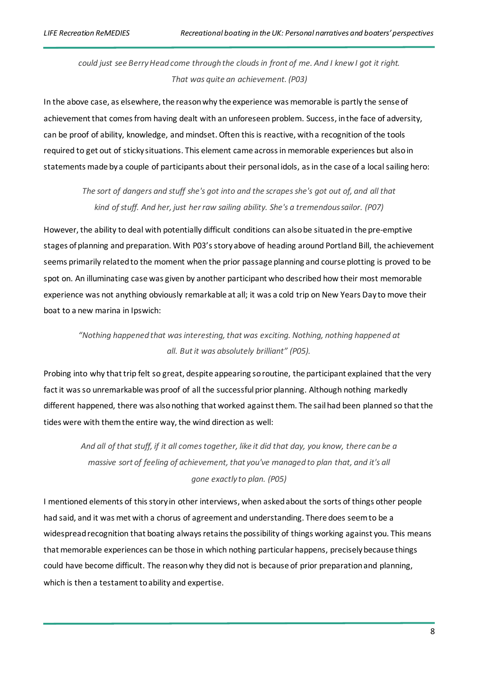*could just see Berry Head come through the clouds in front of me. And I knew I got it right. That was quite an achievement. (P03)*

In the above case, as elsewhere, the reason why the experience was memorable is partly the sense of achievement that comes from having dealt with an unforeseen problem. Success, in the face of adversity, can be proof of ability, knowledge, and mindset. Often this is reactive, with a recognition of the tools required to get out of sticky situations. This element came across in memorable experiences but also in statements made by a couple of participants about their personal idols, as in the case of a local sailing hero:

> *The sort of dangers and stuff she's got into and the scrapes she's got out of, and all that kind of stuff. And her, just her raw sailing ability. She's a tremendous sailor. (P07)*

However, the ability to deal with potentially difficult conditions can also be situated in the pre-emptive stages of planning and preparation. With P03's story above of heading around Portland Bill, the achievement seems primarily related to the moment when the prior passage planning and course plotting is proved to be spot on. An illuminating case was given by another participant who described how their most memorable experience was not anything obviously remarkable at all; it was a cold trip on New Years Day to move their boat to a new marina in Ipswich:

*"Nothing happened that was interesting, that was exciting. Nothing, nothing happened at all. But it was absolutely brilliant" (P05).* 

Probing into why that trip felt so great, despite appearing so routine, the participant explained that the very fact it was so unremarkable was proof of all the successful prior planning. Although nothing markedly different happened, there was also nothing that worked against them. The sail had been planned so that the tides were with them the entire way, the wind direction as well:

*And all of that stuff, if it all comes together, like it did that day, you know, there can be a massive sort of feeling of achievement, that you've managed to plan that, and it's all gone exactly to plan. (P05)*

I mentioned elements of this story in other interviews, when asked about the sorts of things other people had said, and it was met with a chorus of agreement and understanding. There does seem to be a widespread recognition that boating always retains the possibility of things working against you. This means that memorable experiences can be those in which nothing particular happens, precisely because things could have become difficult. The reason why they did not is because of prior preparation and planning, which is then a testament to ability and expertise.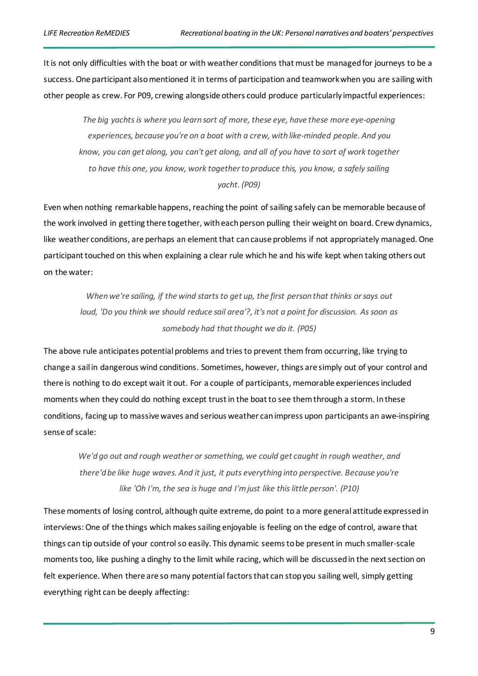It is not only difficulties with the boat or with weather conditions that must be managed for journeys to be a success. One participant also mentioned it in terms of participation and teamwork when you are sailing with other people as crew. For P09, crewing alongside others could produce particularly impactful experiences:

*The big yachts is where you learn sort of more, these eye, have these more eye-opening experiences, because you're on a boat with a crew, with like-minded people. And you know, you can get along, you can't get along, and all of you have to sort of work together to have this one, you know, work together to produce this, you know, a safely sailing yacht. (P09)*

Even when nothing remarkable happens, reaching the point of sailing safely can be memorable because of the work involved in getting there together, with each person pulling their weight on board. Crew dynamics, like weather conditions, are perhaps an element that can cause problems if not appropriately managed. One participant touched on this when explaining a clear rule which he and his wife kept when taking others out on the water:

*When we're sailing, if the wind starts to get up, the first person that thinks or says out loud, 'Do you think we should reduce sail area'?, it's not a point for discussion. As soon as somebody had that thought we do it. (P05)*

The above rule anticipates potential problems and tries to prevent them from occurring, like trying to change a sail in dangerous wind conditions. Sometimes, however, things are simply out of your control and there is nothing to do except wait it out. For a couple of participants, memorable experiences included moments when they could do nothing except trust in the boat to see them through a storm. In these conditions, facing up to massive waves and serious weather can impress upon participants an awe-inspiring sense of scale:

*We'd go out and rough weather or something, we could get caught in rough weather, and there'd be like huge waves. And it just, it puts everything into perspective. Because you're like 'Oh I'm, the sea is huge and I'm just like this little person'. (P10)*

These moments of losing control, although quite extreme, do point to a more general attitude expressed in interviews: One of the things which makes sailing enjoyable is feeling on the edge of control, aware that things can tip outside of your control so easily. This dynamic seems to be present in much smaller-scale moments too, like pushing a dinghy to the limit while racing, which will be discussed in the next section on felt experience. When there are so many potential factors that can stop you sailing well, simply getting everything right can be deeply affecting: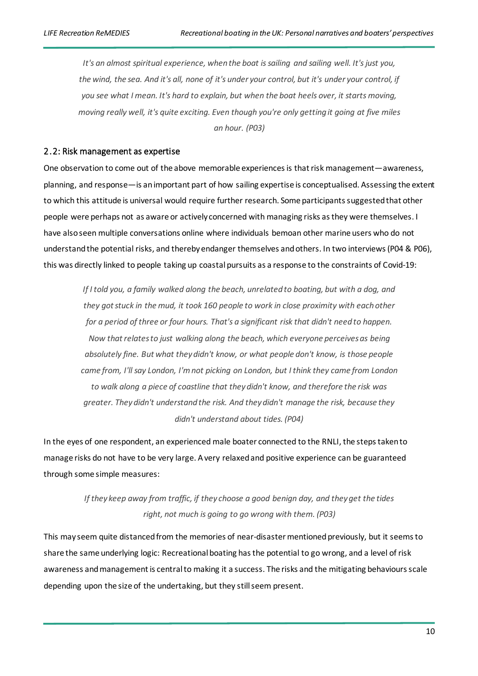*It's an almost spiritual experience, when the boat is sailing and sailing well. It's just you, the wind, the sea. And it's all, none of it's under your control, but it's under your control, if you see what I mean. It's hard to explain, but when the boat heels over, it starts moving, moving really well, it's quite exciting. Even though you're only getting it going at five miles an hour. (P03)*

#### <span id="page-11-0"></span>2.2: Risk management as expertise

One observation to come out of the above memorable experiences is that risk management—awareness, planning, and response—is an important part of how sailing expertise is conceptualised. Assessing the extent to which this attitude is universal would require further research. Some participants suggested that other people were perhaps not as aware or actively concerned with managing risks as they were themselves. I have also seen multiple conversations online where individuals bemoan other marine users who do not understand the potential risks, and thereby endanger themselves and others. In two interviews (P04 & P06), this was directly linked to people taking up coastal pursuits as a response to the constraints of Covid-19:

*If I told you, a family walked along the beach, unrelated to boating, but with a dog, and they got stuck in the mud, it took 160 people to work in close proximity with each other for a period of three or four hours. That's a significant risk that didn't need to happen. Now that relates to just walking along the beach, which everyone perceives as being absolutely fine. But what they didn't know, or what people don't know, is those people came from, I'll say London, I'm not picking on London, but I think they came from London to walk along a piece of coastline that they didn't know, and therefore the risk was greater. They didn't understand the risk. And they didn't manage the risk, because they didn't understand about tides. (P04)*

In the eyes of one respondent, an experienced male boater connected to the RNLI, the steps taken to manage risks do not have to be very large. A very relaxed and positive experience can be guaranteed through some simple measures:

# *If they keep away from traffic, if they choose a good benign day, and they get the tides right, not much is going to go wrong with them. (P03)*

This may seem quite distanced from the memories of near-disaster mentioned previously, but it seems to share the same underlying logic: Recreational boating has the potential to go wrong, and a level of risk awareness and management is central to making it a success. The risks and the mitigating behaviours scale depending upon the size of the undertaking, but they still seem present.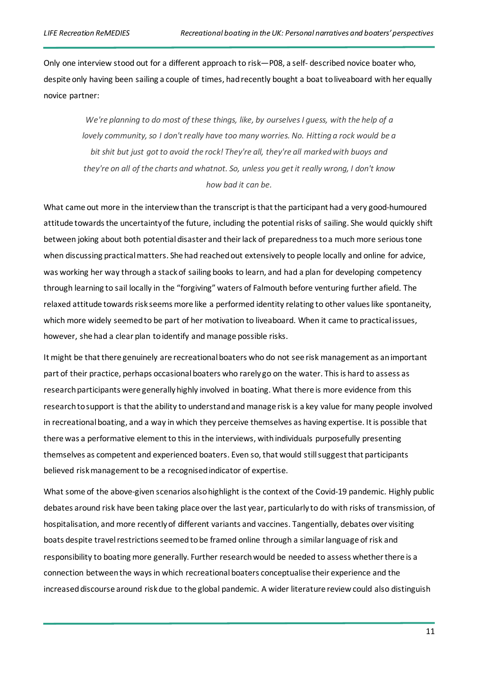Only one interview stood out for a different approach to risk—P08, a self- described novice boater who, despite only having been sailing a couple of times, had recently bought a boat to liveaboard with her equally novice partner:

*We're planning to do most of these things, like, by ourselves I guess, with the help of a lovely community, so I don't really have too many worries. No. Hitting a rock would be a bit shit but just got to avoid the rock! They're all, they're all marked with buoys and they're on all of the charts and whatnot. So, unless you get it really wrong, I don't know how bad it can be.* 

What came out more in the interview than the transcript is that the participant had a very good-humoured attitude towards the uncertainty of the future, including the potential risks of sailing. She would quickly shift between joking about both potential disaster and their lack of preparedness to a much more serious tone when discussing practical matters. She had reached out extensively to people locally and online for advice, was working her way through a stack of sailing books to learn, and had a plan for developing competency through learning to sail locally in the "forgiving" waters of Falmouth before venturing further afield. The relaxed attitude towards risk seems more like a performed identity relating to other values like spontaneity, which more widely seemed to be part of her motivation to liveaboard. When it came to practical issues, however, she had a clear plan to identify and manage possible risks.

It might be that there genuinely are recreational boaters who do not see risk management as an important part of their practice, perhaps occasional boaters who rarely go on the water. This is hard to assess as research participants were generally highly involved in boating. What there is more evidence from this research to support is that the ability to understand and manage risk is a key value for many people involved in recreational boating, and a way in which they perceive themselves as having expertise. It is possible that there was a performative element to this in the interviews, with individuals purposefully presenting themselves as competent and experienced boaters. Even so, that would still suggest that participants believed risk management to be a recognised indicator of expertise.

What some of the above-given scenarios also highlight is the context of the Covid-19 pandemic. Highly public debates around risk have been taking place over the last year, particularly to do with risks of transmission, of hospitalisation, and more recently of different variants and vaccines. Tangentially, debates over visiting boats despite travel restrictions seemed to be framed online through a similar language of risk and responsibility to boating more generally. Further research would be needed to assess whether there is a connection between the ways in which recreational boaters conceptualise their experience and the increased discourse around risk due to the global pandemic. A wider literature review could also distinguish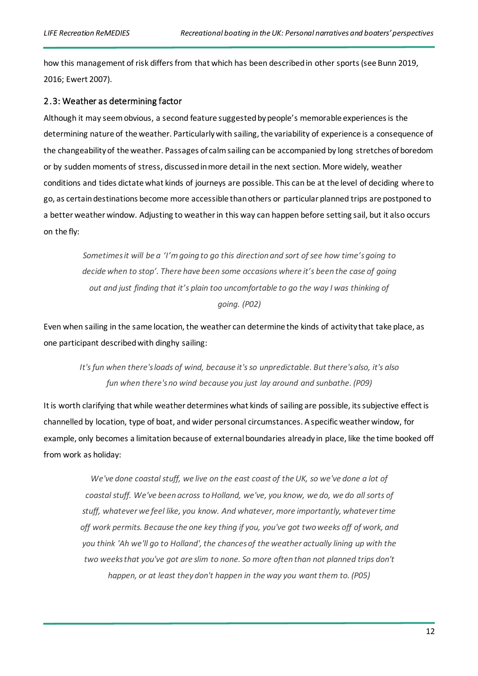how this management of risk differs from that which has been described in other sports (see Bunn 2019, 2016; Ewert 2007).

#### <span id="page-13-0"></span>2.3: Weather as determining factor

Although it may seem obvious, a second feature suggested by people's memorable experiences is the determining nature of the weather. Particularly with sailing, the variability of experience is a consequence of the changeability of the weather. Passages of calm sailing can be accompanied by long stretches of boredom or by sudden moments of stress, discussed in more detail in the next section. More widely, weather conditions and tides dictate what kinds of journeys are possible. This can be at the level of deciding where to go, as certain destinations become more accessible than others or particular planned trips are postponed to a better weather window. Adjusting to weather in this way can happen before setting sail, but it also occurs on the fly:

*Sometimes it will be a 'I'm going to go this direction and sort of see how time's going to decide when to stop'. There have been some occasions where it's been the case of going out and just finding that it's plain too uncomfortable to go the way I was thinking of going. (P02)*

Even when sailing in the same location, the weather can determine the kinds of activity that take place, as one participant described with dinghy sailing:

*It's fun when there's loads of wind, because it's so unpredictable. But there's also, it's also fun when there's no wind because you just lay around and sunbathe. (P09)*

It is worth clarifying that while weather determines what kinds of sailing are possible, its subjective effect is channelled by location, type of boat, and wider personal circumstances. A specific weather window, for example, only becomes a limitation because of external boundaries already in place, like the time booked off from work as holiday:

*We've done coastal stuff, we live on the east coast of the UK, so we've done a lot of coastal stuff. We've been across to Holland, we've, you know, we do, we do all sorts of stuff, whatever we feel like, you know. And whatever, more importantly, whatever time off work permits. Because the one key thing if you, you've got two weeks off of work, and you think 'Ah we'll go to Holland', the chances of the weather actually lining up with the two weeks that you've got are slim to none. So more often than not planned trips don't happen, or at least they don't happen in the way you want them to. (P05)*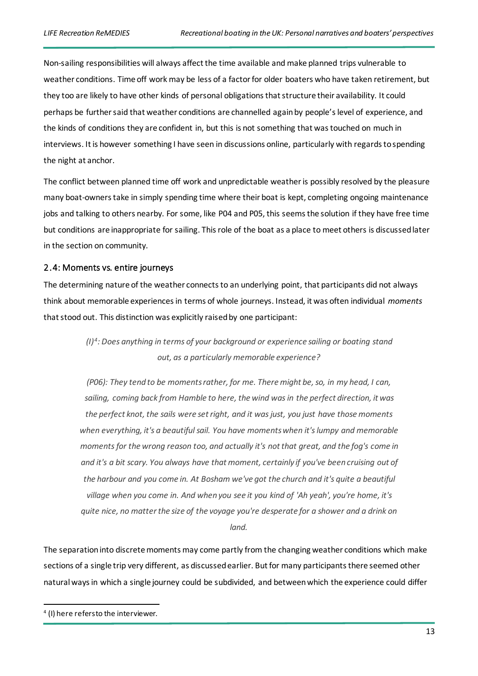Non-sailing responsibilities will always affect the time available and make planned trips vulnerable to weather conditions. Time off work may be less of a factor for older boaters who have taken retirement, but they too are likely to have other kinds of personal obligations that structure their availability. It could perhaps be further said that weather conditions are channelled again by people'slevel of experience, and the kinds of conditions they are confident in, but this is not something that was touched on much in interviews. It is however something I have seen in discussions online, particularly with regards to spending the night at anchor.

The conflict between planned time off work and unpredictable weather is possibly resolved by the pleasure many boat-owners take in simply spending time where their boat is kept, completing ongoing maintenance jobs and talking to others nearby. For some, like P04 and P05, this seems the solution if they have free time but conditions are inappropriate for sailing. Thisrole of the boat as a place to meet others is discussed later in the section on community.

#### <span id="page-14-0"></span>2.4: Moments vs. entire journeys

The determining nature of the weather connects to an underlying point, that participants did not always think about memorable experiences in terms of whole journeys. Instead, it was often individual *moments* that stood out. This distinction was explicitly raised by one participant:

> *(I)[4](#page-14-1): Does anything in terms of your background or experience sailing or boating stand out, as a particularly memorable experience?*

*(P06): They tend to be moments rather, for me. There might be, so, in my head, I can, sailing, coming back from Hamble to here, the wind was in the perfect direction, it was the perfect knot, the sails were set right, and it was just, you just have those moments when everything, it's a beautiful sail. You have moments when it's lumpy and memorable moments for the wrong reason too, and actually it's not that great, and the fog's come in and it's a bit scary. You always have that moment, certainly if you've been cruising out of the harbour and you come in. At Bosham we've got the church and it's quite a beautiful village when you come in. And when you see it you kind of 'Ah yeah', you're home, it's quite nice, no matter the size of the voyage you're desperate for a shower and a drink on land.* 

The separation into discrete moments may come partly from the changing weather conditions which make sections of a single trip very different, as discussed earlier. But for many participants there seemed other natural ways in which a single journey could be subdivided, and between which the experience could differ

<span id="page-14-1"></span><sup>&</sup>lt;sup>4</sup> (I) here refers to the interviewer.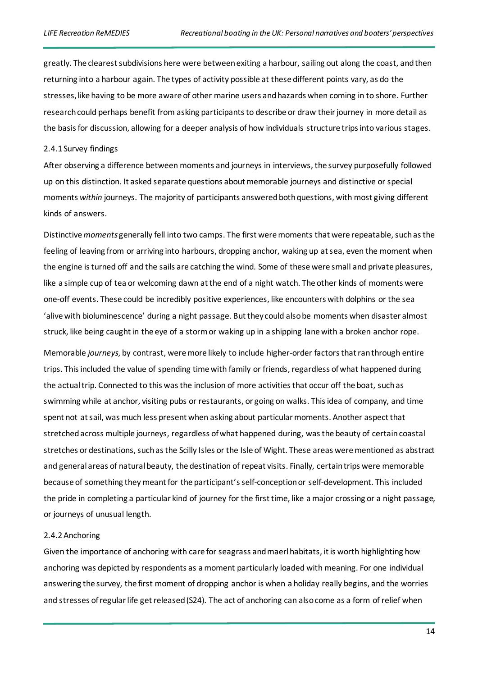greatly. The clearest subdivisions here were between exiting a harbour, sailing out along the coast, and then returning into a harbour again. The types of activity possible at these different points vary, as do the stresses, like having to be more aware of other marine users and hazards when coming in to shore. Further research could perhaps benefit from asking participants to describe or draw their journey in more detail as the basis for discussion, allowing for a deeper analysis of how individuals structure trips into various stages.

#### <span id="page-15-0"></span>2.4.1 Survey findings

After observing a difference between moments and journeys in interviews, the survey purposefully followed up on this distinction. It asked separate questions about memorable journeys and distinctive or special moments *within* journeys. The majority of participants answered both questions, with most giving different kinds of answers.

Distinctive *moments*generally fell into two camps. The first were moments that were repeatable, such as the feeling of leaving from or arriving into harbours, dropping anchor, waking up at sea, even the moment when the engine is turned off and the sails are catching the wind. Some of these were small and private pleasures, like a simple cup of tea or welcoming dawn at the end of a night watch. The other kinds of moments were one-off events. These could be incredibly positive experiences, like encounters with dolphins or the sea 'alive with bioluminescence' during a night passage. But they could also be moments when disaster almost struck, like being caught in the eye of a storm or waking up in a shipping lane with a broken anchor rope.

Memorable *journeys*, by contrast, were more likely to include higher-order factors that ran through entire trips. This included the value of spending time with family or friends, regardless of what happened during the actual trip. Connected to this was the inclusion of more activities that occur off the boat, such as swimming while at anchor, visiting pubs or restaurants, or going on walks. This idea of company, and time spent not at sail, was much less present when asking about particular moments. Another aspect that stretched across multiple journeys, regardless of what happened during, was the beauty of certain coastal stretches or destinations, such as the Scilly Isles or the Isle of Wight. These areas were mentioned as abstract and general areas of natural beauty, the destination of repeat visits. Finally, certain trips were memorable because of something they meant for the participant's self-conception or self-development. This included the pride in completing a particular kind of journey for the first time, like a major crossing or a night passage, or journeys of unusual length.

#### <span id="page-15-1"></span>2.4.2 Anchoring

Given the importance of anchoring with care for seagrass and maerl habitats, it is worth highlighting how anchoring was depicted by respondents as a moment particularly loaded with meaning. For one individual answering the survey, the first moment of dropping anchor is when a holiday really begins, and the worries and stresses of regular life get released (S24). The act of anchoring can also come as a form of relief when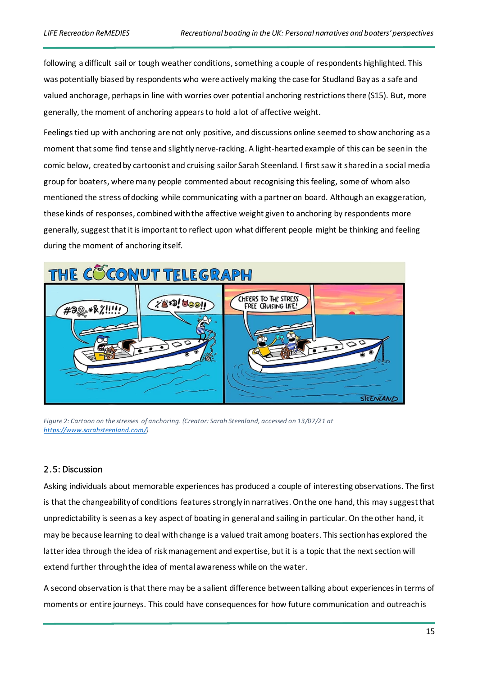following a difficult sail or tough weather conditions, something a couple of respondents highlighted. This was potentially biased by respondents who were actively making the case for Studland Bay as a safe and valued anchorage, perhaps in line with worries over potential anchoring restrictions there (S15). But, more generally, the moment of anchoring appears to hold a lot of affective weight.

Feelingstied up with anchoring are not only positive, and discussions online seemed to show anchoring as a moment that some find tense and slightly nerve-racking. A light-hearted example of this can be seen in the comic below, created by cartoonist and cruising sailor Sarah Steenland. I first saw it shared in a social media group for boaters, where many people commented about recognising this feeling, some of whom also mentioned the stress of docking while communicating with a partner on board. Although an exaggeration, these kinds of responses, combined with the affective weight given to anchoring by respondents more generally, suggest that it is important to reflect upon what different people might be thinking and feeling during the moment of anchoring itself.



*Figure 2: Cartoon on the stresses of anchoring. (Creator: Sarah Steenland, accessed on 13/07/21 at [https://www.sarahsteenland.com/\)](https://www.sarahsteenland.com/)* 

#### <span id="page-16-0"></span>2.5: Discussion

Asking individuals about memorable experiences has produced a couple of interesting observations. The first is that the changeability of conditions features strongly in narratives. On the one hand, this may suggest that unpredictability is seen as a key aspect of boating in general and sailing in particular. On the other hand, it may be because learning to deal with change is a valued trait among boaters. This section has explored the latter idea through the idea of risk management and expertise, but it is a topic that the next section will extend further through the idea of mental awareness while on the water.

A second observation is that there may be a salient difference between talking about experiences in terms of moments or entire journeys. This could have consequences for how future communication and outreach is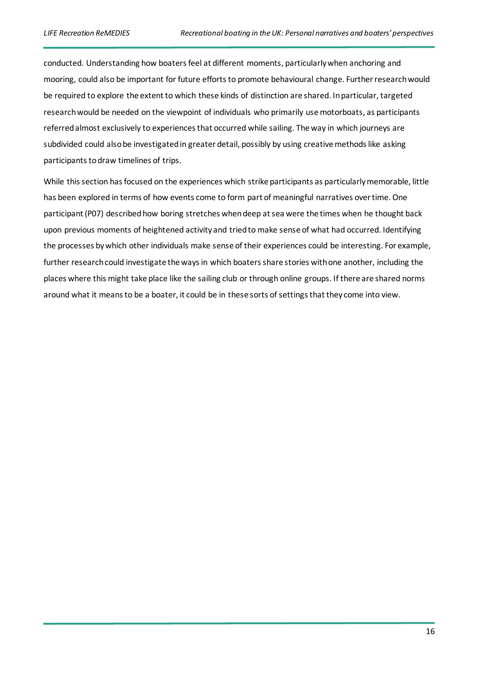conducted. Understanding how boaters feel at different moments, particularly when anchoring and mooring, could also be important for future efforts to promote behavioural change. Further research would be required to explore the extent to which these kinds of distinction are shared. In particular, targeted research would be needed on the viewpoint of individuals who primarily use motorboats, as participants referred almost exclusively to experiences that occurred while sailing. The way in which journeys are subdivided could also be investigated in greater detail, possibly by using creative methods like asking participants to draw timelines of trips.

While this section has focused on the experiences which strike participants as particularly memorable, little has been explored in terms of how events come to form part of meaningful narratives over time. One participant (P07) described how boring stretches when deep at sea were the times when he thought back upon previous moments of heightened activity and tried to make sense of what had occurred. Identifying the processes by which other individuals make sense of their experiences could be interesting. For example, further research could investigate the ways in which boaters share stories with one another, including the places where this might take place like the sailing club or through online groups. If there are shared norms around what it means to be a boater, it could be in these sorts of settings that they come into view.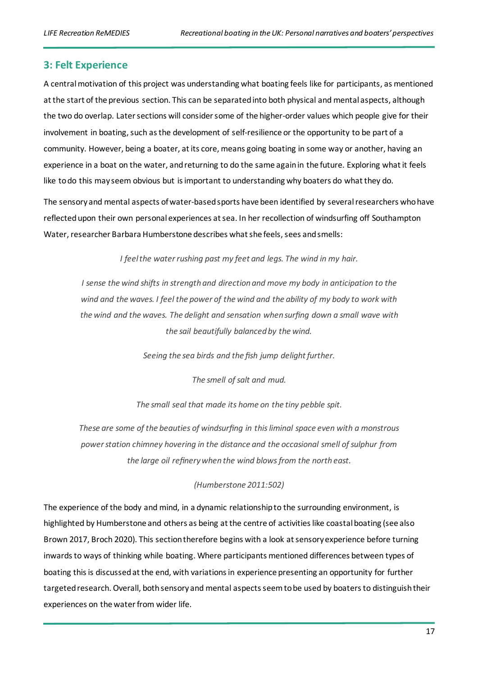#### <span id="page-18-0"></span>**3: Felt Experience**

A central motivation of this project was understanding what boating feels like for participants, as mentioned at the start of the previous section. This can be separated into both physical and mental aspects, although the two do overlap. Later sections will consider some of the higher-order values which people give for their involvement in boating, such as the development of self-resilience or the opportunity to be part of a community. However, being a boater, at its core, means going boating in some way or another, having an experience in a boat on the water, and returning to do the same again in the future. Exploring what it feels like to do this may seem obvious but is important to understanding why boaters do what they do.

The sensory and mental aspects of water-based sports have been identified by several researchers who have reflected upon their own personal experiences at sea. In her recollection of windsurfing off Southampton Water, researcher Barbara Humberstone describes what she feels, sees and smells:

*I feel the water rushing past my feet and legs. The wind in my hair.*

*I sense the wind shifts in strength and direction and move my body in anticipation to the wind and the waves. I feel the power of the wind and the ability of my body to work with the wind and the waves. The delight and sensation when surfing down a small wave with the sail beautifully balanced by the wind.*

*Seeing the sea birds and the fish jump delight further.*

*The smell of salt and mud.*

*The small seal that made its home on the tiny pebble spit.*

*These are some of the beauties of windsurfing in this liminal space even with a monstrous power station chimney hovering in the distance and the occasional smell of sulphur from the large oil refinery when the wind blows from the north east.*

#### *(Humberstone 2011:502)*

The experience of the body and mind, in a dynamic relationship to the surrounding environment, is highlighted by Humberstone and others as being at the centre of activities like coastal boating (see also Brown 2017, Broch 2020). This section therefore begins with a look at sensory experience before turning inwards to ways of thinking while boating. Where participants mentioned differences between types of boating this is discussed at the end, with variations in experience presenting an opportunity for further targeted research. Overall, both sensory and mental aspects seem to be used by boaters to distinguish their experiences on the water from wider life.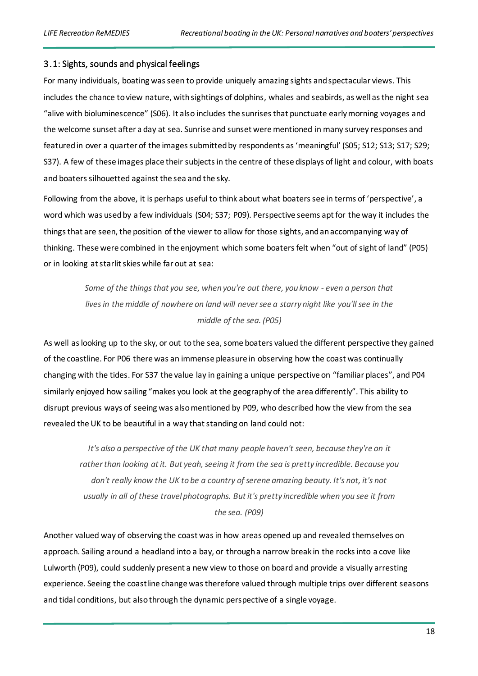#### <span id="page-19-0"></span>3.1: Sights, sounds and physical feelings

For many individuals, boating was seen to provide uniquely amazing sights and spectacular views. This includes the chance to view nature, with sightings of dolphins, whales and seabirds, as well as the night sea "alive with bioluminescence" (S06). It also includes the sunrises that punctuate early morning voyages and the welcome sunset after a day at sea. Sunrise and sunset were mentioned in many survey responses and featured in over a quarter of the images submitted by respondents as 'meaningful' (S05; S12; S13; S17; S29; S37). A few of these images place their subjects in the centre of these displays of light and colour, with boats and boaters silhouetted against the sea and the sky.

Following from the above, it is perhaps useful to think about what boaters see in terms of 'perspective', a word which was used by a few individuals (S04; S37; P09). Perspective seems apt for the way it includes the things that are seen, the position of the viewer to allow for those sights, and an accompanying way of thinking. These were combined in the enjoyment which some boaters felt when "out of sight of land" (P05) or in looking at starlit skies while far out at sea:

> *Some of the things that you see, when you're out there, you know - even a person that*  lives in the middle of nowhere on land will never see a starry night like you'll see in the *middle of the sea. (P05)*

As well as looking up to the sky, or out to the sea, some boaters valued the different perspective they gained of the coastline. For P06 there was an immense pleasure in observing how the coast was continually changing with the tides. For S37 the value lay in gaining a unique perspective on "familiar places", and P04 similarly enjoyed how sailing "makes you look at the geography of the area differently". This ability to disrupt previous ways of seeing was also mentioned by P09, who described how the view from the sea revealed the UK to be beautiful in a way that standing on land could not:

*It's also a perspective of the UK that many people haven't seen, because they're on it rather than looking at it. But yeah, seeing it from the sea is pretty incredible. Because you don't really know the UK to be a country of serene amazing beauty. It's not, it's not usually in all of these travel photographs. But it's pretty incredible when you see it from the sea. (P09)*

Another valued way of observing the coast was in how areas opened up and revealed themselves on approach. Sailing around a headland into a bay, or through a narrow break in the rocks into a cove like Lulworth (P09), could suddenly present a new view to those on board and provide a visually arresting experience. Seeing the coastline change was therefore valued through multiple trips over different seasons and tidal conditions, but also through the dynamic perspective of a single voyage.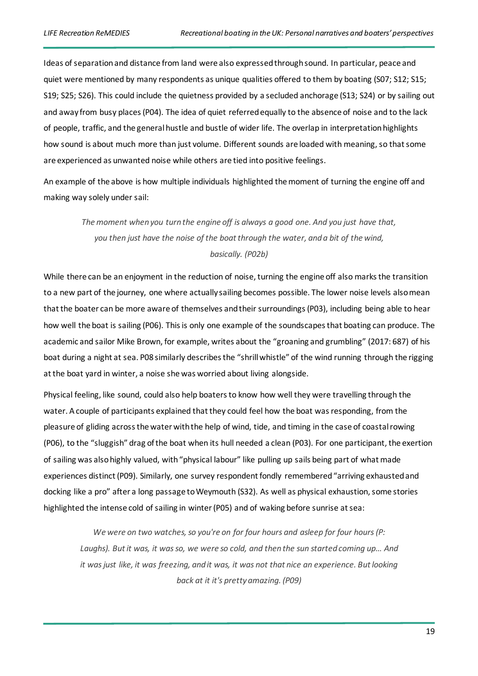Ideas of separation and distance from land were also expressed through sound. In particular, peace and quiet were mentioned by many respondents as unique qualities offered to them by boating (S07; S12; S15; S19; S25; S26). This could include the quietness provided by a secluded anchorage (S13; S24) or by sailing out and away from busy places (P04). The idea of quiet referred equally to the absence of noise and to the lack of people, traffic, and the general hustle and bustle of wider life. The overlap in interpretation highlights how sound is about much more than just volume. Different sounds are loaded with meaning, so that some are experienced as unwanted noise while others are tied into positive feelings.

An example of the above is how multiple individuals highlighted the moment of turning the engine off and making way solely under sail:

> *The moment when you turn the engine off is always a good one. And you just have that, you then just have the noise of the boat through the water, and a bit of the wind, basically. (P02b)*

While there can be an enjoyment in the reduction of noise, turning the engine off also marks the transition to a new part of the journey, one where actually sailing becomes possible. The lower noise levels also mean that the boater can be more aware of themselves and their surroundings (P03), including being able to hear how well the boat is sailing (P06). This is only one example of the soundscapes that boating can produce. The academic and sailor Mike Brown, for example, writes about the "groaning and grumbling" (2017: 687) of his boat during a night at sea. P08 similarly describes the "shrill whistle" of the wind running through the rigging at the boat yard in winter, a noise she was worried about living alongside.

Physical feeling, like sound, could also help boaters to know how well they were travelling through the water. A couple of participants explained that they could feel how the boat was responding, from the pleasure of gliding across the water with the help of wind, tide, and timing in the case of coastal rowing (P06), to the "sluggish" drag of the boat when its hull needed a clean (P03). For one participant, the exertion of sailing was also highly valued, with "physical labour" like pulling up sails being part of what made experiences distinct (P09). Similarly, one survey respondent fondly remembered "arriving exhausted and docking like a pro" after a long passage to Weymouth (S32). As well as physical exhaustion, some stories highlighted the intense cold of sailing in winter (P05) and of waking before sunrise at sea:

*We were on two watches, so you're on for four hours and asleep for four hours (P: Laughs). But it was, it was so, we were so cold, and then the sun started coming up… And it was just like, it was freezing, and it was, it was not that nice an experience. But looking back at it it's pretty amazing. (P09)*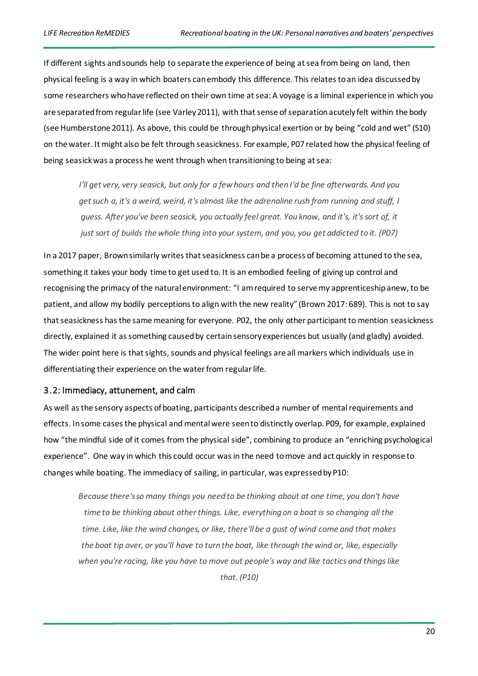If different sights and sounds help to separate the experience of being at sea from being on land, then physical feeling is a way in which boaters can embody this difference. This relates to an idea discussed by some researchers who have reflected on their own time atsea: A voyage is a liminal experience in which you are separated from regular life (see Varley 2011), with that sense of separation acutely felt within the body (see Humberstone 2011). As above, this could be through physical exertion or by being "cold and wet" (S10) on the water. It might also be felt through seasickness. For example, P07 related how the physical feeling of being seasick was a process he went through when transitioning to being at sea:

*I'll get very, very seasick, but only for a few hours and then I'd be fine afterwards. And you get such a, it's a weird, weird, it's almost like the adrenaline rush from running and stuff, I guess. After you've been seasick, you actually feel great. You know, and it's, it's sort of, it just sort of builds the whole thing into your system, and you, you get addicted to it. (P07)*

In a 2017 paper, Brown similarly writes that seasickness can be a process of becoming attuned to the sea, something it takes your body time to get used to. It is an embodied feeling of giving up control and recognising the primacy of the natural environment: "I am required to serve my apprenticeship anew, to be patient, and allow my bodily perceptions to align with the new reality" (Brown 2017: 689). This is not to say that seasickness has the same meaning for everyone. P02, the only other participant to mention seasickness directly, explained it as something caused by certain sensory experiences but usually (and gladly) avoided. The wider point here is that sights, sounds and physical feelings are all markers which individuals use in differentiating their experience on the water from regular life.

#### <span id="page-21-0"></span>3.2: Immediacy, attunement, and calm

As well as the sensory aspects of boating, participants described a number of mental requirements and effects. In some cases the physical and mental were seen to distinctly overlap. P09, for example, explained how "the mindful side of it comes from the physical side", combining to produce an "enriching psychological experience". One way in which this could occur was in the need to move and act quickly in response to changes while boating. The immediacy of sailing, in particular, was expressed by P10:

*Because there's so many things you need to be thinking about at one time, you don't have time to be thinking about other things. Like, everything on a boat is so changing all the time. Like, like the wind changes, or like, there'll be a gust of wind come and that makes the boat tip over, or you'll have to turn the boat, like through the wind or, like, especially when you're racing, like you have to move out people's way and like tactics and things like that. (P10)*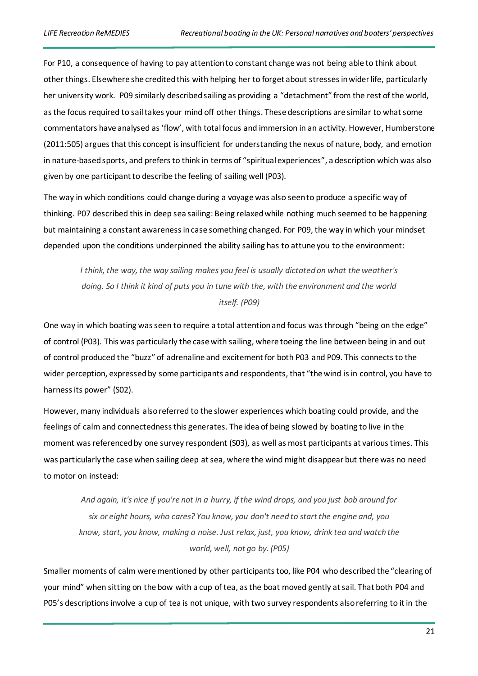For P10, a consequence of having to pay attention to constant change was not being able to think about other things. Elsewhere she credited this with helping her to forget about stresses in wider life, particularly her university work. P09 similarly described sailing as providing a "detachment" from the rest of the world, as the focus required to sail takes your mind off other things. These descriptions are similar to what some commentators have analysed as 'flow', with total focus and immersion in an activity. However, Humberstone (2011:505) argues that this concept is insufficient for understanding the nexus of nature, body, and emotion in nature-based sports, and prefers to think in terms of "spiritual experiences", a description which was also given by one participant to describe the feeling of sailing well (P03).

The way in which conditions could change during a voyage was also seen to produce a specific way of thinking. P07 described this in deep sea sailing: Being relaxed while nothing much seemed to be happening but maintaining a constant awareness in case something changed. For P09, the way in which your mindset depended upon the conditions underpinned the ability sailing has to attune you to the environment:

*I think, the way, the way sailing makes you feel is usually dictated on what the weather's doing. So I think it kind of puts you in tune with the, with the environment and the world itself. (P09)*

One way in which boating was seen to require a total attention and focus was through "being on the edge" of control (P03). This was particularly the case with sailing, where toeing the line between being in and out of control produced the "buzz" of adrenaline and excitement for both P03 and P09. This connects to the wider perception, expressed by some participants and respondents, that "the wind is in control, you have to harness its power" (S02).

However, many individuals also referred to the slower experiences which boating could provide, and the feelings of calm and connectedness this generates. The idea of being slowed by boating to live in the moment was referenced by one survey respondent (S03), as well as most participants at various times. This was particularly the case when sailing deep at sea, where the wind might disappear but there was no need to motor on instead:

*And again, it's nice if you're not in a hurry, if the wind drops, and you just bob around for six or eight hours, who cares? You know, you don't need to start the engine and, you know, start, you know, making a noise. Just relax, just, you know, drink tea and watch the world, well, not go by. (P05)*

Smaller moments of calm were mentioned by other participants too, like P04 who described the "clearing of your mind" when sitting on the bow with a cup of tea, as the boat moved gently at sail. That both P04 and P05's descriptions involve a cup of tea is not unique, with two survey respondents also referring to it in the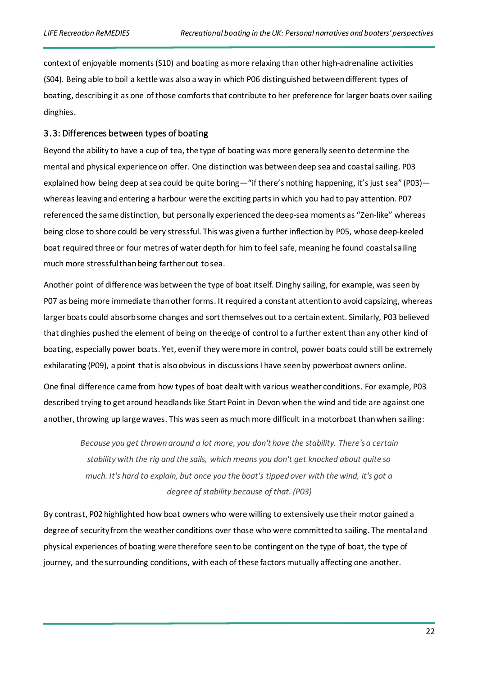context of enjoyable moments (S10) and boating as more relaxing than other high-adrenaline activities (S04). Being able to boil a kettle was also a way in which P06 distinguished between different types of boating, describing it as one of those comforts that contribute to her preference for larger boats over sailing dinghies.

#### <span id="page-23-0"></span>3.3: Differences between types of boating

Beyond the ability to have a cup of tea, the type of boating was more generally seen to determine the mental and physical experience on offer. One distinction was between deep sea and coastal sailing. P03 explained how being deep at sea could be quite boring—"if there's nothing happening, it's just sea" (P03) whereas leaving and entering a harbour were the exciting parts in which you had to pay attention. P07 referenced the same distinction, but personally experienced the deep-sea moments as "Zen-like" whereas being close to shore could be very stressful. This was given a further inflection by P05, whose deep-keeled boat required three or four metres of water depth for him to feel safe, meaning he found coastal sailing much more stressful than being farther out to sea.

Another point of difference was between the type of boat itself. Dinghy sailing, for example, was seen by P07 as being more immediate than other forms. It required a constant attention to avoid capsizing, whereas larger boats could absorb some changes and sort themselves out to a certain extent. Similarly, P03 believed that dinghies pushed the element of being on the edge of control to a further extent than any other kind of boating, especially power boats. Yet, even if they were more in control, power boats could still be extremely exhilarating (P09), a point that is also obvious in discussions I have seen by powerboat owners online.

One final difference came from how types of boat dealt with various weather conditions. For example, P03 described trying to get around headlands like Start Point in Devon when the wind and tide are against one another, throwing up large waves. This was seen as much more difficult in a motorboat than when sailing:

*Because you get thrown around a lot more, you don't have the stability. There's a certain stability with the rig and the sails, which means you don't get knocked about quite so much. It's hard to explain, but once you the boat's tipped over with the wind, it's got a degree of stability because of that. (P03)*

By contrast, P02 highlighted how boat owners who were willing to extensively use their motor gained a degree of security from the weather conditions over those who were committed to sailing. The mental and physical experiences of boating were therefore seen to be contingent on the type of boat, the type of journey, and the surrounding conditions, with each of these factors mutually affecting one another.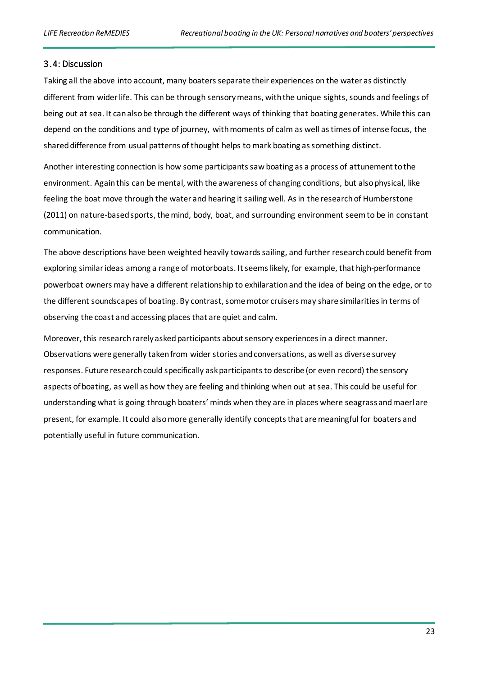#### <span id="page-24-0"></span>3.4: Discussion

Taking all the above into account, many boaters separate their experiences on the water as distinctly different from wider life. This can be through sensory means, with the unique sights, sounds and feelings of being out at sea. It can also be through the different ways of thinking that boating generates. While this can depend on the conditions and type of journey, with moments of calm as well as times of intense focus, the shared difference from usual patterns of thought helps to mark boating as something distinct.

Another interesting connection is how some participants saw boating as a process of attunement to the environment. Again this can be mental, with the awareness of changing conditions, but also physical, like feeling the boat move through the water and hearing it sailing well. As in the research of Humberstone (2011) on nature-based sports, the mind, body, boat, and surrounding environment seem to be in constant communication.

The above descriptions have been weighted heavily towards sailing, and further research could benefit from exploring similar ideas among a range of motorboats. It seems likely, for example, that high-performance powerboat owners may have a different relationship to exhilaration and the idea of being on the edge, or to the different soundscapes of boating. By contrast, some motor cruisers may share similarities in terms of observing the coast and accessing places that are quiet and calm.

Moreover, this research rarely asked participants about sensory experiences in a direct manner. Observations were generally taken from wider stories and conversations, as well as diverse survey responses. Future research could specifically ask participants to describe (or even record) the sensory aspects of boating, as well as how they are feeling and thinking when out at sea. This could be useful for understanding what is going through boaters' minds when they are in places where seagrass and maerl are present, for example. It could also more generally identify concepts that are meaningful for boaters and potentially useful in future communication.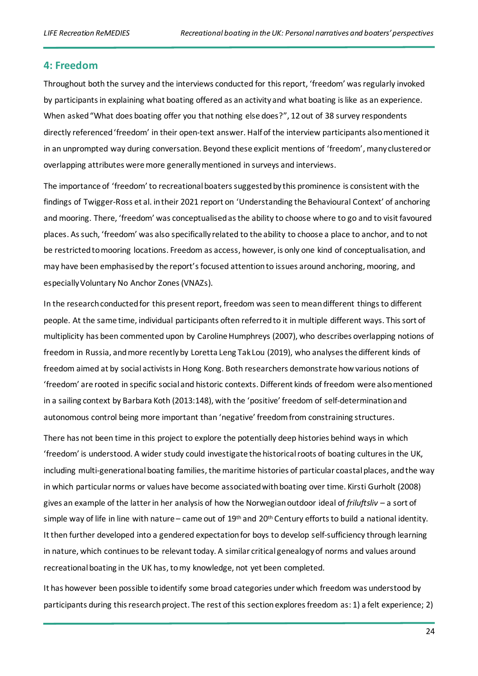#### <span id="page-25-0"></span>**4: Freedom**

Throughout both the survey and the interviews conducted for this report, 'freedom' was regularly invoked by participants in explaining what boating offered as an activity and what boating is like as an experience. When asked "What does boating offer you that nothing else does?", 12 out of 38 survey respondents directly referenced 'freedom' in their open-text answer. Half of the interview participants also mentioned it in an unprompted way during conversation. Beyond these explicit mentions of 'freedom', many clustered or overlapping attributes were more generallymentioned in surveys and interviews.

The importance of 'freedom' to recreational boaters suggested by this prominence is consistent with the findings of Twigger-Ross et al. in their 2021 report on 'Understanding the Behavioural Context' of anchoring and mooring. There, 'freedom' was conceptualised as the ability to choose where to go and to visit favoured places. As such, 'freedom' was also specifically related to the ability to choose a place to anchor, and to not be restricted to mooring locations. Freedom as access, however, is only one kind of conceptualisation, and may have been emphasised by the report's focused attention to issues around anchoring, mooring, and especially Voluntary No Anchor Zones (VNAZs).

In the research conducted for this present report, freedom was seen to mean different things to different people. At the same time, individual participants often referred to it in multiple different ways. This sort of multiplicity has been commented upon by Caroline Humphreys (2007), who describes overlapping notions of freedom in Russia, and more recently by Loretta Leng Tak Lou (2019), who analyses the different kinds of freedom aimed at by social activists in Hong Kong. Both researchers demonstrate how various notions of 'freedom' are rooted in specific social and historic contexts. Different kinds of freedom were also mentioned in a sailing context by Barbara Koth (2013:148), with the 'positive' freedom of self-determination and autonomous control being more important than 'negative' freedom from constraining structures.

There has not been time in this project to explore the potentially deep histories behind ways in which 'freedom' is understood. A wider study could investigate the historical roots of boating cultures in the UK, including multi-generational boating families, the maritime histories of particular coastal places, and the way in which particular norms or values have become associated with boating over time. Kirsti Gurholt (2008) gives an example of the latter in her analysis of how the Norwegian outdoor ideal of *friluftsliv* – a sort of simple way of life in line with nature – came out of 19<sup>th</sup> and 20<sup>th</sup> Century efforts to build a national identity. It then further developed into a gendered expectation for boys to develop self-sufficiency through learning in nature, which continues to be relevant today. A similar critical genealogy of norms and values around recreational boating in the UK has, to my knowledge, not yet been completed.

It has however been possible to identify some broad categories under which freedom was understood by participants during this research project. The rest of this section explores freedom as: 1) a felt experience; 2)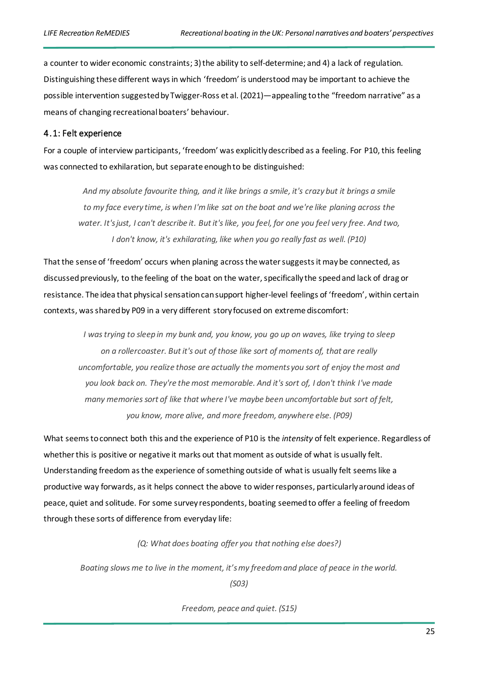a counter to wider economic constraints; 3) the ability to self-determine; and 4) a lack of regulation. Distinguishing these different ways in which 'freedom' is understood may be important to achieve the possible intervention suggested by Twigger-Ross et al. (2021)—appealing to the "freedom narrative" as a means of changing recreational boaters' behaviour.

#### <span id="page-26-0"></span>4.1: Felt experience

For a couple of interview participants, 'freedom' was explicitly described as a feeling. For P10, this feeling was connected to exhilaration, but separate enough to be distinguished:

*And my absolute favourite thing, and it like brings a smile, it's crazy but it brings a smile to my face every time, is when I'm like sat on the boat and we're like planing across the water. It's just, I can't describe it. But it's like, you feel, for one you feel very free. And two, I don't know, it's exhilarating, like when you go really fast as well. (P10)* 

That the sense of 'freedom' occurs when planing across the water suggests it may be connected, as discussed previously, to the feeling of the boat on the water, specifically the speed and lack of drag or resistance. The idea that physical sensation can support higher-level feelings of 'freedom', within certain contexts, was shared by P09 in a very different story focused on extreme discomfort:

*I was trying to sleep in my bunk and, you know, you go up on waves, like trying to sleep on a rollercoaster. But it's out of those like sort of moments of, that are really uncomfortable, you realize those are actually the moments you sort of enjoy the most and you look back on. They're the most memorable. And it's sort of, I don't think I've made many memories sort of like that where I've maybe been uncomfortable but sort of felt, you know, more alive, and more freedom, anywhere else. (P09)*

What seems to connect both this and the experience of P10 is the *intensity* of felt experience. Regardless of whether this is positive or negative it marks out that moment as outside of what is usually felt. Understanding freedom as the experience of something outside of what is usually felt seems like a productive way forwards, as it helps connect the above to wider responses, particularly around ideas of peace, quiet and solitude. For some survey respondents, boating seemed to offer a feeling of freedom through these sorts of difference from everyday life:

*(Q: What does boating offer you that nothing else does?)*

*Boating slows me to live in the moment, it's my freedom and place of peace in the world.* 

*(S03)*

*Freedom, peace and quiet. (S15)*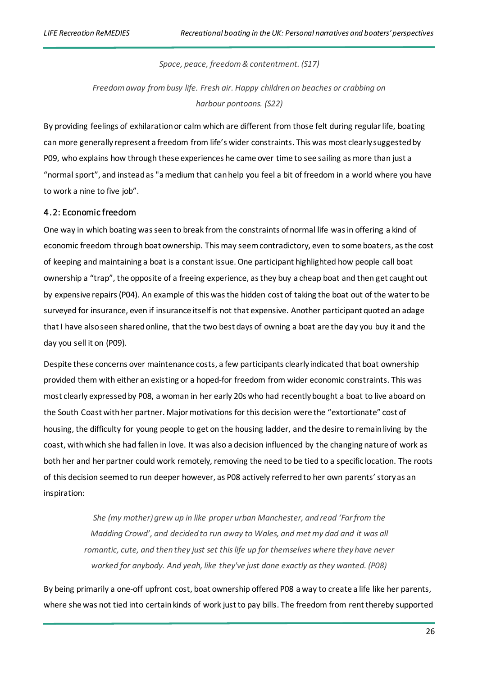*Space, peace, freedom & contentment. (S17)*

*Freedom away from busy life. Fresh air. Happy children on beaches or crabbing on harbour pontoons. (S22)*

By providing feelings of exhilaration or calm which are different from those felt during regular life, boating can more generally represent a freedom from life's wider constraints. This was most clearly suggested by P09, who explains how through these experiences he came over time to see sailing as more than just a "normal sport", and instead as "a medium that can help you feel a bit of freedom in a world where you have to work a nine to five job".

#### <span id="page-27-0"></span>4.2: Economic freedom

One way in which boating was seen to break from the constraints ofnormal life was in offering a kind of economic freedom through boat ownership. This may seem contradictory, even to some boaters, as the cost of keeping and maintaining a boat is a constant issue. One participant highlighted how people call boat ownership a "trap", the opposite of a freeing experience, as they buy a cheap boat and then get caught out by expensive repairs (P04). An example of this was the hidden cost of taking the boat out of the water to be surveyed for insurance, even if insurance itself is not that expensive. Another participant quoted an adage that I have also seen shared online, that the two best days of owning a boat are the day you buy it and the day you sell it on (P09).

Despite these concerns over maintenance costs, a few participants clearly indicated that boat ownership provided them with either an existing or a hoped-for freedom from wider economic constraints. This was most clearly expressed by P08, a woman in her early 20s who had recently bought a boat to live aboard on the South Coast with her partner. Major motivations for this decision were the "extortionate" cost of housing, the difficulty for young people to get on the housing ladder, and the desire to remain living by the coast, with which she had fallen in love. It was also a decision influenced by the changing nature of work as both her and her partner could work remotely, removing the need to be tied to a specific location. The roots of this decision seemed to run deeper however, as P08 actively referred to her own parents' story as an inspiration:

> *She (my mother) grew up in like proper urban Manchester, and read 'Far from the Madding Crowd', and decided to run away to Wales, and met my dad and it was all romantic, cute, and then they just set this life up for themselves where they have never worked for anybody. And yeah, like they've just done exactly as they wanted. (P08)*

By being primarily a one-off upfront cost, boat ownership offered P08 a way to create a life like her parents, where she was not tied into certain kinds of work just to pay bills. The freedom from rent thereby supported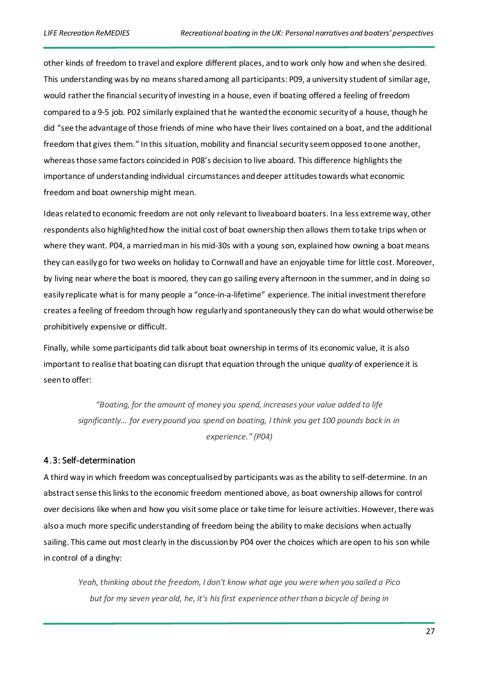other kinds of freedom to travel and explore different places, and to work only how and when she desired. This understanding was by no means shared among all participants: P09, a university student of similar age, would rather the financial security of investing in a house, even if boating offered a feeling of freedom compared to a 9-5 job. P02 similarly explained that he wanted the economic security of a house, though he did "see the advantage of those friends of mine who have their lives contained on a boat, and the additional freedom that gives them." In this situation, mobility and financial security seem opposed to one another, whereas those same factors coincided in P08's decision to live aboard. This difference highlights the importance of understanding individual circumstances and deeper attitudes towards what economic freedom and boat ownership might mean.

Ideas related to economic freedom are not only relevant to liveaboard boaters. In a less extreme way, other respondents also highlighted how the initial cost of boat ownership then allows them to take trips when or where they want. P04, a married man in his mid-30s with a young son, explained how owning a boat means they can easily go for two weeks on holiday to Cornwall and have an enjoyable time for little cost. Moreover, by living near where the boat is moored, they can go sailing every afternoon in the summer, and in doing so easily replicate what is for many people a "once-in-a-lifetime" experience. The initial investment therefore creates a feeling of freedom through how regularly and spontaneously they can do what would otherwise be prohibitively expensive or difficult.

Finally, while some participants did talk about boat ownership in terms of its economic value, it is also important to realise that boating can disrupt that equation through the unique *quality* of experience it is seen to offer:

*"Boating, for the amount of money you spend, increases your value added to life significantly… for every pound you spend on boating, I think you get 100 pounds back in in experience." (P04)*

#### <span id="page-28-0"></span>4.3: Self-determination

A third way in which freedom was conceptualised by participants was as the ability to self-determine. In an abstract sense this links to the economic freedom mentioned above, as boat ownership allows for control over decisions like when and how you visit some place or take time for leisure activities. However, there was also a much more specific understanding of freedom being the ability to make decisions when actually sailing. This came out most clearly in the discussion by P04 over the choices which are open to his son while in control of a dinghy:

*Yeah, thinking about the freedom, I don't know what age you were when you sailed a Pico but for my seven year old, he, it's his first experience other than a bicycle of being in*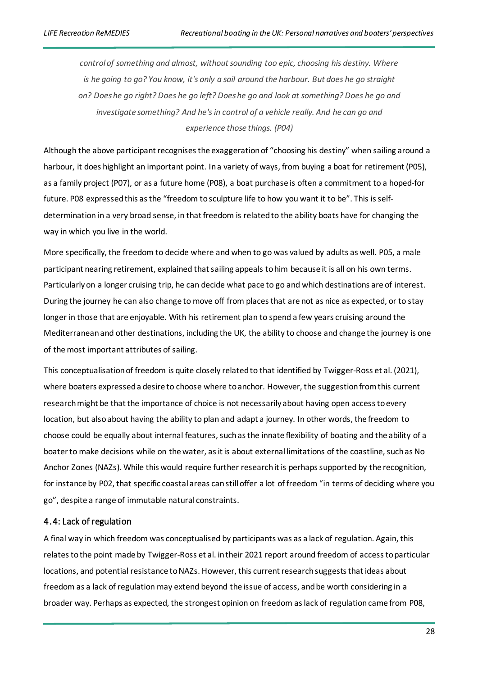*control of something and almost, without sounding too epic, choosing his destiny. Where is he going to go? You know, it's only a sail around the harbour. But does he go straight on? Does he go right? Does he go left? Does he go and look at something? Does he go and investigate something? And he's in control of a vehicle really. And he can go and experience those things. (P04)*

Although the above participant recognises the exaggeration of "choosing his destiny" when sailing around a harbour, it does highlight an important point. In a variety of ways, from buying a boat for retirement (P05), as a family project (P07), or as a future home (P08), a boat purchase is often a commitment to a hoped-for future. P08 expressed this as the "freedom to sculpture life to how you want it to be". This is selfdetermination in a very broad sense, in that freedom is related to the ability boats have for changing the way in which you live in the world.

More specifically, the freedom to decide where and when to go was valued by adults as well. P05, a male participant nearing retirement, explained that sailing appeals to him because it is all on his own terms. Particularly on a longer cruising trip, he can decide what pace to go and which destinations are of interest. During the journey he can also change to move off from places that are not as nice as expected, or to stay longer in those that are enjoyable. With his retirement plan to spend a few years cruising around the Mediterranean and other destinations, including the UK, the ability to choose and change the journey is one of the most important attributes of sailing.

This conceptualisation of freedom is quite closely related to that identified by Twigger-Ross et al. (2021), where boaters expressed a desire to choose where to anchor. However, the suggestion from this current research might be that the importance of choice is not necessarily about having open access to every location, but also about having the ability to plan and adapt a journey. In other words, the freedom to choose could be equally about internal features, such as the innate flexibility of boating and the ability of a boater to make decisions while on the water, as it is about external limitations of the coastline, such as No Anchor Zones (NAZs). While this would require further research it is perhaps supported by the recognition, for instance by P02, that specific coastal areas can still offer a lot of freedom "in terms of deciding where you go", despite a range of immutable natural constraints.

#### <span id="page-29-0"></span>4.4: Lack of regulation

A final way in which freedom was conceptualised by participants was as a lack of regulation. Again, this relates to the point made by Twigger-Ross et al. in their 2021 report around freedom of access to particular locations, and potential resistance to NAZs. However, this current research suggests that ideas about freedom as a lack of regulation may extend beyond the issue of access, and be worth considering in a broader way. Perhaps as expected, the strongest opinion on freedom as lack of regulation came from P08,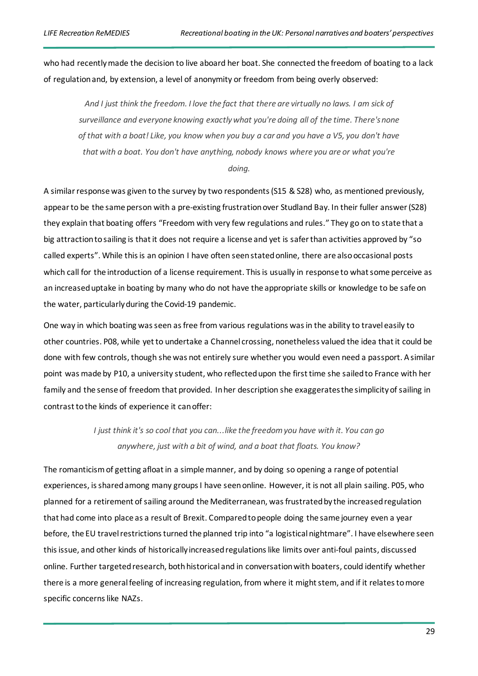who had recently made the decision to live aboard her boat. She connected the freedom of boating to a lack of regulation and, by extension, a level of anonymity or freedom from being overly observed:

*And I just think the freedom. I love the fact that there are virtually no laws. I am sick of surveillance and everyone knowing exactly what you're doing all of the time. There's none of that with a boat! Like, you know when you buy a car and you have a V5, you don't have that with a boat. You don't have anything, nobody knows where you are or what you're* 

#### *doing.*

A similar response was given to the survey by two respondents (S15 & S28) who, as mentioned previously, appear to be the same person with a pre-existing frustration over Studland Bay. In their fuller answer (S28) they explain that boating offers "Freedom with very few regulations and rules." They go on to state that a big attraction to sailing is that it does not require a license and yet is safer than activities approved by "so called experts". While this is an opinion I have often seen stated online, there are also occasional posts which call for the introduction of a license requirement. This is usually in response to what some perceive as an increased uptake in boating by many who do not have the appropriate skills or knowledge to be safe on the water, particularly during the Covid-19 pandemic.

One way in which boating was seen as free from various regulations was in the ability to travel easily to other countries. P08, while yet to undertake a Channel crossing, nonetheless valued the idea that it could be done with few controls, though she was not entirely sure whether you would even need a passport. A similar point was made by P10, a university student, who reflected upon the first time she sailed to France with her family and the sense of freedom that provided. In her description she exaggerates the simplicity of sailing in contrast to the kinds of experience it can offer:

> *I just think it's so cool that you can...like the freedom you have with it. You can go anywhere, just with a bit of wind, and a boat that floats. You know?*

The romanticism of getting afloat in a simple manner, and by doing so opening a range of potential experiences, is shared among many groups I have seen online. However, it is not all plain sailing. P05, who planned for a retirement of sailing around the Mediterranean, was frustrated by the increased regulation that had come into place as a result of Brexit. Compared to people doing the same journey even a year before, the EU travel restrictions turned the planned trip into "a logistical nightmare". I have elsewhere seen this issue, and other kinds of historically increased regulations like limits over anti-foul paints, discussed online. Further targeted research, both historical and in conversation with boaters, could identify whether there is a more general feeling of increasing regulation, from where it might stem, and if it relates to more specific concerns like NAZs.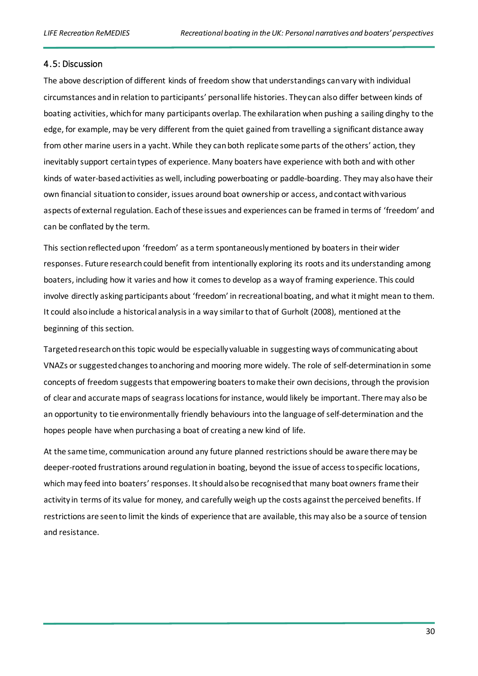#### <span id="page-31-0"></span>4.5: Discussion

The above description of different kinds of freedom show that understandings can vary with individual circumstances and in relation to participants' personal life histories. They can also differ between kinds of boating activities, which for many participants overlap. The exhilaration when pushing a sailing dinghy to the edge, for example, may be very different from the quiet gained from travelling a significant distance away from other marine users in a yacht. While they can both replicate some parts of the others' action, they inevitably support certain types of experience. Many boaters have experience with both and with other kinds of water-based activities as well, including powerboating or paddle-boarding. They may also have their own financial situation to consider, issues around boat ownership or access, and contact with various aspects of external regulation. Each of these issues and experiences can be framed in terms of 'freedom' and can be conflated by the term.

This section reflected upon 'freedom' as a term spontaneously mentioned by boaters in their wider responses. Future research could benefit from intentionally exploring its roots and its understanding among boaters, including how it varies and how it comes to develop as a way of framing experience. This could involve directly asking participants about 'freedom' in recreational boating, and what it might mean to them. It could also include a historical analysis in a way similar to that of Gurholt (2008), mentioned at the beginning of this section.

Targeted research on this topic would be especially valuable in suggesting ways of communicating about VNAZs or suggested changes to anchoring and mooring more widely. The role of self-determination in some concepts of freedom suggests that empowering boaters to make their own decisions, through the provision of clear and accurate maps of seagrass locations for instance, would likely be important. There may also be an opportunity to tie environmentally friendly behaviours into the language of self-determination and the hopes people have when purchasing a boat of creating a new kind of life.

At the same time, communication around any future planned restrictions should be aware there may be deeper-rooted frustrations around regulation in boating, beyond the issue of access to specific locations, which may feed into boaters' responses. It should also be recognised that many boat owners frame their activity in terms of its value for money, and carefully weigh up the costs against the perceived benefits. If restrictions are seen to limit the kinds of experience that are available, this may also be a source of tension and resistance.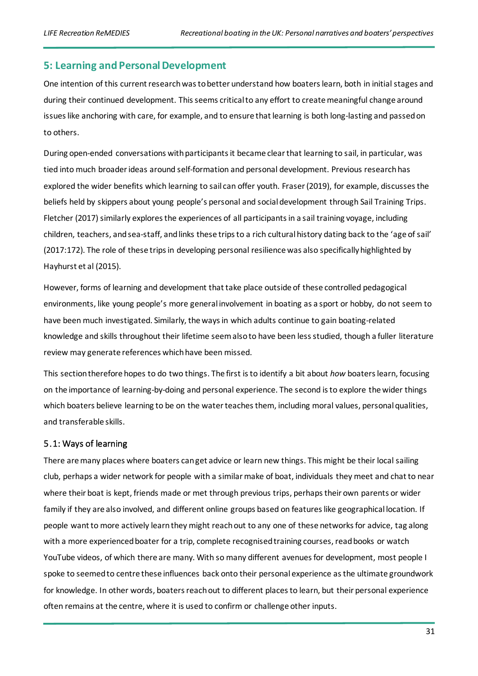#### <span id="page-32-0"></span>**5: Learning and Personal Development**

One intention of this current research was to better understand how boaters learn, both in initial stages and during their continued development. This seems critical to any effort to create meaningful change around issues like anchoring with care, for example, and to ensure that learning is both long-lasting and passed on to others.

During open-ended conversations with participants it became clear that learning to sail, in particular, was tied into much broader ideas around self-formation and personal development. Previous research has explored the wider benefits which learning to sail can offer youth. Fraser (2019), for example, discusses the beliefs held by skippers about young people's personal and social development through Sail Training Trips. Fletcher (2017) similarly explores the experiences of all participants in a sail training voyage, including children, teachers, and sea-staff, and links these trips to a rich cultural history dating back to the 'age of sail' (2017:172). The role of these trips in developing personal resilience was also specifically highlighted by Hayhurst et al (2015).

However, forms of learning and development that take place outside of these controlled pedagogical environments, like young people's more general involvement in boating as a sport or hobby, do not seem to have been much investigated. Similarly, the ways in which adults continue to gain boating-related knowledge and skills throughout their lifetime seem also to have been less studied, though a fuller literature review may generate references which have been missed.

This section therefore hopes to do two things. The first is to identify a bit about *how* boaters learn, focusing on the importance of learning-by-doing and personal experience. The second is to explore the wider things which boaters believe learning to be on the water teaches them, including moral values, personal qualities, and transferable skills.

#### <span id="page-32-1"></span>5.1: Ways of learning

There are many places where boaters can get advice or learn new things. This might be their local sailing club, perhaps a wider network for people with a similar make of boat, individuals they meet and chat to near where their boat is kept, friends made or met through previous trips, perhaps their own parents or wider family if they are also involved, and different online groups based on features like geographical location. If people want to more actively learn they might reach out to any one of these networks for advice, tag along with a more experienced boater for a trip, complete recognised training courses, read books or watch YouTube videos, of which there are many. With so many different avenues for development, most people I spoke to seemed to centre these influences back onto their personal experience as the ultimate groundwork for knowledge. In other words, boaters reach out to different places to learn, but their personal experience often remains at the centre, where it is used to confirm or challenge other inputs.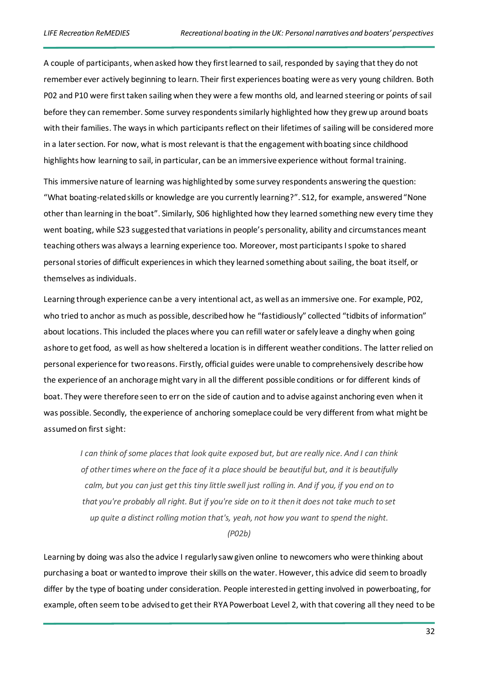A couple of participants, when asked how they first learned to sail, responded by saying that they do not remember ever actively beginning to learn. Their first experiences boating were as very young children. Both P02 and P10 were first taken sailing when they were a few months old, and learned steering or points of sail before they can remember. Some survey respondents similarly highlighted how they grew up around boats with their families. The ways in which participants reflect on their lifetimes of sailing will be considered more in a later section. For now, what is most relevant is that the engagement with boating since childhood highlights how learning to sail, in particular, can be an immersive experience without formal training.

This immersive nature of learning was highlighted by some survey respondents answering the question: "What boating-related skills or knowledge are you currently learning?". S12, for example, answered "None other than learning in the boat". Similarly, S06 highlighted how they learned something new every time they went boating, while S23 suggested that variations in people's personality, ability and circumstances meant teaching others was always a learning experience too. Moreover, most participants I spoke to shared personal stories of difficult experiences in which they learned something about sailing, the boat itself, or themselves as individuals.

Learning through experience can be a very intentional act, as well as an immersive one. For example, P02, who tried to anchor as much as possible, described how he "fastidiously" collected "tidbits of information" about locations. This included the places where you can refill water or safely leave a dinghy when going ashore to get food, as well as how sheltered a location is in different weather conditions. The latter relied on personal experience for two reasons. Firstly, official guides were unable to comprehensively describe how the experience of an anchorage might vary in all the different possible conditions or for different kinds of boat. They were therefore seen to err on the side of caution and to advise against anchoring even when it was possible. Secondly, the experience of anchoring someplace could be very different from what might be assumed on first sight:

*I can think of some places that look quite exposed but, but are really nice. And I can think of other times where on the face of it a place should be beautiful but, and it is beautifully calm, but you can just get this tiny little swell just rolling in. And if you, if you end on to that you're probably all right. But if you're side on to it then it does not take much to set up quite a distinct rolling motion that's, yeah, not how you want to spend the night. (P02b)*

Learning by doing was also the advice I regularly saw given online to newcomers who were thinking about purchasing a boat or wanted to improve their skills on the water. However, this advice did seem to broadly differ by the type of boating under consideration. People interested in getting involved in powerboating, for example, often seem to be advised to get their RYA Powerboat Level 2, with that covering all they need to be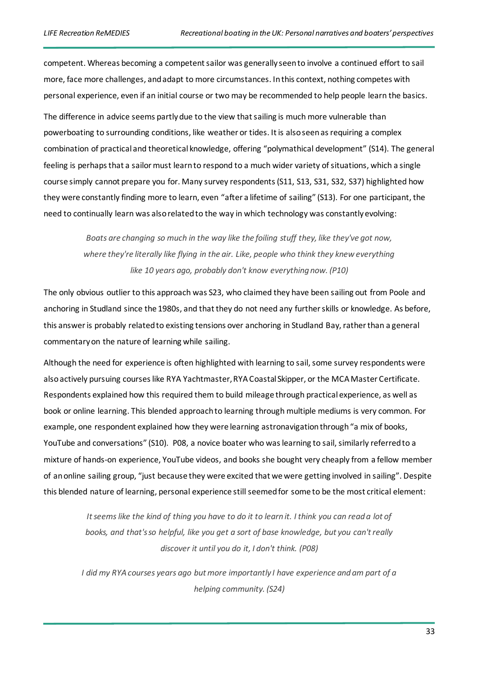competent. Whereas becoming a competent sailor was generally seen to involve a continued effort to sail more, face more challenges, and adapt to more circumstances. In this context, nothing competes with personal experience, even if an initial course or two may be recommended to help people learn the basics.

The difference in advice seems partly due to the view that sailing is much more vulnerable than powerboating to surrounding conditions, like weather or tides. It is also seen as requiring a complex combination of practical and theoretical knowledge, offering "polymathical development" (S14). The general feeling is perhaps that a sailor must learn to respond to a much wider variety of situations, which a single course simply cannot prepare you for. Many survey respondents (S11, S13, S31, S32, S37) highlighted how they were constantly finding more to learn, even "after a lifetime of sailing" (S13). For one participant, the need to continually learn was also related to the way in which technology was constantly evolving:

> *Boats are changing so much in the way like the foiling stuff they, like they've got now, where they're literally like flying in the air. Like, people who think they knew everything like 10 years ago, probably don't know everything now. (P10)*

The only obvious outlier to this approach was S23, who claimed they have been sailing out from Poole and anchoring in Studland since the 1980s, and that they do not need any further skills or knowledge. As before, this answer is probably related to existing tensions over anchoring in Studland Bay, rather than a general commentary on the nature of learning while sailing.

Although the need for experience is often highlighted with learning to sail, some survey respondents were also actively pursuing courses like RYA Yachtmaster, RYA Coastal Skipper, or the MCA Master Certificate. Respondents explained how this required them to build mileage through practical experience, as well as book or online learning. This blended approach to learning through multiple mediums is very common. For example, one respondent explained how they were learning astronavigation through "a mix of books, YouTube and conversations" (S10). P08, a novice boater who was learning to sail, similarly referred to a mixture of hands-on experience, YouTube videos, and books she bought very cheaply from a fellow member of an online sailing group, "just because they were excited that we were getting involved in sailing". Despite this blended nature of learning, personal experience still seemed for some to be the most critical element:

> *It seems like the kind of thing you have to do it to learn it. I think you can read a lot of books, and that's so helpful, like you get a sort of base knowledge, but you can't really discover it until you do it, I don't think. (P08)*

*I did my RYA courses years ago but more importantly I have experience and am part of a helping community. (S24)*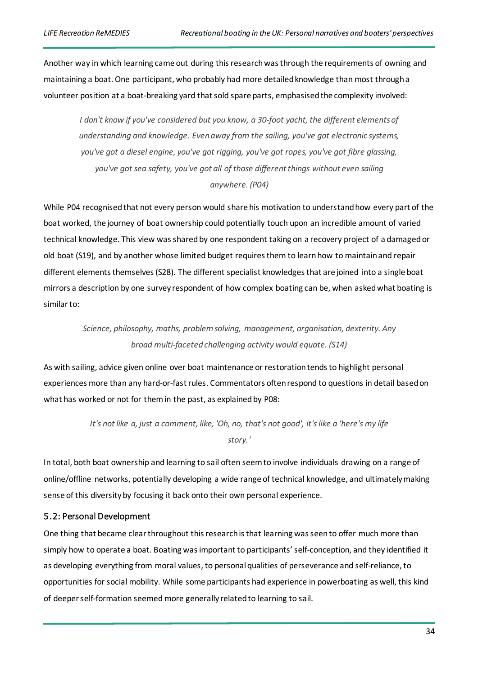Another way in which learning came out during this research was through the requirements of owning and maintaining a boat. One participant, who probably had more detailed knowledge than most through a volunteer position at a boat-breaking yard that sold spare parts, emphasised the complexity involved:

*I don't know if you've considered but you know, a 30-foot yacht, the different elements of understanding and knowledge. Even away from the sailing, you've got electronic systems, you've got a diesel engine, you've got rigging, you've got ropes, you've got fibre glassing, you've got sea safety, you've got all of those different things without even sailing anywhere. (P04)*

While P04 recognised that not every person would share his motivation to understand how every part of the boat worked, the journey of boat ownership could potentially touch upon an incredible amount of varied technical knowledge. This view was shared by one respondent taking on a recovery project of a damaged or old boat (S19), and by another whose limited budget requires them to learn how to maintain and repair different elements themselves (S28). The different specialist knowledges that are joined into a single boat mirrors a description by one survey respondent of how complex boating can be, when asked what boating is similar to:

> *Science, philosophy, maths, problem solving, management, organisation, dexterity. Any broad multi-faceted challenging activity would equate. (S14)*

As with sailing, advice given online over boat maintenance or restoration tends to highlight personal experiences more than any hard-or-fast rules. Commentators often respond to questions in detail based on what has worked or not for them in the past, as explained by P08:

> *It's not like a, just a comment, like, 'Oh, no, that's not good', it's like a 'here's my life story.'*

In total, both boat ownership and learning to sail often seem to involve individuals drawing on a range of online/offline networks, potentially developing a wide range of technical knowledge, and ultimately making sense of this diversity by focusing it back onto their own personal experience.

#### <span id="page-35-0"></span>5.2: Personal Development

One thing that became clear throughout this research is that learning was seen to offer much more than simply how to operate a boat. Boating was important to participants' self-conception, and they identified it as developing everything from moral values, to personal qualities of perseverance and self-reliance, to opportunities for social mobility. While some participants had experience in powerboating as well, this kind of deeper self-formation seemed more generally related to learning to sail.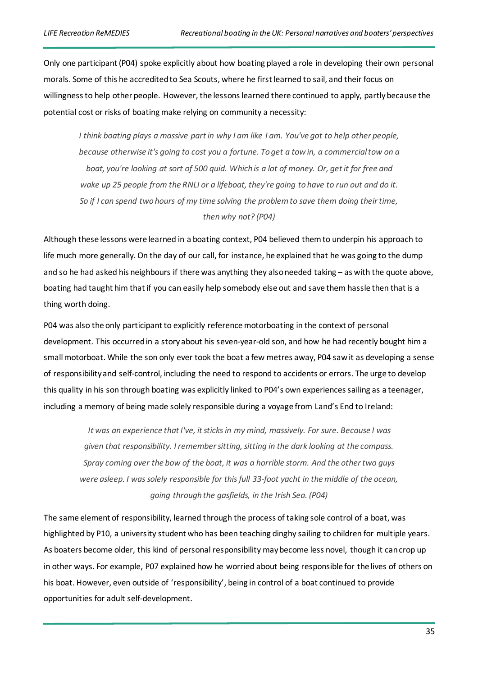Only one participant (P04) spoke explicitly about how boating played a role in developing their own personal morals. Some of this he accredited to Sea Scouts, where he first learned to sail, and their focus on willingness to help other people. However, the lessons learned there continued to apply, partly because the potential cost or risks of boating make relying on community a necessity:

*I think boating plays a massive part in why I am like I am. You've got to help other people, because otherwise it's going to cost you a fortune. To get a tow in, a commercial tow on a boat, you're looking at sort of 500 quid. Which is a lot of money. Or, get it for free and wake up 25 people from the RNLI or a lifeboat, they're going to have to run out and do it. So if I can spend two hours of my time solving the problem to save them doing their time, then why not? (P04)*

Although these lessons were learned in a boating context, P04 believed them to underpin his approach to life much more generally. On the day of our call, for instance, he explained that he was going to the dump and so he had asked his neighbours if there was anything they also needed taking – as with the quote above, boating had taught him that if you can easily help somebody else out and save them hassle then that is a thing worth doing.

P04 was also the only participant to explicitly reference motorboating in the context of personal development. This occurred in a story about his seven-year-old son, and how he had recently bought him a small motorboat. While the son only ever took the boat a few metres away, P04 saw it as developing a sense of responsibility and self-control, including the need to respond to accidents or errors. The urge to develop this quality in his son through boating was explicitly linked to P04's own experiences sailing as a teenager, including a memory of being made solely responsible during a voyage from Land's End to Ireland:

*It was an experience that I've, it sticks in my mind, massively. For sure. Because I was given that responsibility. I remember sitting, sitting in the dark looking at the compass. Spray coming over the bow of the boat, it was a horrible storm. And the other two guys were asleep. I was solely responsible for this full 33-foot yacht in the middle of the ocean, going through the gasfields, in the Irish Sea. (P04)*

The same element of responsibility, learned through the process of taking sole control of a boat, was highlighted by P10, a university student who has been teaching dinghy sailing to children for multiple years. As boaters become older, this kind of personal responsibility may become less novel, though it can crop up in other ways. For example, P07 explained how he worried about being responsible for the lives of others on his boat. However, even outside of 'responsibility', being in control of a boat continued to provide opportunities for adult self-development.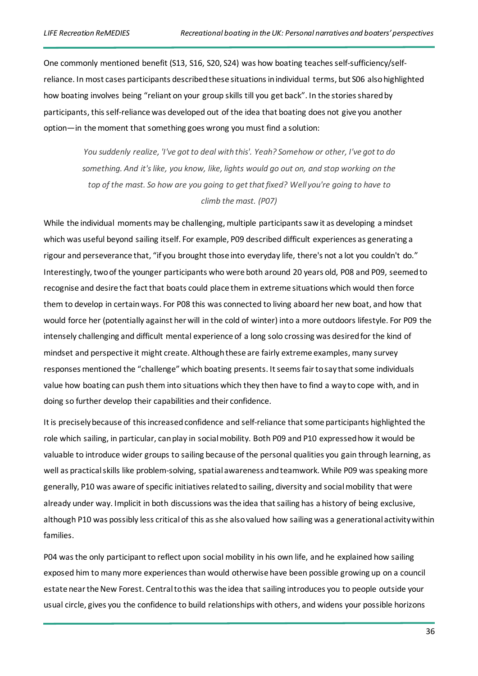One commonly mentioned benefit (S13, S16, S20, S24) was how boating teaches self-sufficiency/selfreliance. In most cases participants described these situations in individual terms, but S06 also highlighted how boating involves being "reliant on your group skills till you get back". In the stories shared by participants, this self-reliance was developed out of the idea that boating does not give you another option—in the moment that something goes wrong you must find a solution:

> *You suddenly realize, 'I've got to deal with this'. Yeah? Somehow or other, I've got to do something. And it's like, you know, like, lights would go out on, and stop working on the top of the mast. So how are you going to get that fixed? Well you're going to have to climb the mast. (P07)*

While the individual moments may be challenging, multiple participants saw it as developing a mindset which was useful beyond sailing itself. For example, P09 described difficult experiences as generating a rigour and perseverance that, "if you brought those into everyday life, there's not a lot you couldn't do." Interestingly, two of the younger participants who were both around 20 years old, P08 and P09, seemed to recognise and desire the fact that boats could place them in extreme situations which would then force them to develop in certain ways. For P08 this was connected to living aboard her new boat, and how that would force her (potentially against her will in the cold of winter) into a more outdoors lifestyle. For P09 the intensely challenging and difficult mental experience of a long solo crossing was desired for the kind of mindset and perspective it might create. Although these are fairly extreme examples, many survey responses mentioned the "challenge" which boating presents. It seems fair to say that some individuals value how boating can push them into situations which they then have to find a way to cope with, and in doing so further develop their capabilities and their confidence.

It is precisely because of this increased confidence and self-reliance that some participants highlighted the role which sailing, in particular, can play in social mobility. Both P09 and P10 expressed how it would be valuable to introduce wider groups to sailing because of the personal qualities you gain through learning, as well as practical skills like problem-solving, spatial awareness and teamwork. While P09 was speaking more generally, P10 was aware of specific initiatives related to sailing, diversity and social mobility that were already under way. Implicit in both discussions was the idea that sailing has a history of being exclusive, although P10 was possibly less critical of this as she also valued how sailing was a generational activity within families.

P04 was the only participant to reflect upon social mobility in his own life, and he explained how sailing exposed him to many more experiences than would otherwise have been possible growing up on a council estate near the New Forest. Central to this was the idea that sailing introduces you to people outside your usual circle, gives you the confidence to build relationships with others, and widens your possible horizons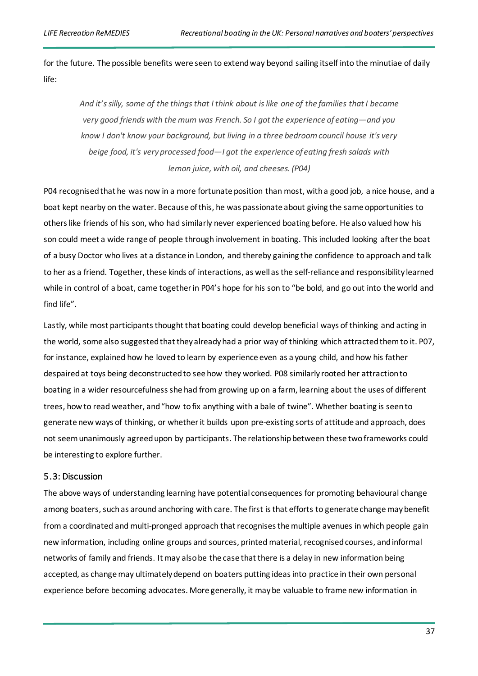for the future. The possible benefits were seen to extend way beyond sailing itself into the minutiae of daily life:

*And it's silly, some of the things that I think about is like one of the families that I became very good friends with the mum was French. So I got the experience of eating—and you know I don't know your background, but living in a three bedroom council house it's very beige food, it's very processed food—I got the experience of eating fresh salads with lemon juice, with oil, and cheeses. (P04)*

P04 recognised that he was now in a more fortunate position than most, with a good job, a nice house, and a boat kept nearby on the water. Because of this, he was passionate about giving the same opportunities to others like friends of his son, who had similarly never experienced boating before. He also valued how his son could meet a wide range of people through involvement in boating. This included looking after the boat of a busy Doctor who lives at a distance in London, and thereby gaining the confidence to approach and talk to her as a friend. Together, these kinds of interactions, as well as the self-reliance and responsibility learned while in control of a boat, came together in P04's hope for his son to "be bold, and go out into the world and find life".

Lastly, while most participants thought that boating could develop beneficial ways of thinking and acting in the world, some also suggested thatthey already had a prior way of thinking which attracted them to it. P07, for instance, explained how he loved to learn by experience even as a young child, and how his father despaired at toys being deconstructed to see how they worked. P08 similarly rooted her attraction to boating in a wider resourcefulness she had from growing up on a farm, learning about the uses of different trees, how to read weather, and "how to fix anything with a bale of twine". Whether boating is seen to generate new ways of thinking, or whether it builds upon pre-existing sorts of attitude and approach, does not seem unanimously agreed upon by participants. The relationship between these two frameworks could be interesting to explore further.

#### 5.3: Discussion

The above ways of understanding learning have potential consequences for promoting behavioural change among boaters, such as around anchoring with care. The first is that efforts to generate change may benefit from a coordinated and multi-pronged approach that recognises themultiple avenues in which people gain new information, including online groups and sources, printed material, recognised courses, and informal networks of family and friends. It may also be the case that there is a delay in new information being accepted, as change may ultimately depend on boaters putting ideas into practice in their own personal experience before becoming advocates. More generally, it may be valuable to frame new information in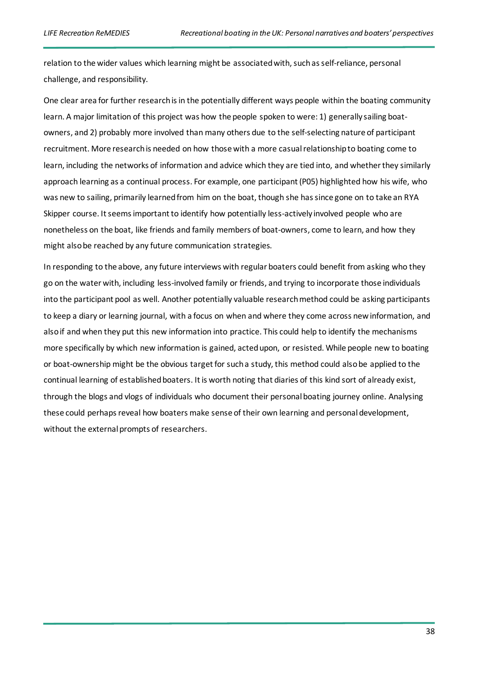relation to the wider values which learning might be associatedwith, such as self-reliance, personal challenge, and responsibility.

One clear area for further research is in the potentially different ways people within the boating community learn. A major limitation of this project was how the people spoken to were: 1) generally sailing boatowners, and 2) probably more involved than many others due to the self-selecting nature of participant recruitment. More research is needed on how those with a more casual relationship to boating come to learn, including the networks of information and advice which they are tied into, and whether they similarly approach learning as a continual process. For example, one participant (P05) highlighted how his wife, who was new to sailing, primarily learned from him on the boat, though she has since gone on to take an RYA Skipper course. It seems important to identify how potentially less-actively involved people who are nonetheless on the boat, like friends and family members of boat-owners, come to learn, and how they might also be reached by any future communication strategies.

In responding to the above, any future interviews with regular boaters could benefit from asking who they go on the water with, including less-involved family or friends, and trying to incorporate those individuals into the participant pool as well. Another potentially valuable research method could be asking participants to keep a diary or learning journal, with a focus on when and where they come across new information, and also if and when they put this new information into practice. This could help to identify the mechanisms more specifically by which new information is gained, acted upon, or resisted. While people new to boating or boat-ownership might be the obvious target for such a study, this method could also be applied to the continual learning of established boaters. It is worth noting that diaries of this kind sort of already exist, through the blogs and vlogs of individuals who document their personal boating journey online. Analysing these could perhaps reveal how boaters make sense of their own learning and personal development, without the external prompts of researchers.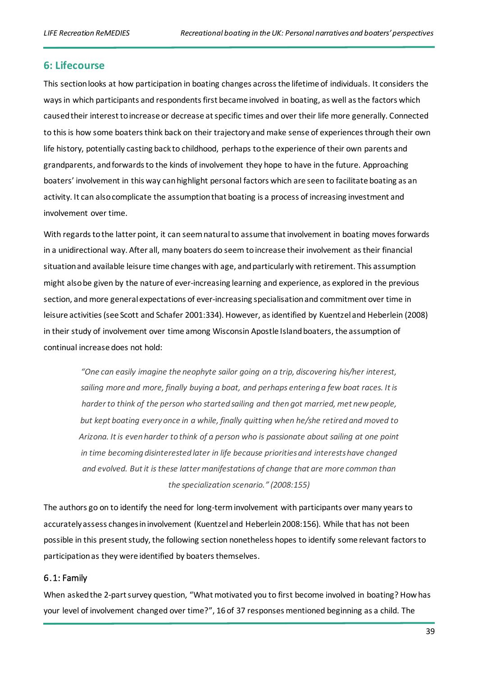## **6: Lifecourse**

This section looks at how participation in boating changes across the lifetime of individuals. It considers the ways in which participants and respondents first became involved in boating, as well as the factors which caused their interest to increase or decrease at specific times and over their life more generally. Connected to this is how some boaters think back on their trajectory and make sense of experiences through their own life history, potentially casting back to childhood, perhaps to the experience of their own parents and grandparents, and forwards to the kinds of involvement they hope to have in the future. Approaching boaters' involvement in this way can highlight personal factors which are seen to facilitate boating as an activity. It can also complicate the assumption that boating is a process of increasing investment and involvement over time.

With regards to the latter point, it can seem natural to assume that involvement in boating moves forwards in a unidirectional way. After all, many boaters do seem to increase their involvement as their financial situation and available leisure time changes with age, and particularly with retirement. This assumption might also be given by the nature of ever-increasing learning and experience, as explored in the previous section, and more general expectations of ever-increasing specialisation and commitment over time in leisure activities (see Scott and Schafer 2001:334). However, as identified by Kuentzel and Heberlein (2008) in their study of involvement over time among Wisconsin Apostle Island boaters, the assumption of continual increase does not hold:

*"One can easily imagine the neophyte sailor going on a trip, discovering his/her interest, sailing more and more, finally buying a boat, and perhaps entering a few boat races. It is harder to think of the person who started sailing and then got married, met new people, but kept boating every once in a while, finally quitting when he/she retired and moved to Arizona. It is even harder to think of a person who is passionate about sailing at one point in time becoming disinterested later in life because priorities and interests have changed and evolved. But it is these latter manifestations of change that are more common than the specialization scenario." (2008:155)*

The authors go on to identify the need for long-term involvement with participants over many years to accurately assess changes in involvement (Kuentzel and Heberlein 2008:156). While that has not been possible in this present study, the following section nonetheless hopes to identify some relevant factors to participation as they were identified by boaters themselves.

### 6.1: Family

When asked the 2-part survey question, "What motivated you to first become involved in boating? How has your level of involvement changed over time?", 16 of 37 responses mentioned beginning as a child. The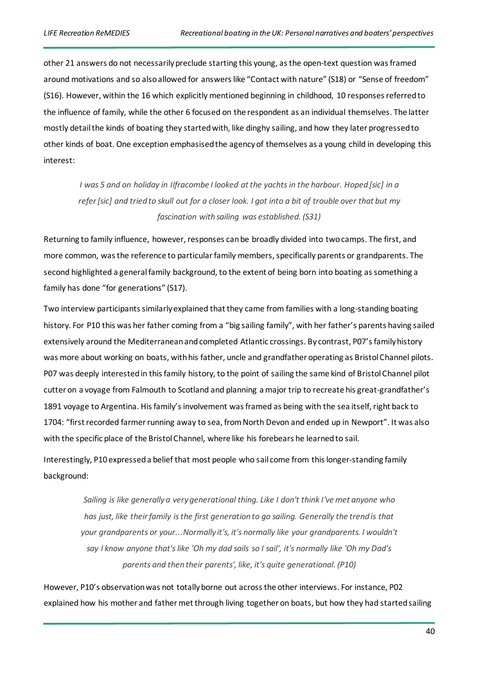other 21 answers do not necessarily preclude starting this young, asthe open-text question was framed around motivations and so also allowed for answers like "Contact with nature" (S18) or "Sense of freedom" (S16). However, within the 16 which explicitly mentioned beginning in childhood, 10 responses referred to the influence of family, while the other 6 focused on the respondent as an individual themselves. The latter mostly detail the kinds of boating they started with, like dinghy sailing, and how they later progressed to other kinds of boat. One exception emphasised the agency of themselves as a young child in developing this interest:

*I was 5 and on holiday in Ilfracombe I looked at the yachts in the harbour. Hoped [sic] in a refer [sic] and tried to skull out for a closer look. I got into a bit of trouble over that but my fascination with sailing was established. (S31)*

Returning to family influence, however, responses can be broadly divided into two camps. The first, and more common, was the reference to particular family members, specifically parents or grandparents. The second highlighted a general family background, to the extent of being born into boating as something a family has done "for generations" (S17).

Two interview participants similarly explained that they came from families with a long-standing boating history. For P10 this was her father coming from a "big sailing family", with her father's parents having sailed extensively around the Mediterranean and completed Atlantic crossings. By contrast, P07's family history was more about working on boats, with his father, uncle and grandfather operating as Bristol Channel pilots. P07 was deeply interested in this family history, to the point of sailing the same kind of Bristol Channel pilot cutter on a voyage from Falmouth to Scotland and planning a major trip to recreate his great-grandfather's 1891 voyage to Argentina. His family's involvement was framed as being with the sea itself, right back to 1704: "first recorded farmer running away to sea, from North Devon and ended up in Newport". It was also with the specific place of the Bristol Channel, where like his forebears he learned to sail.

Interestingly, P10 expressed a belief that most people who sail come from this longer-standing family background:

> *Sailing is like generally a very generational thing. Like I don't think I've met anyone who has just, like their family is the first generation to go sailing. Generally the trend is that your grandparents or your...Normally it's, it's normally like your grandparents. I wouldn't say I know anyone that's like 'Oh my dad sails so I sail', it's normally like 'Oh my Dad's parents and then their parents', like, it's quite generational. (P10)*

However, P10's observation was not totally borne out across the other interviews. For instance, P02 explained how his mother and father met through living together on boats, but how they had started sailing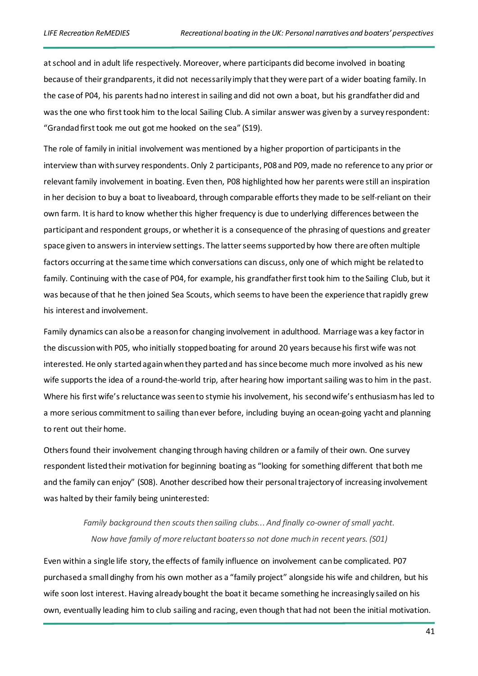at school and in adult life respectively. Moreover, where participants did become involved in boating because of their grandparents, it did not necessarily imply that they were part of a wider boating family. In the case of P04, his parents had no interest in sailing and did not own a boat, but his grandfather did and was the one who first took him to the local Sailing Club. A similar answer was given by a survey respondent: "Grandad first took me out got me hooked on the sea" (S19).

The role of family in initial involvement was mentioned by a higher proportion of participants in the interview than with survey respondents. Only 2 participants, P08 and P09, made no reference to any prior or relevant family involvement in boating. Even then, P08 highlighted how her parents were still an inspiration in her decision to buy a boat to liveaboard, through comparable efforts they made to be self-reliant on their own farm. It is hard to know whether this higher frequency is due to underlying differences between the participant and respondent groups, or whether it is a consequence of the phrasing of questions and greater space given to answers in interview settings. The latter seems supported by how there are often multiple factors occurring at the same time which conversations can discuss, only one of which might be related to family. Continuing with the case of P04, for example, his grandfather first took him to the Sailing Club, but it was because of that he then joined Sea Scouts, which seems to have been the experience that rapidly grew his interest and involvement.

Family dynamics can also be a reason for changing involvement in adulthood. Marriage was a key factor in the discussion with P05, who initially stopped boating for around 20 years because his first wife was not interested. He only started again when they parted and has since become much more involved as his new wife supports the idea of a round-the-world trip, after hearing how important sailing was to him in the past. Where his first wife's reluctance was seen to stymie his involvement, his second wife's enthusiasm has led to a more serious commitment to sailing than ever before, including buying an ocean-going yacht and planning to rent out their home.

Others found their involvement changing through having children or a family of their own. One survey respondent listed their motivation for beginning boating as "looking for something different that both me and the family can enjoy" (S08). Another described how their personal trajectory of increasing involvement was halted by their family being uninterested:

# *Family background then scouts then sailing clubs... And finally co-owner of small yacht. Now have family of more reluctant boaters so not done much in recent years. (S01)*

Even within a single life story, the effects of family influence on involvement can be complicated. P07 purchased a small dinghy from his own mother as a "family project" alongside his wife and children, but his wife soon lost interest. Having already bought the boat it became something he increasingly sailed on his own, eventually leading him to club sailing and racing, even though that had not been the initial motivation.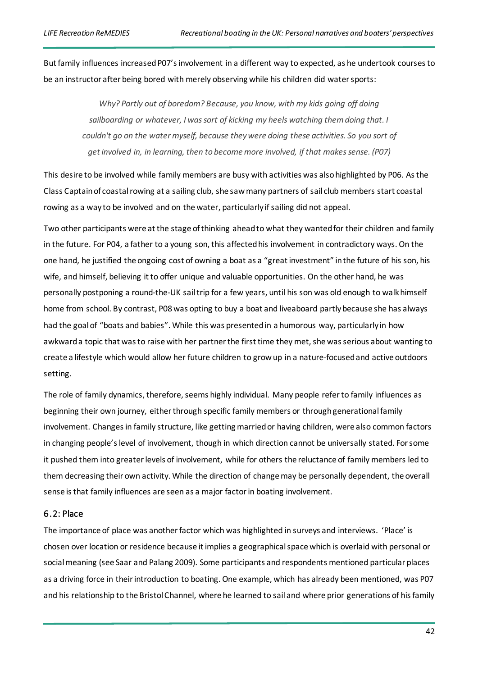But family influences increased P07's involvement in a different way to expected, as he undertook courses to be an instructor after being bored with merely observing while his children did water sports:

*Why? Partly out of boredom? Because, you know, with my kids going off doing sailboarding or whatever, I was sort of kicking my heels watching them doing that. I couldn't go on the water myself, because they were doing these activities. So you sort of get involved in, in learning, then to become more involved, if that makes sense. (P07)*

This desire to be involved while family members are busy with activities was also highlighted by P06. As the Class Captain of coastal rowing at a sailing club, she saw many partners of sail club members start coastal rowing as a way to be involved and on the water, particularly if sailing did not appeal.

Two other participants were at the stage of thinking ahead to what they wanted for their children and family in the future. For P04, a father to a young son, this affected his involvement in contradictory ways. On the one hand, he justified the ongoing cost of owning a boat as a "great investment" in the future of his son, his wife, and himself, believing it to offer unique and valuable opportunities. On the other hand, he was personally postponing a round-the-UK sail trip for a few years, until his son was old enough to walk himself home from school. By contrast, P08 was opting to buy a boat and liveaboard partly because she has always had the goal of "boats and babies". While this was presented in a humorous way, particularly in how awkward a topic that was to raise with her partner the first time they met, she was serious about wanting to create a lifestyle which would allow her future children to grow up in a nature-focused and active outdoors setting.

The role of family dynamics, therefore, seems highly individual. Many people refer to family influences as beginning their own journey, either through specific family members or through generational family involvement. Changes in family structure, like getting married or having children, were also common factors in changing people's level of involvement, though in which direction cannot be universally stated. For some it pushed them into greater levels of involvement, while for others the reluctance of family members led to them decreasing their own activity. While the direction of change may be personally dependent, the overall sense is that family influences are seen as a major factor in boating involvement.

### 6.2: Place

The importance of place was another factor which was highlighted in surveys and interviews. 'Place' is chosen over location or residence because it implies a geographical space which is overlaid with personal or social meaning (see Saar and Palang 2009). Some participants and respondents mentioned particular places as a driving force in their introduction to boating. One example, which has already been mentioned, was P07 and his relationship to the Bristol Channel, where he learned to sail and where prior generations of his family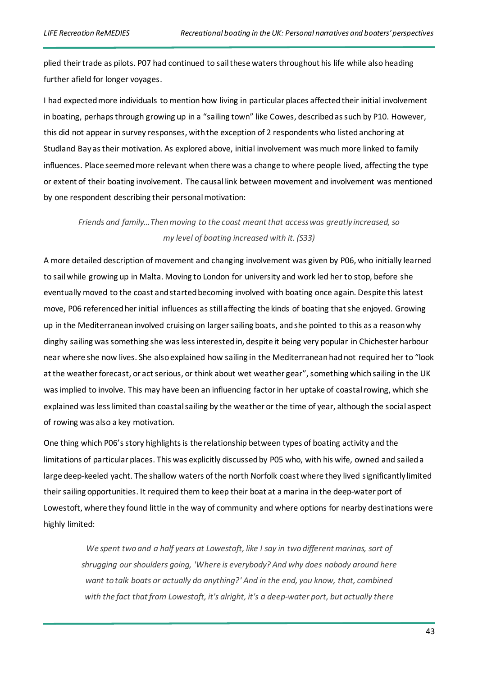plied their trade as pilots. P07 had continued to sail these waters throughout his life while also heading further afield for longer voyages.

I had expected more individuals to mention how living in particular places affected their initial involvement in boating, perhaps through growing up in a "sailing town" like Cowes, described as such by P10. However, this did not appear in survey responses, with the exception of 2 respondents who listed anchoring at Studland Bay as their motivation. As explored above, initial involvement was much more linked to family influences. Place seemed more relevant when there was a change to where people lived, affecting the type or extent of their boating involvement. The causal link between movement and involvement was mentioned by one respondent describing their personal motivation:

*Friends and family…Then moving to the coast meant that access was greatly increased, so my level of boating increased with it. (S33)*

A more detailed description of movement and changing involvement was given by P06, who initially learned to sail while growing up in Malta. Moving to London for university and work led her to stop, before she eventually moved to the coast and started becoming involved with boating once again. Despite this latest move, P06 referenced her initial influences as still affecting the kinds of boating that she enjoyed. Growing up in the Mediterranean involved cruising on larger sailing boats, and she pointed to this as a reason why dinghy sailing was something she was less interested in, despite it being very popular in Chichester harbour near where she now lives. She also explained how sailing in the Mediterranean had not required her to "look at the weather forecast, or act serious, or think about wet weather gear", something which sailing in the UK was implied to involve. This may have been an influencing factor in her uptake of coastal rowing, which she explained was less limited than coastal sailing by the weather or the time of year, although the social aspect of rowing was also a key motivation.

One thing which P06's story highlights is the relationship between types of boating activity and the limitations of particular places. This was explicitly discussed by P05 who, with his wife, owned and sailed a large deep-keeled yacht. The shallow waters of the north Norfolk coast where they lived significantly limited their sailing opportunities. It required them to keep their boat at a marina in the deep-water port of Lowestoft, where they found little in the way of community and where options for nearby destinations were highly limited:

*We spent two and a half years at Lowestoft, like I say in two different marinas, sort of shrugging our shoulders going, 'Where is everybody? And why does nobody around here want to talk boats or actually do anything?' And in the end, you know, that, combined with the fact that from Lowestoft, it's alright, it's a deep-water port, but actually there*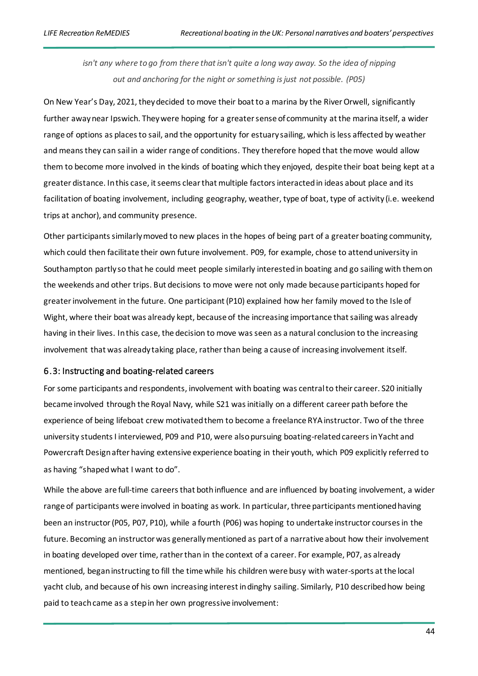*isn't any where to go from there that isn't quite a long way away. So the idea of nipping out and anchoring for the night or something is just not possible. (P05)*

On New Year's Day, 2021, they decided to move their boat to a marina by the River Orwell, significantly further away near Ipswich. They were hoping for a greater sense of community at the marina itself, a wider range of options as places to sail, and the opportunity for estuary sailing, which is less affected by weather and means they can sail in a wider range of conditions. They therefore hoped that the move would allow them to become more involved in the kinds of boating which they enjoyed, despite their boat being kept at a greater distance. In this case, it seems clear that multiple factors interacted in ideas about place and its facilitation of boating involvement, including geography, weather, type of boat, type of activity (i.e. weekend trips at anchor), and community presence.

Other participants similarly moved to new places in the hopes of being part of a greater boating community, which could then facilitate their own future involvement. P09, for example, chose to attend university in Southampton partly so that he could meet people similarly interested in boating and go sailing with them on the weekends and other trips. But decisions to move were not only made because participants hoped for greater involvement in the future. One participant (P10) explained how her family moved to the Isle of Wight, where their boat was already kept, because of the increasing importance that sailing was already having in their lives. In this case, the decision to move was seen as a natural conclusion to the increasing involvement that was already taking place, rather than being a cause of increasing involvement itself.

#### 6.3: Instructing and boating-related careers

For some participants and respondents, involvement with boating was central to their career. S20 initially became involved through the Royal Navy, while S21 was initially on a different career path before the experience of being lifeboat crew motivated them to become a freelance RYA instructor. Two of the three university students I interviewed, P09 and P10, were also pursuing boating-related careers in Yacht and Powercraft Design after having extensive experience boating in their youth, which P09 explicitly referred to as having "shaped what I want to do".

While the above are full-time careers that both influence and are influenced by boating involvement, a wider range of participants were involved in boating as work. In particular, three participants mentioned having been an instructor (P05, P07, P10), while a fourth (P06) was hoping to undertake instructor courses in the future. Becoming an instructor was generally mentioned as part of a narrative about how their involvement in boating developed over time, rather than in the context of a career. For example, P07, as already mentioned, began instructing to fill the time while his children were busy with water-sports at the local yacht club, and because of his own increasing interest in dinghy sailing. Similarly, P10 described how being paid to teach came as a step in her own progressive involvement: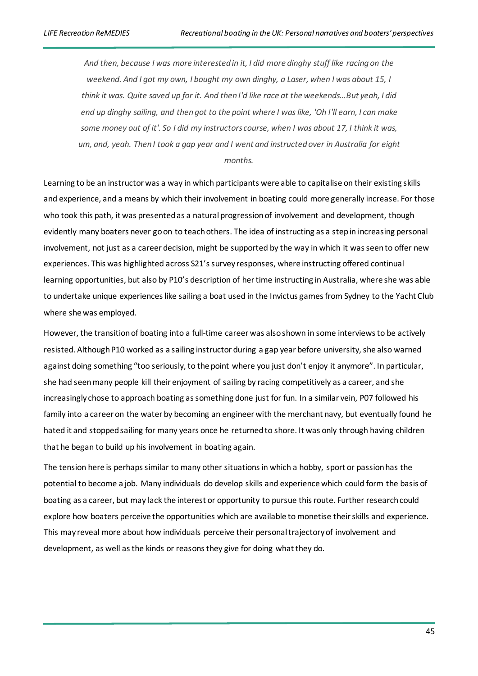*And then, because I was more interested in it, I did more dinghy stuff like racing on the weekend. And I got my own, I bought my own dinghy, a Laser, when I was about 15, I think it was. Quite saved up for it. And then I'd like race at the weekends…But yeah, I did end up dinghy sailing, and then got to the point where I was like, 'Oh I'll earn, I can make some money out of it'. So I did my instructors course, when I was about 17, I think it was, um, and, yeah. Then I took a gap year and I went and instructed over in Australia for eight months.* 

Learning to be an instructor was a way in which participants were able to capitalise on their existing skills and experience, and a means by which their involvement in boating could more generally increase. For those who took this path, it was presented as a natural progression of involvement and development, though evidently many boaters never go on to teach others. The idea of instructing as a step in increasing personal involvement, not just as a career decision, might be supported by the way in which it was seen to offer new experiences. This was highlighted across S21's survey responses, where instructing offered continual learning opportunities, but also by P10's description of her time instructing in Australia, where she was able to undertake unique experiences like sailing a boat used in the Invictus games from Sydney to the Yacht Club where she was employed.

However, the transition of boating into a full-time career was also shown in some interviews to be actively resisted. Although P10 worked as a sailing instructor during a gap year before university, she also warned against doing something "too seriously, to the point where you just don't enjoy it anymore". In particular, she had seen many people kill their enjoyment of sailing by racing competitively as a career, and she increasingly chose to approach boating as something done just for fun. In a similar vein, P07 followed his family into a career on the water by becoming an engineer with the merchant navy, but eventually found he hated it and stopped sailing for many years once he returned to shore. It was only through having children that he began to build up his involvement in boating again.

The tension here is perhaps similar to many other situations in which a hobby, sport or passion has the potential to become a job. Many individuals do develop skills and experience which could form the basis of boating as a career, but may lack the interest or opportunity to pursue this route. Further research could explore how boaters perceive the opportunities which are available to monetise their skills and experience. This may reveal more about how individuals perceive their personal trajectory of involvement and development, as well as the kinds or reasons they give for doing what they do.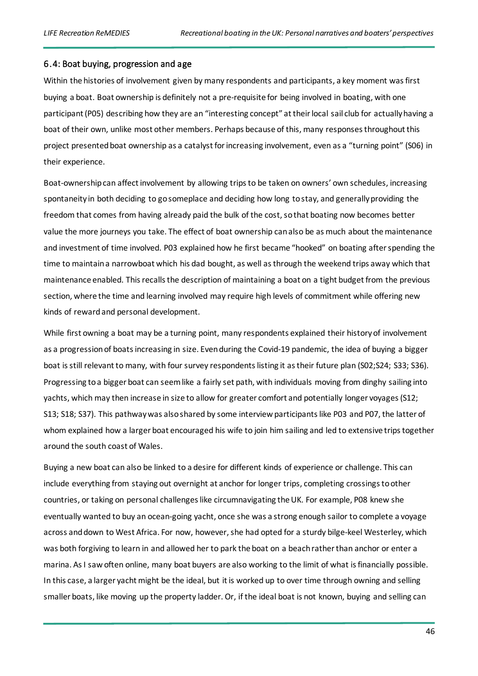#### 6.4: Boat buying, progression and age

Within the histories of involvement given by many respondents and participants, a key moment was first buying a boat. Boat ownership is definitely not a pre-requisite for being involved in boating, with one participant (P05) describing how they are an "interesting concept" at their local sail club for actually having a boat of their own, unlike most other members. Perhaps because of this, many responses throughout this project presented boat ownership as a catalyst for increasing involvement, even as a "turning point" (S06) in their experience.

Boat-ownership can affect involvement by allowing trips to be taken on owners' own schedules, increasing spontaneity in both deciding to go someplace and deciding how long to stay, and generally providing the freedom that comes from having already paid the bulk of the cost, so that boating now becomes better value the more journeys you take. The effect of boat ownership can also be as much about the maintenance and investment of time involved. P03 explained how he first became "hooked" on boating after spending the time to maintain a narrowboat which his dad bought, as well as through the weekend trips away which that maintenance enabled. This recalls the description of maintaining a boat on a tight budget from the previous section, where the time and learning involved may require high levels of commitment while offering new kinds of reward and personal development.

While first owning a boat may be a turning point, many respondents explained their history of involvement as a progression of boats increasing in size. Even during the Covid-19 pandemic, the idea of buying a bigger boat is still relevant to many, with four survey respondents listing it as their future plan (S02;S24; S33; S36). Progressing to a bigger boat can seem like a fairly set path, with individuals moving from dinghy sailing into yachts, which may then increase in size to allow for greater comfort and potentially longer voyages (S12; S13; S18; S37). This pathway was also shared by some interview participants like P03 and P07, the latter of whom explained how a larger boat encouraged his wife to join him sailing and led to extensive trips together around the south coast of Wales.

Buying a new boat can also be linked to a desire for different kinds of experience or challenge. This can include everything from staying out overnight at anchor for longer trips, completing crossings to other countries, or taking on personal challenges like circumnavigating the UK. For example, P08 knew she eventually wanted to buy an ocean-going yacht, once she was a strong enough sailor to complete a voyage across and down to West Africa. For now, however, she had opted for a sturdy bilge-keel Westerley, which was both forgiving to learn in and allowed her to park the boat on a beach rather than anchor or enter a marina. As I saw often online, many boat buyers are also working to the limit of what is financially possible. In this case, a larger yacht might be the ideal, but it is worked up to over time through owning and selling smaller boats, like moving up the property ladder. Or, if the ideal boat is not known, buying and selling can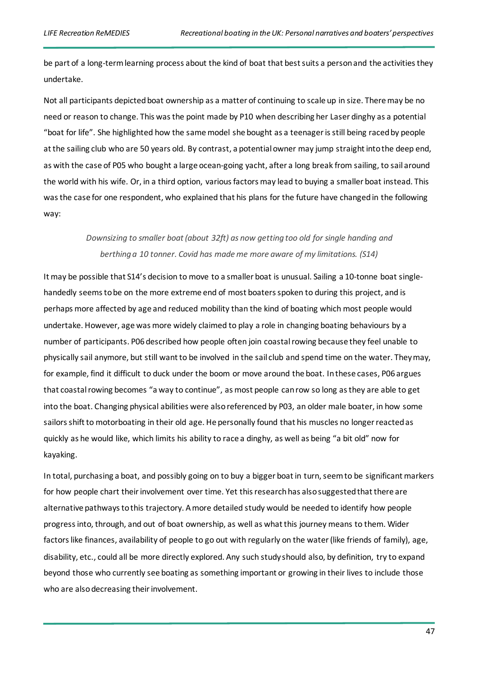be part of a long-term learning process about the kind of boat that best suits a person and the activities they undertake.

Not all participants depicted boat ownership as a matter of continuing to scale up in size. There may be no need or reason to change. This was the point made by P10 when describing her Laser dinghy as a potential "boat for life". She highlighted how the same model she bought as a teenager is still being raced by people at the sailing club who are 50 years old. By contrast, a potential owner may jump straight into the deep end, as with the case of P05 who bought a large ocean-going yacht, after a long break from sailing, to sail around the world with his wife. Or, in a third option, various factors may lead to buying a smaller boat instead. This was the case for one respondent, who explained that his plans for the future have changed in the following way:

# *Downsizing to smaller boat (about 32ft) as now getting too old for single handing and berthing a 10 tonner. Covid has made me more aware of my limitations. (S14)*

It may be possible that S14's decision to move to a smaller boat is unusual. Sailing a 10-tonne boat singlehandedly seems to be on the more extreme end of most boaters spoken to during this project, and is perhaps more affected by age and reduced mobility than the kind of boating which most people would undertake. However, age was more widely claimed to play a role in changing boating behaviours by a number of participants. P06 described how people often join coastal rowing because they feel unable to physically sail anymore, but still want to be involved in the sail club and spend time on the water. They may, for example, find it difficult to duck under the boom or move around the boat. In these cases, P06 argues that coastal rowing becomes "a way to continue", as most people can row so long as they are able to get into the boat. Changing physical abilities were also referenced by P03, an older male boater, in how some sailors shift to motorboating in their old age. He personally found that his muscles no longer reacted as quickly as he would like, which limits his ability to race a dinghy, as well as being "a bit old" now for kayaking.

In total, purchasing a boat, and possibly going on to buy a bigger boat in turn, seem to be significant markers for how people chart their involvement over time. Yet this research has also suggested that there are alternative pathways to this trajectory. A more detailed study would be needed to identify how people progress into, through, and out of boat ownership, as well as what this journey means to them. Wider factors like finances, availability of people to go out with regularly on the water (like friends of family), age, disability, etc., could all be more directly explored. Any such study should also, by definition, try to expand beyond those who currently see boating as something important or growing in their lives to include those who are also decreasing their involvement.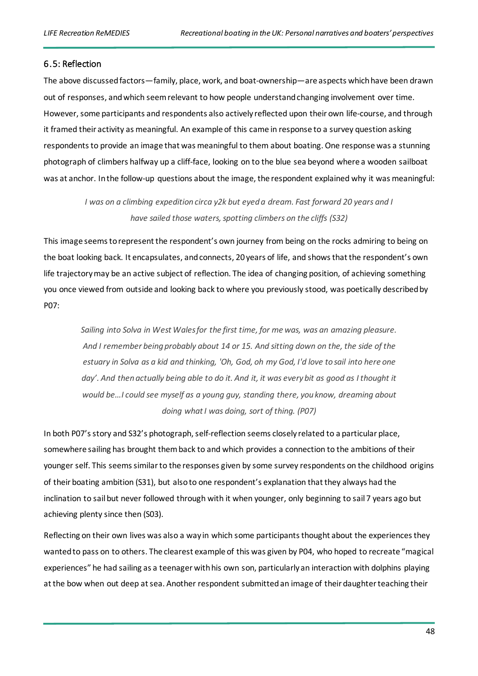# 6.5: Reflection

The above discussed factors—family, place, work, and boat-ownership—are aspects which have been drawn out of responses, and which seem relevant to how people understand changing involvement over time. However, some participants and respondents also actively reflected upon their own life-course, and through it framed their activity as meaningful. An example of this came in response to a survey question asking respondents to provide an image that was meaningful to them about boating. One response was a stunning photograph of climbers halfway up a cliff-face, looking on to the blue sea beyond where a wooden sailboat was at anchor. In the follow-up questions about the image, the respondent explained why it was meaningful:

> *I was on a climbing expedition circa y2k but eyed a dream. Fast forward 20 years and I have sailed those waters, spotting climbers on the cliffs (S32)*

This image seems to represent the respondent's own journey from being on the rocks admiring to being on the boat looking back. It encapsulates, and connects, 20 years of life, and shows that the respondent's own life trajectory may be an active subject of reflection. The idea of changing position, of achieving something you once viewed from outside and looking back to where you previously stood, was poetically described by P07:

*Sailing into Solva in West Wales for the first time, for me was, was an amazing pleasure. And I remember being probably about 14 or 15. And sitting down on the, the side of the estuary in Solva as a kid and thinking, 'Oh, God, oh my God, I'd love to sail into here one*  day'. And then actually being able to do it. And it, it was every bit as good as I thought it *would be…I could see myself as a young guy, standing there, you know, dreaming about doing what I was doing, sort of thing. (P07)*

In both P07's story and S32's photograph, self-reflection seems closely related to a particular place, somewhere sailing has brought them back to and which provides a connection to the ambitions of their younger self. This seems similar to the responses given by some survey respondents on the childhood origins of their boating ambition (S31), but also to one respondent's explanation that they always had the inclination to sail but never followed through with it when younger, only beginning to sail 7 years ago but achieving plenty since then (S03).

Reflecting on their own lives was also a way in which some participants thought about the experiences they wanted to pass on to others. The clearest example of this was given by P04, who hoped to recreate "magical experiences" he had sailing as a teenager with his own son, particularly an interaction with dolphins playing at the bow when out deep at sea. Another respondent submitted an image of their daughter teaching their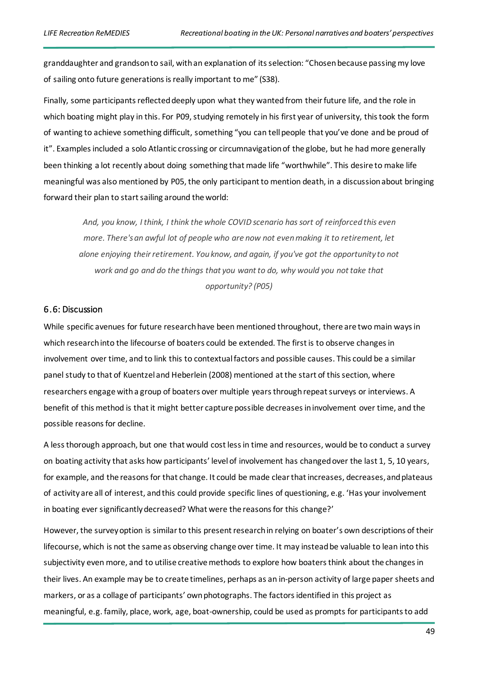granddaughter and grandsonto sail, with an explanation of its selection: "Chosen because passing my love of sailing onto future generations is really important to me" (S38).

Finally, some participants reflected deeply upon what they wanted from their future life, and the role in which boating might play in this. For P09, studying remotely in his first year of university, this took the form of wanting to achieve something difficult, something "you can tell people that you've done and be proud of it". Examples included a solo Atlantic crossing or circumnavigation of the globe, but he had more generally been thinking a lot recently about doing something that made life "worthwhile". This desire to make life meaningful was also mentioned by P05, the only participant to mention death, in a discussion about bringing forward their plan to start sailing around the world:

*And, you know, I think, I think the whole COVID scenario has sort of reinforced this even more. There's an awful lot of people who are now not even making it to retirement, let alone enjoying their retirement. You know, and again, if you've got the opportunity to not work and go and do the things that you want to do, why would you not take that opportunity? (P05)*

#### 6.6: Discussion

While specific avenues for future research have been mentioned throughout, there are two main ways in which research into the lifecourse of boaters could be extended. The first is to observe changes in involvement over time, and to link this to contextual factors and possible causes. This could be a similar panel study to that of Kuentzel and Heberlein (2008) mentioned at the start of this section, where researchers engage with a group of boaters over multiple years through repeat surveys or interviews. A benefit of this method is that it might better capture possible decreases in involvement over time, and the possible reasons for decline.

A less thorough approach, but one that would cost less in time and resources, would be to conduct a survey on boating activity that asks how participants' level of involvement has changed over the last 1, 5, 10 years, for example, and the reasons for that change. It could be made clear that increases, decreases, and plateaus of activity are all of interest, and this could provide specific lines of questioning, e.g. 'Has your involvement in boating ever significantly decreased? What were the reasons for this change?'

However, the survey option is similar to this present research in relying on boater's own descriptions of their lifecourse, which is not the same as observing change over time. It may instead be valuable to lean into this subjectivity even more, and to utilise creative methods to explore how boaters think about the changes in their lives. An example may be to create timelines, perhaps as an in-person activity of large paper sheets and markers, or as a collage of participants' own photographs. The factors identified in this project as meaningful, e.g. family, place, work, age, boat-ownership, could be used as prompts for participants to add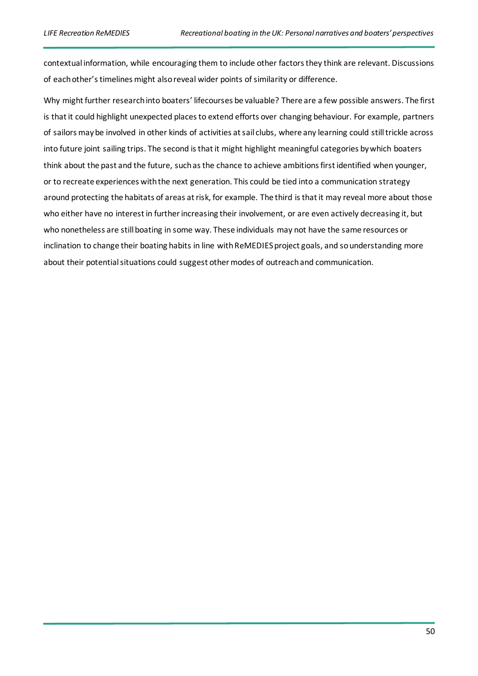contextual information, while encouraging them to include other factors they think are relevant. Discussions of each other's timelines might also reveal wider points of similarity or difference.

Why might further research into boaters' lifecourses be valuable? There are a few possible answers. The first is that it could highlight unexpected places to extend efforts over changing behaviour. For example, partners of sailors may be involved in other kinds of activities at sail clubs, where any learning could still trickle across into future joint sailing trips. The second is that it might highlight meaningful categories by which boaters think about the past and the future, such as the chance to achieve ambitions first identified when younger, or to recreate experiences with the next generation. This could be tied into a communication strategy around protecting the habitats of areas at risk, for example. The third is that it may reveal more about those who either have no interest in further increasing their involvement, or are even actively decreasing it, but who nonetheless are still boating in some way. These individuals may not have the same resources or inclination to change their boating habits in line with ReMEDIES project goals, and so understanding more about their potential situations could suggest other modes of outreach and communication.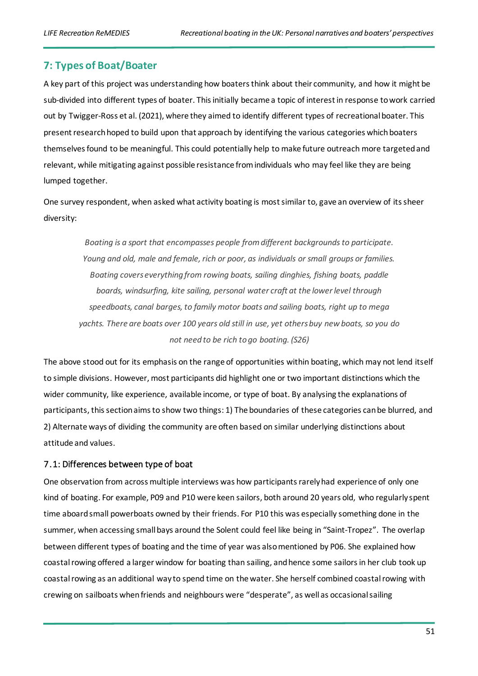# **7: Types of Boat/Boater**

A key part of this project was understanding how boaters think about their community, and how it might be sub-divided into different types of boater. Thisinitially became a topic of interest in response to work carried out by Twigger-Ross et al. (2021), where they aimed to identify different types of recreational boater. This present research hoped to build upon that approach by identifying the various categories which boaters themselves found to be meaningful. This could potentially help to make future outreach more targeted and relevant, while mitigating against possible resistance from individuals who may feel like they are being lumped together.

One survey respondent, when asked what activity boating is most similar to, gave an overview of its sheer diversity:

*Boating is a sport that encompasses people from different backgrounds to participate. Young and old, male and female, rich or poor, as individuals or small groups or families. Boating covers everything from rowing boats, sailing dinghies, fishing boats, paddle boards, windsurfing, kite sailing, personal water craft at the lower level through speedboats, canal barges, to family motor boats and sailing boats, right up to mega yachts. There are boats over 100 years old still in use, yet others buy new boats, so you do not need to be rich to go boating. (S26)*

The above stood out for its emphasis on the range of opportunities within boating, which may not lend itself to simple divisions. However, most participants did highlight one or two important distinctions which the wider community, like experience, available income, or type of boat. By analysing the explanations of participants, this section aims to show two things: 1) The boundaries of these categories can be blurred, and 2) Alternate ways of dividing the community are often based on similar underlying distinctions about attitude and values.

#### 7.1: Differences between type of boat

One observation from across multiple interviews was how participants rarely had experience of only one kind of boating. For example, P09 and P10 were keen sailors, both around 20 years old, who regularly spent time aboard small powerboats owned by their friends. For P10 this was especially something done in the summer, when accessing small bays around the Solent could feel like being in "Saint-Tropez". The overlap between different types of boating and the time of year was also mentioned by P06. She explained how coastal rowing offered a larger window for boating than sailing, and hence some sailors in her club took up coastal rowing as an additional way to spend time on the water. She herself combined coastal rowing with crewing on sailboats when friends and neighbours were "desperate", as well as occasional sailing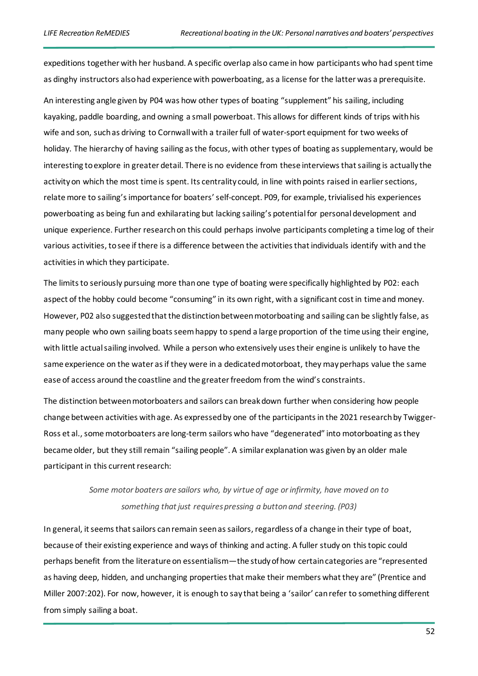expeditions together with her husband. A specific overlap also came in how participants who had spent time as dinghy instructors also had experience with powerboating, as a license for the latter was a prerequisite.

An interesting angle given by P04 was how other types of boating "supplement" his sailing, including kayaking, paddle boarding, and owning a small powerboat. This allows for different kinds of trips with his wife and son, such as driving to Cornwall with a trailer full of water-sport equipment for two weeks of holiday. The hierarchy of having sailing as the focus, with other types of boating as supplementary, would be interesting to explore in greater detail. There is no evidence from these interviews that sailing is actually the activity on which the most time is spent. Its centrality could, in line with points raised in earlier sections, relate more to sailing's importance for boaters' self-concept. P09, for example, trivialised his experiences powerboating as being fun and exhilarating but lacking sailing's potential for personal development and unique experience. Further research on this could perhaps involve participants completing a time log of their various activities, to see if there is a difference between the activities that individuals identify with and the activities in which they participate.

The limits to seriously pursuing more than one type of boating were specifically highlighted by P02: each aspect of the hobby could become "consuming" in its own right, with a significant cost in time and money. However, P02 also suggested that the distinction between motorboating and sailing can be slightly false, as many people who own sailing boats seem happy to spend a large proportion of the time using their engine, with little actual sailing involved. While a person who extensively uses their engine is unlikely to have the same experience on the water as if they were in a dedicated motorboat, they may perhaps value the same ease of access around the coastline and the greater freedom from the wind's constraints.

The distinction between motorboaters and sailors can break down further when considering how people change between activities with age. As expressed by one of the participants in the 2021 research by Twigger-Ross et al., some motorboaters are long-term sailors who have "degenerated" into motorboating as they became older, but they still remain "sailing people". A similar explanation was given by an older male participant in this current research:

# *Some motor boaters are sailors who, by virtue of age or infirmity, have moved on to something that just requires pressing a button and steering. (P03)*

In general, it seems that sailors can remain seen as sailors, regardless of a change in their type of boat, because of their existing experience and ways of thinking and acting. A fuller study on this topic could perhaps benefit from the literature on essentialism—the study of how certain categories are "represented as having deep, hidden, and unchanging properties that make their members whatthey are" (Prentice and Miller 2007:202). For now, however, it is enough to say that being a 'sailor' can refer to something different from simply sailing a boat.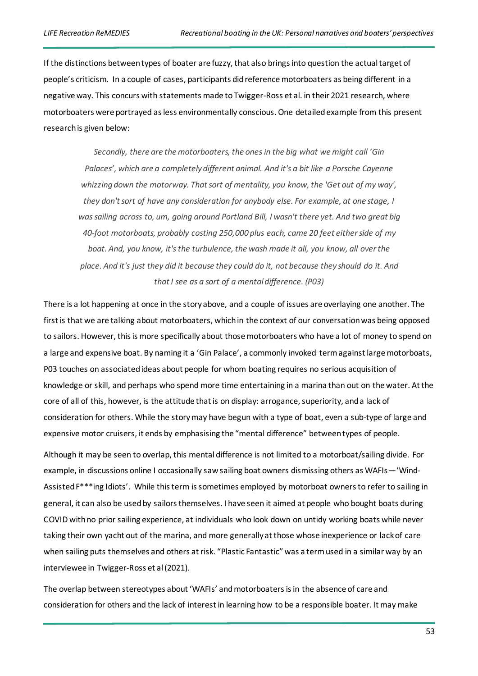If the distinctions between types of boater are fuzzy, that also brings into question the actual target of people's criticism. In a couple of cases, participants did reference motorboaters as being different in a negative way. This concurs with statements made to Twigger-Ross et al. in their 2021 research, where motorboaters were portrayed as less environmentally conscious. One detailed example from this present research is given below:

*Secondly, there are the motorboaters, the ones in the big what we might call 'Gin Palaces', which are a completely different animal. And it's a bit like a Porsche Cayenne whizzing down the motorway. That sort of mentality, you know, the 'Get out of my way', they don't sort of have any consideration for anybody else. For example, at one stage, I was sailing across to, um, going around Portland Bill, I wasn't there yet. And two great big 40-foot motorboats, probably costing 250,000 plus each, came 20 feet either side of my boat. And, you know, it's the turbulence, the wash made it all, you know, all over the place. And it's just they did it because they could do it, not because they should do it. And that I see as a sort of a mental difference. (P03)*

There is a lot happening at once in the story above, and a couple of issues are overlaying one another. The first is that we are talking about motorboaters, which in the context of our conversation was being opposed to sailors. However, this is more specifically about those motorboaters who have a lot of money to spend on a large and expensive boat. By naming it a 'Gin Palace', a commonly invoked term against large motorboats, P03 touches on associated ideas about people for whom boating requires no serious acquisition of knowledge or skill, and perhaps who spend more time entertaining in a marina than out on the water. At the core of all of this, however, is the attitude that is on display: arrogance, superiority, and a lack of consideration for others. While the story may have begun with a type of boat, even a sub-type of large and expensive motor cruisers, it ends by emphasising the "mental difference" between types of people.

Although it may be seen to overlap, this mental difference is not limited to a motorboat/sailing divide. For example, in discussions online I occasionally saw sailing boat owners dismissing others as WAFIs—'Wind-Assisted F\*\*\*ing Idiots'. While this term is sometimes employed by motorboat owners to refer to sailing in general, it can also be used by sailors themselves. I have seen it aimed at people who bought boats during COVID with no prior sailing experience, at individuals who look down on untidy working boats while never taking their own yacht out of the marina, and more generally at those whose inexperience or lack of care when sailing puts themselves and others at risk. "Plastic Fantastic" was a term used in a similar way by an interviewee in Twigger-Ross et al (2021).

The overlap between stereotypes about 'WAFIs' and motorboaters is in the absence of care and consideration for others and the lack of interest in learning how to be a responsible boater. It may make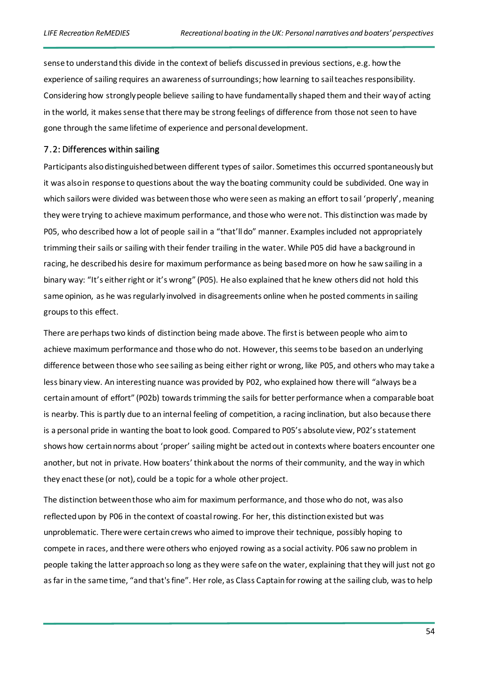sense to understand this divide in the context of beliefs discussed in previous sections, e.g. how the experience of sailing requires an awareness of surroundings; how learning to sail teaches responsibility. Considering how strongly people believe sailing to have fundamentally shaped them and their way of acting in the world, it makes sense that there may be strong feelings of difference from those not seen to have gone through the same lifetime of experience and personal development.

#### 7.2: Differences within sailing

Participants also distinguished between different types of sailor. Sometimes this occurred spontaneously but it was also in response to questions about the way the boating community could be subdivided. One way in which sailors were divided was between those who were seen as making an effort to sail 'properly', meaning they were trying to achieve maximum performance, and those who were not. This distinction was made by P05, who described how a lot of people sail in a "that'll do" manner. Examples included not appropriately trimming their sails or sailing with their fender trailing in the water. While P05 did have a background in racing, he described his desire for maximum performance as being based more on how he saw sailing in a binary way: "It's either right or it's wrong" (P05). He also explained that he knew others did not hold this same opinion, as he was regularly involved in disagreements online when he posted comments in sailing groups to this effect.

There are perhaps two kinds of distinction being made above. The first is between people who aim to achieve maximum performance and those who do not. However, this seems to be based on an underlying difference between those who see sailing as being either right or wrong, like P05, and others who may take a less binary view. An interesting nuance was provided by P02, who explained how there will "always be a certain amount of effort" (P02b) towards trimming the sails for better performance when a comparable boat is nearby. This is partly due to an internal feeling of competition, a racing inclination, but also because there is a personal pride in wanting the boat to look good. Compared to P05's absolute view, P02's statement shows how certain norms about 'proper' sailing might be acted out in contexts where boaters encounter one another, but not in private. How boaters' think about the norms of their community, and the way in which they enact these (or not), could be a topic for a whole other project.

The distinction between those who aim for maximum performance, and those who do not, was also reflected upon by P06 in the context of coastal rowing. For her, this distinction existed but was unproblematic. There were certain crews who aimed to improve their technique, possibly hoping to compete in races, and there were others who enjoyed rowing as a social activity. P06 saw no problem in people taking the latter approach so long as they were safe on the water, explaining that they will just not go as far in the same time, "and that's fine". Her role, as Class Captain for rowing at the sailing club, was to help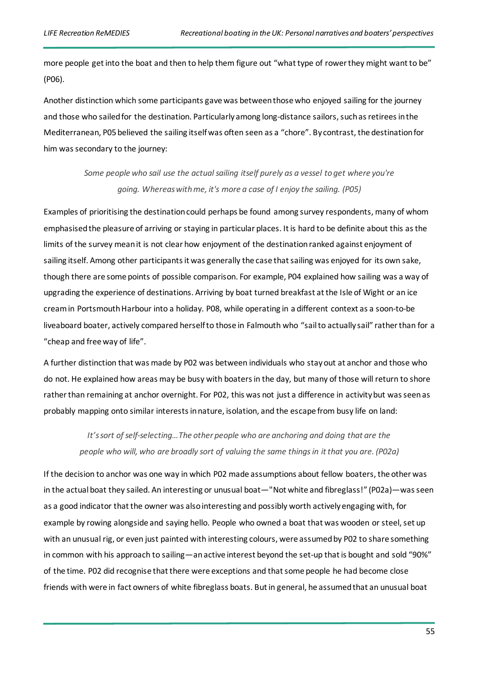more people get into the boat and then to help them figure out "what type of rower they might want to be" (P06).

Another distinction which some participants gave was between those who enjoyed sailing for the journey and those who sailed for the destination. Particularly among long-distance sailors, such as retirees in the Mediterranean, P05 believed the sailing itself was often seen as a "chore". By contrast, the destination for him was secondary to the journey:

# *Some people who sail use the actual sailing itself purely as a vessel to get where you're going. Whereas with me, it's more a case of I enjoy the sailing. (P05)*

Examples of prioritising the destination could perhaps be found among survey respondents, many of whom emphasised the pleasure of arriving or staying in particular places. It is hard to be definite about this as the limits of the survey mean it is not clear how enjoyment of the destination ranked against enjoyment of sailing itself. Among other participants it was generally the case that sailing was enjoyed for its own sake, though there are some points of possible comparison. For example, P04 explained how sailing was a way of upgrading the experience of destinations. Arriving by boat turned breakfast at the Isle of Wight or an ice cream in Portsmouth Harbour into a holiday. P08, while operating in a different context as a soon-to-be liveaboard boater, actively compared herself to those in Falmouth who "sail to actually sail" rather than for a "cheap and free way of life".

A further distinction that was made by P02 was between individuals who stay out at anchor and those who do not. He explained how areas may be busy with boaters in the day, but many of those will return to shore rather than remaining at anchor overnight. For P02, this was not just a difference in activity but was seen as probably mapping onto similar interests in nature, isolation, and the escape from busy life on land:

*It's sort of self-selecting…The other people who are anchoring and doing that are the people who will, who are broadly sort of valuing the same things in it that you are. (P02a)*

If the decision to anchor was one way in which P02 made assumptions about fellow boaters, the other was in the actual boat they sailed. An interesting or unusual boat—"Not white and fibreglass!" (P02a)—was seen as a good indicator that the owner was also interesting and possibly worth actively engaging with, for example by rowing alongside and saying hello. People who owned a boat that was wooden or steel, set up with an unusual rig, or even just painted with interesting colours, were assumed by P02 to share something in common with his approach to sailing—an active interest beyond the set-up that is bought and sold "90%" of the time. P02 did recognise that there were exceptions and that some people he had become close friends with were in fact owners of white fibreglass boats. But in general, he assumed that an unusual boat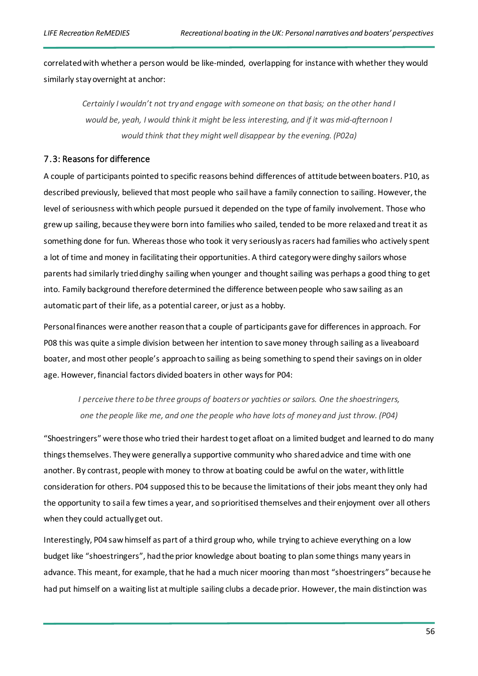correlated with whether a person would be like-minded, overlapping for instance with whether they would similarly stay overnight at anchor:

> *Certainly I wouldn't not try and engage with someone on that basis; on the other hand I would be, yeah, I would think it might be less interesting, and if it was mid-afternoon I would think that they might well disappear by the evening. (P02a)*

## 7.3: Reasons for difference

A couple of participants pointed to specific reasons behind differences of attitude between boaters. P10, as described previously, believed that most people who sail have a family connection to sailing. However, the level of seriousness with which people pursued it depended on the type of family involvement. Those who grew up sailing, because they were born into families who sailed, tended to be more relaxed and treat it as something done for fun. Whereas those who took it very seriously as racers had families who actively spent a lot of time and money in facilitating their opportunities. A third category were dinghy sailors whose parents had similarly tried dinghy sailing when younger and thought sailing was perhaps a good thing to get into. Family background therefore determined the difference between people who saw sailing as an automatic part of their life, as a potential career, or just as a hobby.

Personal finances were another reason that a couple of participants gave for differences in approach. For P08 this was quite a simple division between her intention to save money through sailing as a liveaboard boater, and most other people's approach to sailing as being something to spend their savings on in older age. However, financial factors divided boaters in other ways for P04:

*I perceive there to be three groups of boaters or yachties or sailors. One the shoestringers, one the people like me, and one the people who have lots of money and just throw. (P04)*

"Shoestringers" were those who tried their hardest to get afloat on a limited budget and learned to do many things themselves. They were generally a supportive community who shared advice and time with one another. By contrast, people with money to throw at boating could be awful on the water, with little consideration for others. P04 supposed this to be because the limitations of their jobs meant they only had the opportunity to sail a few times a year, and so prioritised themselves and their enjoyment over all others when they could actually get out.

Interestingly, P04 saw himself as part of a third group who, while trying to achieve everything on a low budget like "shoestringers", had the prior knowledge about boating to plan some things many years in advance. This meant, for example, that he had a much nicer mooring than most "shoestringers" because he had put himself on a waiting list at multiple sailing clubs a decade prior. However, the main distinction was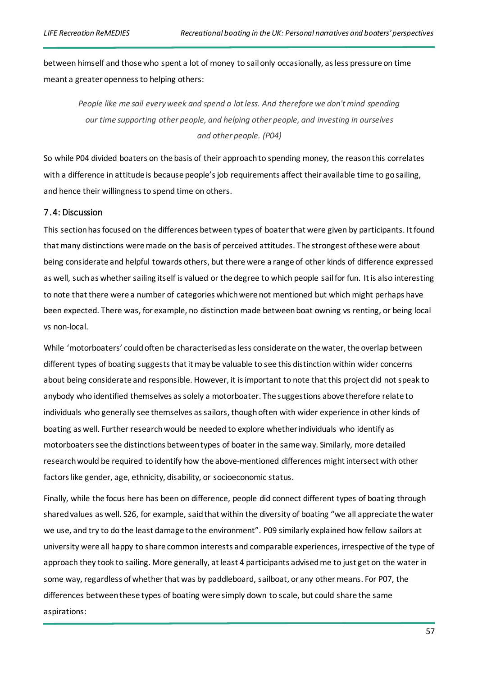between himself and those who spent a lot of money to sail only occasionally, as less pressure on time meant a greater openness to helping others:

*People like me sail every week and spend a lot less. And therefore we don't mind spending our time supporting other people, and helping other people, and investing in ourselves and other people. (P04)*

So while P04 divided boaters on the basis of their approach to spending money, the reason this correlates with a difference in attitude is because people's job requirements affect their available time to go sailing, and hence their willingness to spend time on others.

# 7.4: Discussion

This section has focused on the differences between types of boater that were given by participants. It found that many distinctions were made on the basis of perceived attitudes. The strongest of these were about being considerate and helpful towards others, but there were a range of other kinds of difference expressed as well, such as whether sailing itself is valued or the degree to which people sail for fun. It is also interesting to note that there were a number of categories which were not mentioned but which might perhaps have been expected. There was, for example, no distinction made betweenboat owning vs renting, or being local vs non-local.

While 'motorboaters' could often be characterised as less considerate on the water, the overlap between different types of boating suggests that it may be valuable to see this distinction within wider concerns about being considerate and responsible. However, it is important to note that this project did not speak to anybody who identified themselves as solely a motorboater. The suggestions above therefore relate to individuals who generally see themselves as sailors, though often with wider experience in other kinds of boating as well. Further research would be needed to explore whether individuals who identify as motorboaters see the distinctions between types of boater in the same way. Similarly, more detailed research would be required to identify how the above-mentioned differences might intersect with other factors like gender, age, ethnicity, disability, or socioeconomic status.

Finally, while the focus here has been on difference, people did connect different types of boating through shared values as well. S26, for example, said that within the diversity of boating "we all appreciate the water we use, and try to do the least damage to the environment". P09 similarly explained how fellow sailors at university were all happy to share common interests and comparable experiences, irrespective of the type of approach they took to sailing. More generally, at least 4 participants advised me to just get on the water in some way, regardless of whether that was by paddleboard, sailboat, or any other means. For P07, the differences between these types of boating were simply down to scale, but could share the same aspirations: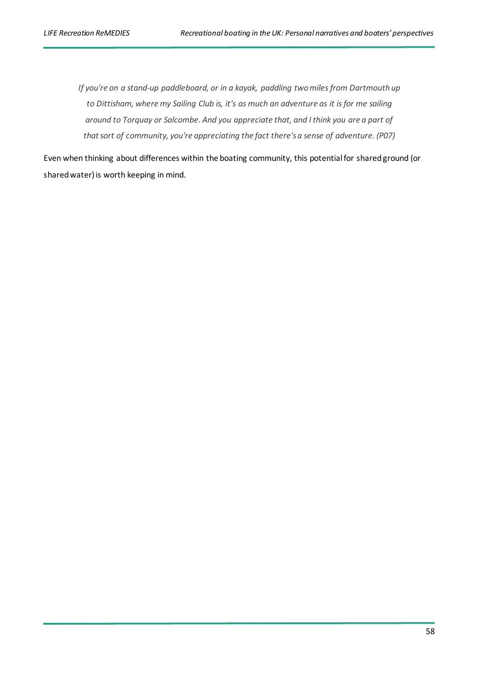*If you're on a stand-up paddleboard, or in a kayak, paddling two miles from Dartmouth up to Dittisham, where my Sailing Club is, it's as much an adventure as it is for me sailing around to Torquay or Salcombe. And you appreciate that, and I think you are a part of that sort of community, you're appreciating the fact there's a sense of adventure. (P07)*

Even when thinking about differences within the boating community, this potential for shared ground (or shared water) is worth keeping in mind.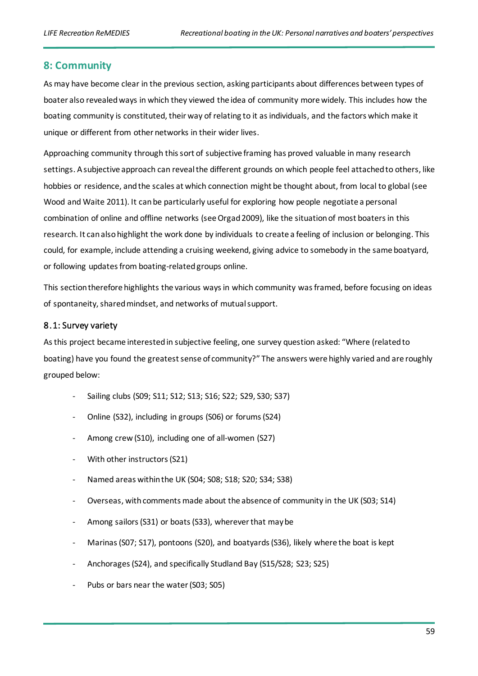# **8: Community**

As may have become clear in the previous section, asking participants about differences between types of boater also revealed ways in which they viewed the idea of community more widely. This includes how the boating community is constituted, their way of relating to it as individuals, and the factors which make it unique or different from other networks in their wider lives.

Approaching community through this sort of subjective framing has proved valuable in many research settings. A subjective approach can reveal the different grounds on which people feel attached to others, like hobbies or residence, and the scales at which connection might be thought about, from local to global (see Wood and Waite 2011). It can be particularly useful for exploring how people negotiate a personal combination of online and offline networks (see Orgad 2009), like the situation of most boaters in this research. It can also highlight the work done by individuals to create a feeling of inclusion or belonging. This could, for example, include attending a cruising weekend, giving advice to somebody in the same boatyard, or following updates from boating-relatedgroups online.

This section therefore highlights the various ways in which community was framed, before focusing on ideas of spontaneity, shared mindset, and networks of mutual support.

# 8.1: Survey variety

As this project became interested in subjective feeling, one survey question asked: "Where (related to boating) have you found the greatest sense of community?" The answers were highly varied and are roughly grouped below:

- Sailing clubs (S09; S11; S12; S13; S16; S22; S29, S30; S37)
- Online (S32), including in groups (S06) or forums (S24)
- Among crew (S10), including one of all-women (S27)
- With other instructors (S21)
- Named areas within the UK (S04; S08; S18; S20; S34; S38)
- Overseas, with comments made about the absence of community in the UK (S03; S14)
- Among sailors (S31) or boats (S33), wherever that may be
- Marinas (S07; S17), pontoons (S20), and boatyards (S36), likely where the boat is kept
- Anchorages (S24), and specifically Studland Bay (S15/S28; S23; S25)
- Pubs or bars near the water (S03; S05)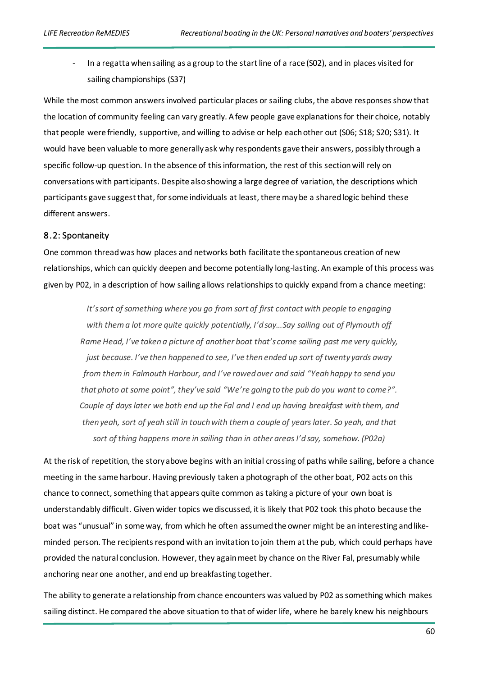- In a regatta when sailing as a group to the start line of a race (S02), and in places visited for sailing championships (S37)

While the most common answers involved particular places or sailing clubs, the above responses show that the location of community feeling can vary greatly. A few people gave explanations for their choice, notably that people were friendly, supportive, and willing to advise or help each other out (S06; S18; S20; S31). It would have been valuable to more generally ask why respondents gave their answers, possibly through a specific follow-up question. In the absence of this information, the rest of this section will rely on conversations with participants. Despite also showing a large degree of variation, the descriptions which participants gave suggest that, for some individuals at least, there may be a shared logic behind these different answers.

# 8.2: Spontaneity

One common thread was how places and networks both facilitate the spontaneous creation of new relationships, which can quickly deepen and become potentially long-lasting. An example of this process was given by P02, in a description of how sailing allows relationships to quickly expand from a chance meeting:

*It's sort of something where you go from sort of first contact with people to engaging with them a lot more quite quickly potentially, I'd say…Say sailing out of Plymouth off Rame Head, I've taken a picture of another boat that's come sailing past me very quickly, just because. I've then happened to see, I've then ended up sort of twenty yards away from them in Falmouth Harbour, and I've rowed over and said "Yeah happy to send you that photo at some point", they've said "We're going to the pub do you want to come?". Couple of days later we both end up the Fal and I end up having breakfast with them, and then yeah, sort of yeah still in touch with them a couple of years later. So yeah, and that sort of thing happens more in sailing than in other areas I'd say, somehow. (P02a)*

At the risk of repetition, the story above begins with an initial crossing of paths while sailing, before a chance meeting in the same harbour. Having previously taken a photograph of the other boat, P02 acts on this chance to connect, something that appears quite common as taking a picture of your own boat is understandably difficult. Given wider topics we discussed, it is likely that P02 took this photo because the boat was "unusual" in some way, from which he often assumed the owner might be an interesting and likeminded person. The recipients respond with an invitation to join them at the pub, which could perhaps have provided the natural conclusion. However, they again meet by chance on the River Fal, presumably while anchoring near one another, and end up breakfasting together.

The ability to generate a relationship from chance encounters was valued by P02 as something which makes sailing distinct. He compared the above situation to that of wider life, where he barely knew his neighbours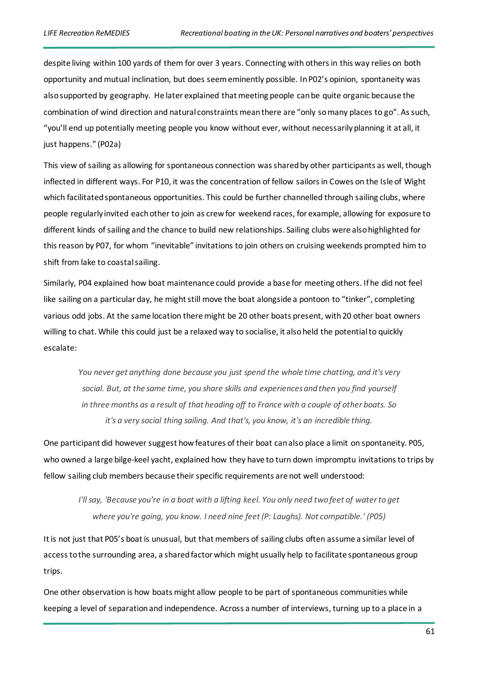despite living within 100 yards of them for over 3 years. Connecting with others in this way relies on both opportunity and mutual inclination, but does seem eminently possible. In P02's opinion, spontaneity was also supported by geography. He later explained that meeting people can be quite organic because the combination of wind direction and natural constraints mean there are "only so many places to go". As such, "you'll end up potentially meeting people you know without ever, without necessarily planning it at all, it just happens." (P02a)

This view of sailing as allowing for spontaneous connection was shared by other participants as well, though inflected in different ways. For P10, it was the concentration of fellow sailors in Cowes on the Isle of Wight which facilitated spontaneous opportunities. This could be further channelled through sailing clubs, where people regularly invited each other to join as crew for weekend races, for example, allowing for exposure to different kinds of sailing and the chance to build new relationships. Sailing clubs were also highlighted for this reason by P07, for whom "inevitable" invitations to join others on cruising weekends prompted him to shift from lake to coastal sailing.

Similarly, P04 explained how boat maintenance could provide a base for meeting others. If he did not feel like sailing on a particular day, he might still move the boat alongside a pontoon to "tinker", completing various odd jobs. At the same location there might be 20 other boats present, with 20 other boat owners willing to chat. While this could just be a relaxed way to socialise, it also held the potential to quickly escalate:

*You never get anything done because you just spend the whole time chatting, and it's very social. But, at the same time, you share skills and experiences and then you find yourself in three months as a result of that heading off to France with a couple of other boats. So it's a very social thing sailing. And that's, you know, it's an incredible thing.*

One participant did however suggest how features of their boat can also place a limit on spontaneity. P05, who owned a large bilge-keel yacht, explained how they have to turn down impromptu invitations to trips by fellow sailing club members because their specific requirements are not well understood:

*I'll say, 'Because you're in a boat with a lifting keel. You only need two feet of water to get where you're going, you know. I need nine feet (P: Laughs). Not compatible.' (P05)*

It is not just that P05's boat is unusual, but that members of sailing clubs often assume a similar level of access to the surrounding area, a shared factor which might usually help to facilitate spontaneous group trips.

One other observation is how boats might allow people to be part of spontaneous communities while keeping a level of separation and independence. Across a number of interviews, turning up to a place in a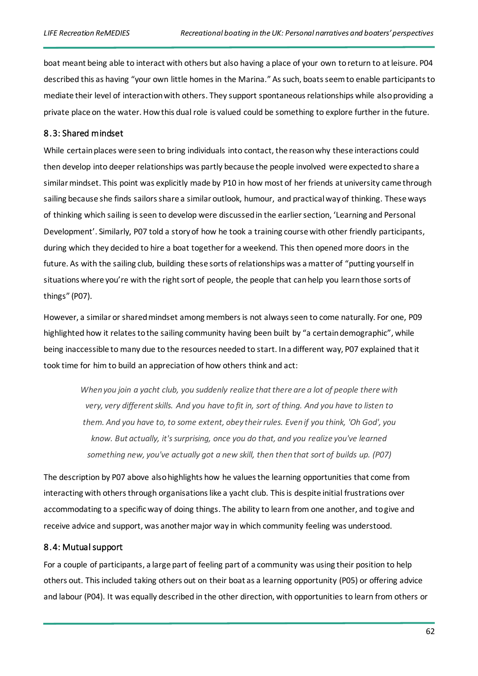boat meant being able to interact with others but also having a place of your own to return to at leisure. P04 described this as having "your own little homes in the Marina." As such, boats seem to enable participants to mediate their level of interaction with others. They support spontaneous relationships while also providing a private place on the water. How this dual role is valued could be something to explore further in the future.

## 8.3: Shared mindset

While certain places were seen to bring individuals into contact, the reason why these interactions could then develop into deeper relationships was partly because the people involved were expected to share a similar mindset. This point was explicitly made by P10 in how most of her friends at university came through sailing because she finds sailors share a similar outlook, humour, and practical way of thinking. These ways of thinking which sailing is seen to develop were discussed in the earliersection, 'Learning and Personal Development'. Similarly, P07 told a story of how he took a training course with other friendly participants, during which they decided to hire a boat together for a weekend. This then opened more doors in the future. As with the sailing club, building these sorts of relationships was a matter of "putting yourself in situations where you're with the right sort of people, the people that can help you learn those sorts of things" (P07).

However, a similar or shared mindset among members is not always seen to come naturally. For one, P09 highlighted how it relates to the sailing community having been built by "a certain demographic", while being inaccessible to many due to the resources needed to start. In a different way, P07 explained that it took time for him to build an appreciation of how others think and act:

*When you join a yacht club, you suddenly realize that there are a lot of people there with very, very different skills. And you have to fit in, sort of thing. And you have to listen to them. And you have to, to some extent, obey their rules. Even if you think, 'Oh God', you know. But actually, it's surprising, once you do that, and you realize you've learned something new, you've actually got a new skill, then then that sort of builds up. (P07)*

The description by P07 above also highlights how he values the learning opportunities that come from interacting with others through organisations like a yacht club. This is despite initial frustrations over accommodating to a specific way of doing things. The ability to learn from one another, and to give and receive advice and support, was another major way in which community feeling was understood.

#### 8.4: Mutual support

For a couple of participants, a large part of feeling part of a community was using their position to help others out. This included taking others out on their boat as a learning opportunity (P05) or offering advice and labour (P04). It was equally described in the other direction, with opportunities to learn from others or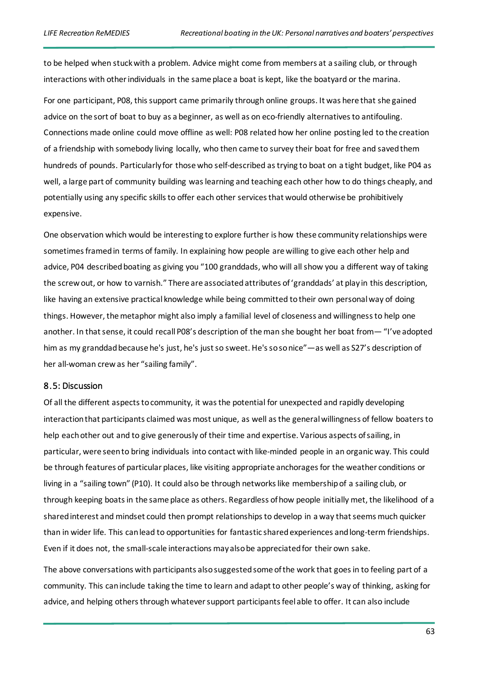to be helped when stuck with a problem. Advice might come from members at a sailing club, or through interactions with other individuals in the same place a boat is kept, like the boatyard or the marina.

For one participant, P08, this support came primarily through online groups. It was here that she gained advice on the sort of boat to buy as a beginner, as well as on eco-friendly alternatives to antifouling. Connections made online could move offline as well: P08 related how her online posting led to the creation of a friendship with somebody living locally, who then came to survey their boat for free and saved them hundreds of pounds. Particularly for those who self-described as trying to boat on a tight budget, like P04 as well, a large part of community building was learning and teaching each other how to do things cheaply, and potentially using any specific skills to offer each other services that would otherwise be prohibitively expensive.

One observation which would be interesting to explore further is how these community relationships were sometimes framed in terms of family. In explaining how people are willing to give each other help and advice, P04 described boating as giving you "100 granddads, who will all show you a different way of taking the screw out, or how to varnish." There are associated attributes of 'granddads' at play in this description, like having an extensive practical knowledge while being committed to their own personal way of doing things. However, the metaphor might also imply a familial level of closeness and willingness to help one another. In that sense, it could recall P08's description of the man she bought her boat from— "I've adopted him as my granddad because he's just, he's just so sweet. He's so so nice"—as well as S27's description of her all-woman crew as her "sailing family".

### 8.5: Discussion

Of all the different aspects to community, it was the potential for unexpected and rapidly developing interaction that participants claimed was most unique, as well as the general willingness of fellow boaters to help each other out and to give generously of their time and expertise. Various aspects of sailing, in particular, were seen to bring individuals into contact with like-minded people in an organic way. This could be through features of particular places, like visiting appropriate anchorages for the weather conditions or living in a "sailing town" (P10). It could also be through networks like membership of a sailing club, or through keeping boats in the same place as others. Regardless of how people initially met, the likelihood of a shared interest and mindset could then prompt relationships to develop in a way that seems much quicker than in wider life. This can lead to opportunities for fantastic shared experiences and long-term friendships. Even if it does not, the small-scale interactions may also be appreciated for their own sake.

The above conversations with participants also suggested some of the work that goes in to feeling part of a community. This can include taking the time to learn and adapt to other people's way of thinking, asking for advice, and helping others through whatever support participants feel able to offer. It can also include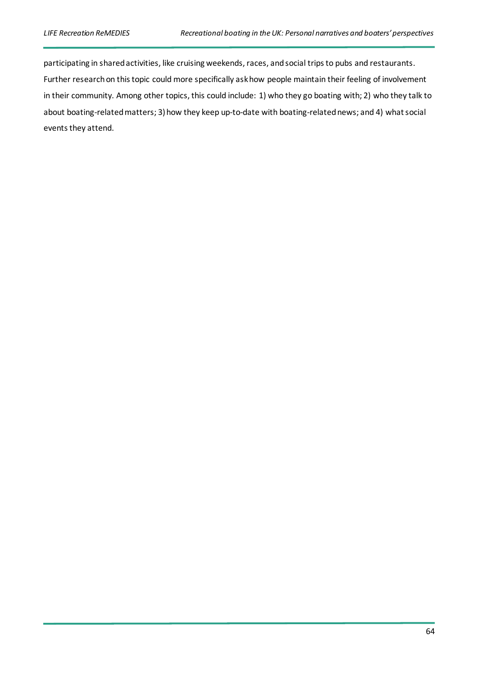participating in shared activities, like cruising weekends, races, and social trips to pubs and restaurants. Further research on this topic could more specifically ask how people maintain their feeling of involvement in their community. Among other topics, this could include: 1) who they go boating with; 2) who they talk to about boating-related matters; 3) how they keep up-to-date with boating-related news; and 4) what social events they attend.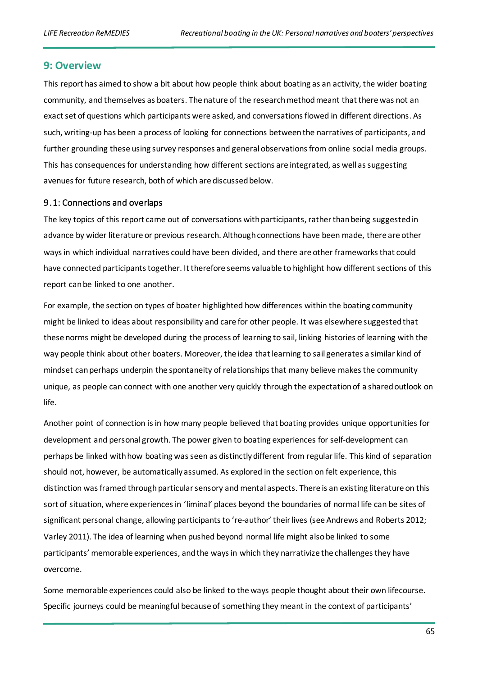# **9: Overview**

This report has aimed to show a bit about how people think about boating as an activity, the wider boating community, and themselves as boaters. The nature of the research method meant that there was not an exact set of questions which participants were asked, and conversations flowed in different directions. As such, writing-up has been a process of looking for connections between the narratives of participants, and further grounding these using survey responses and general observations from online social media groups. This has consequences for understanding how different sections are integrated, as well as suggesting avenues for future research, both of which are discussed below.

### 9.1: Connections and overlaps

The key topics of this report came out of conversations with participants, rather than being suggested in advance by wider literature or previous research. Although connections have been made, there are other ways in which individual narratives could have been divided, and there are other frameworks that could have connected participants together. It therefore seems valuable to highlight how different sections of this report can be linked to one another.

For example, the section on types of boater highlighted how differences within the boating community might be linked to ideas about responsibility and care for other people. It was elsewhere suggested that these norms might be developed during the process of learning to sail, linking histories of learning with the way people think about other boaters. Moreover, the idea that learning to sail generates a similar kind of mindset can perhaps underpin the spontaneity of relationships that many believe makes the community unique, as people can connect with one another very quickly through the expectation of a shared outlook on life.

Another point of connection is in how many people believed that boating provides unique opportunities for development and personal growth. The power given to boating experiences for self-development can perhaps be linked with how boating was seen as distinctly different from regular life. This kind of separation should not, however, be automatically assumed. As explored in the section on felt experience, this distinction was framed through particular sensory and mental aspects. There is an existing literature on this sort of situation, where experiences in 'liminal' places beyond the boundaries of normal life can be sites of significant personal change, allowing participants to 're-author' their lives (see Andrews and Roberts 2012; Varley 2011). The idea of learning when pushed beyond normal life might also be linked to some participants' memorable experiences, and the ways in which they narrativize the challenges they have overcome.

Some memorable experiences could also be linked to the ways people thought about their own lifecourse. Specific journeys could be meaningful because of something they meant in the context of participants'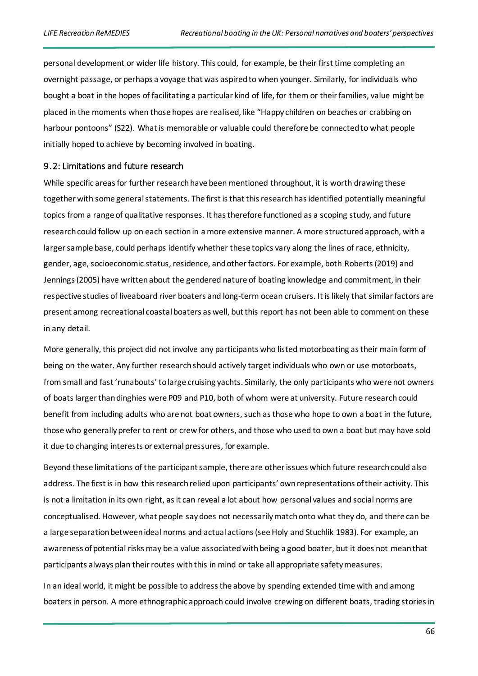personal development or wider life history. This could, for example, be their first time completing an overnight passage, or perhaps a voyage that was aspired to when younger. Similarly, for individuals who bought a boat in the hopes of facilitating a particular kind of life, for them or their families, value might be placed in the moments when those hopes are realised, like "Happy children on beaches or crabbing on harbour pontoons" (S22). What is memorable or valuable could therefore be connected to what people initially hoped to achieve by becoming involved in boating.

#### 9.2: Limitations and future research

While specific areas for further research have been mentioned throughout, it is worth drawing these together with some general statements. The first is that this research has identified potentially meaningful topics from a range of qualitative responses. It has therefore functioned as a scoping study, and future research could follow up on each sectionin a more extensive manner. A more structured approach, with a larger sample base, could perhaps identify whether these topics vary along the lines of race, ethnicity, gender, age, socioeconomic status, residence, and other factors. For example, both Roberts (2019) and Jennings (2005) have written about the gendered nature of boating knowledge and commitment, in their respective studies of liveaboard river boaters and long-term ocean cruisers. It is likely that similar factors are present among recreational coastal boaters as well, but this report has not been able to comment on these in any detail.

More generally, this project did not involve any participants who listed motorboating as their main form of being on the water. Any further research should actively target individuals who own or use motorboats, from small and fast 'runabouts' to large cruising yachts. Similarly, the only participants who were not owners of boats larger than dinghies were P09 and P10, both of whom were at university. Future research could benefit from including adults who are not boat owners, such as those who hope to own a boat in the future, those who generally prefer to rent or crew for others, and those who used to own a boat but may have sold it due to changing interests or external pressures, for example.

Beyond these limitations of the participant sample, there are other issues which future research could also address. The first is in how this research relied upon participants' own representations of their activity. This is not a limitation in its own right, as it can reveal a lot about how personal values and social norms are conceptualised. However, what people say does not necessarily match onto what they do, and there can be a large separation between ideal norms and actual actions (see Holy and Stuchlik 1983). For example, an awareness of potential risks may be a value associated with being a good boater, but it does not mean that participants always plan their routes with this in mind or take all appropriate safety measures.

In an ideal world, it might be possible to address the above by spending extended time with and among boaters in person. A more ethnographic approach could involve crewing on different boats, trading stories in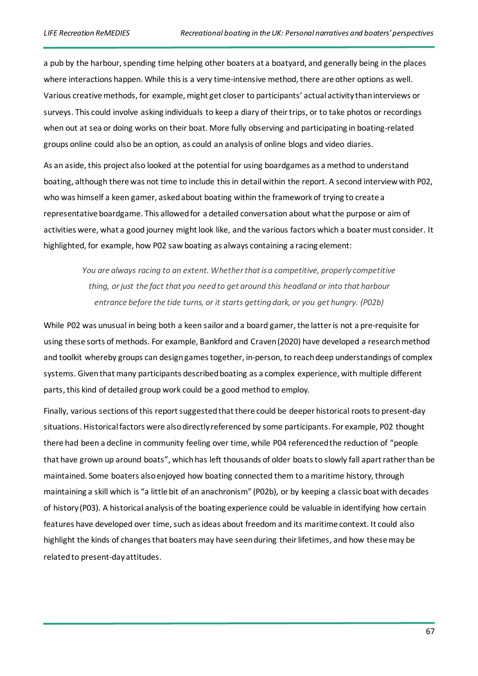a pub by the harbour, spending time helping other boaters at a boatyard, and generally being in the places where interactions happen. While this is a very time-intensive method, there are other options as well. Various creative methods, for example, might get closer to participants' actual activity than interviews or surveys. This could involve asking individuals to keep a diary of their trips, or to take photos or recordings when out at sea or doing works on their boat. More fully observing and participating in boating-related groups online could also be an option, as could an analysis of online blogs and video diaries.

As an aside, this project also looked at the potential for using boardgames as a method to understand boating, although there was not time to include this in detail within the report. A second interview with P02, who was himself a keen gamer, asked about boating within the framework of trying to create a representative boardgame. This allowed for a detailed conversation about what the purpose or aim of activities were, what a good journey might look like, and the various factors which a boater must consider. It highlighted, for example, how P02 saw boating as always containing a racing element:

> *You are always racing to an extent. Whether that is a competitive, properly competitive thing, or just the fact that you need to get around this headland or into that harbour entrance before the tide turns, or it starts getting dark, or you get hungry. (P02b)*

While P02 was unusual in being both a keen sailor and a board gamer, the latteris not a pre-requisite for using these sorts of methods. For example, Bankford and Craven (2020) have developed a research method and toolkit whereby groups can design games together, in-person, to reach deep understandings of complex systems. Given that many participants described boating as a complex experience, with multiple different parts, this kind of detailed group work could be a good method to employ.

Finally, various sections of this report suggested that there could be deeper historical roots to present-day situations. Historical factors were also directly referenced by some participants. For example, P02 thought there had been a decline in community feeling over time, while P04 referenced the reduction of "people that have grown up around boats", which has left thousands of older boats to slowly fall apart rather than be maintained. Some boaters also enjoyed how boating connected them to a maritime history, through maintaining a skill which is "a little bit of an anachronism" (P02b), or by keeping a classic boat with decades of history (P03). A historical analysis of the boating experience could be valuable in identifying how certain features have developed over time, such as ideas about freedom and its maritime context. It could also highlight the kinds of changes that boaters may have seen during their lifetimes, and how these may be related to present-day attitudes.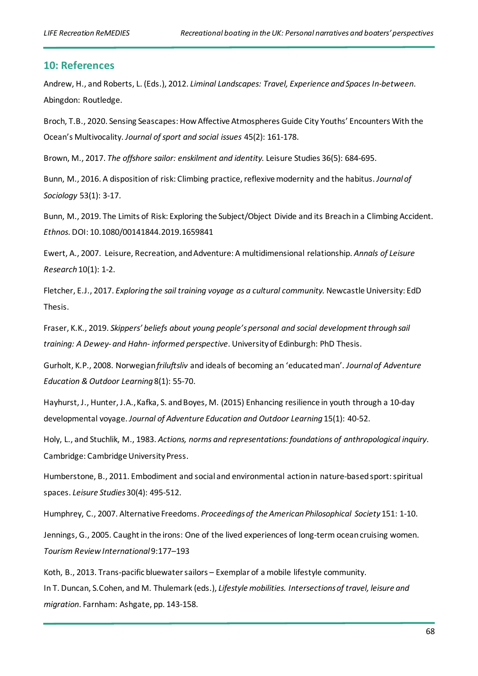#### **10: References**

Andrew, H., and Roberts, L. (Eds.), 2012. *Liminal Landscapes: Travel, Experience and Spaces In-between*. Abingdon: Routledge.

Broch, T.B., 2020. Sensing Seascapes: How Affective Atmospheres Guide City Youths' Encounters With the Ocean's Multivocality. *Journal of sport and social issues* 45(2): 161-178.

Brown, M., 2017. *The offshore sailor: enskilment and identity.* Leisure Studies 36(5): 684-695.

Bunn, M., 2016. A disposition of risk: Climbing practice, reflexive modernity and the habitus. *Journal of Sociology* 53(1): 3-17.

Bunn, M., 2019. The Limits of Risk: Exploring the Subject/Object Divide and its Breach in a Climbing Accident. *Ethnos*. DOI: 10.1080/00141844.2019.1659841

Ewert, A., 2007. Leisure, Recreation, and Adventure: A multidimensional relationship. *Annals of Leisure Research* 10(1): 1-2.

Fletcher, E.J., 2017. *Exploring the sail training voyage as a cultural community.* Newcastle University: EdD Thesis.

Fraser, K.K., 2019. *Skippers' beliefs about young people's personal and social development through sail training: A Dewey-and Hahn- informed perspective*. University of Edinburgh: PhD Thesis.

Gurholt, K.P., 2008. Norwegian *friluftsliv* and ideals of becoming an 'educated man'*. Journal of Adventure Education & Outdoor Learning* 8(1): 55-70.

Hayhurst, J., Hunter, J.A., Kafka, S. and Boyes, M. (2015) Enhancing resilience in youth through a 10-day developmental voyage. *Journal of Adventure Education and Outdoor Learning* 15(1): 40-52.

Holy, L., and Stuchlik, M., 1983. *Actions, norms and representations: foundations of anthropological inquiry*. Cambridge: Cambridge University Press.

Humberstone, B., 2011. Embodiment and social and environmental action in nature-based sport: spiritual spaces. *Leisure Studies* 30(4): 495-512.

Humphrey, C., 2007. Alternative Freedoms. *Proceedings of the American Philosophical Society*151: 1-10.

Jennings, G., 2005. Caught in the irons: One of the lived experiences of long-term ocean cruising women. *Tourism Review International* 9:177–193

Koth, B., 2013. Trans-pacific bluewater sailors – Exemplar of a mobile lifestyle community. In T. Duncan, S.Cohen, and M. Thulemark (eds.), *Lifestyle mobilities. Intersections of travel, leisure and migration*. Farnham: Ashgate, pp. 143-158.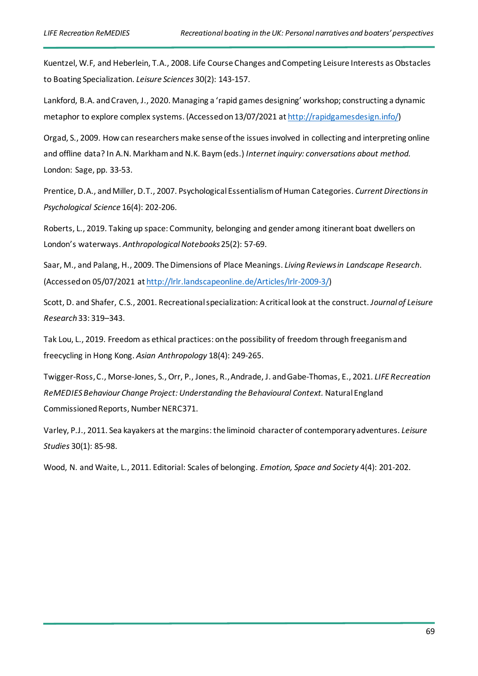Kuentzel, W.F, and Heberlein, T.A., 2008. Life Course Changes and Competing Leisure Interests as Obstacles to Boating Specialization. *Leisure Sciences* 30(2): 143-157.

Lankford, B.A. and Craven, J., 2020. Managing a 'rapid games designing' workshop; constructing a dynamic metaphor to explore complex systems. (Accessed on 13/07/2021 a[t http://rapidgamesdesign.info/\)](http://rapidgamesdesign.info/)

Orgad, S., 2009. How can researchers make sense of the issues involved in collecting and interpreting online and offline data? In A.N. Markham and N.K. Baym (eds.) *Internet inquiry: conversations about method.* London: Sage, pp. 33-53.

Prentice, D.A., and Miller, D.T., 2007. Psychological Essentialism of Human Categories. *Current Directions in Psychological Science* 16(4): 202-206.

Roberts, L., 2019. Taking up space: Community, belonging and gender among itinerant boat dwellers on London's waterways. *Anthropological Notebooks*25(2): 57-69.

Saar, M., and Palang, H., 2009. The Dimensions of Place Meanings. *Living Reviews in Landscape Research*. (Accessed on 05/07/2021 a[t http://lrlr.landscapeonline.de/Articles/lrlr-2009-3/\)](http://lrlr.landscapeonline.de/Articles/lrlr-2009-3/)

Scott, D. and Shafer, C.S., 2001. Recreational specialization: A critical look at the construct. *Journal of Leisure Research* 33: 319–343.

Tak Lou, L., 2019. Freedom as ethical practices: on the possibility of freedom through freeganism and freecycling in Hong Kong. *Asian Anthropology* 18(4): 249-265.

Twigger-Ross, C., Morse-Jones, S., Orr, P., Jones, R., Andrade, J. and Gabe-Thomas, E., 2021. *LIFE Recreation ReMEDIES Behaviour Change Project: Understanding the Behavioural Context.* Natural England Commissioned Reports, Number NERC371.

Varley, P.J., 2011. Sea kayakers at the margins: the liminoid character of contemporary adventures. *Leisure Studies* 30(1): 85-98.

Wood, N. and Waite, L., 2011. Editorial: Scales of belonging. *Emotion, Space and Society* 4(4): 201-202.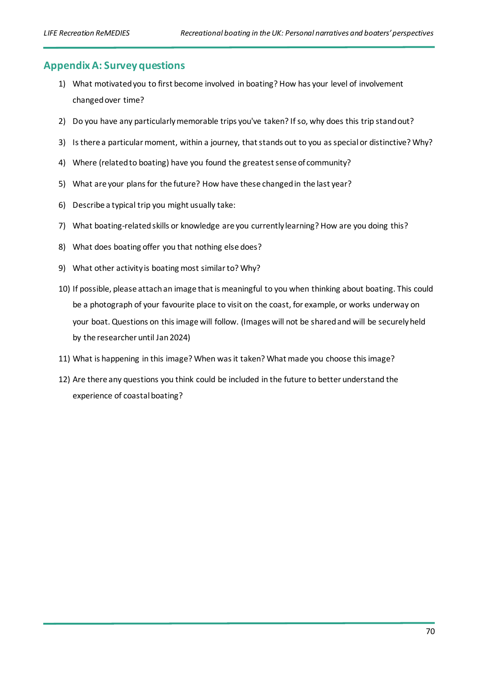# **Appendix A: Survey questions**

- 1) What motivated you to first become involved in boating? How has your level of involvement changed over time?
- 2) Do you have any particularly memorable trips you've taken? If so, why does this trip stand out?
- 3) Is there a particular moment, within a journey, that stands out to you as special or distinctive? Why?
- 4) Where (related to boating) have you found the greatest sense of community?
- 5) What are your plans for the future? How have these changed in the last year?
- 6) Describe a typical trip you might usually take:
- 7) What boating-related skills or knowledge are you currently learning? How are you doing this?
- 8) What does boating offer you that nothing else does?
- 9) What other activity is boating most similar to? Why?
- 10) If possible, please attach an image that is meaningful to you when thinking about boating. This could be a photograph of your favourite place to visit on the coast, for example, or works underway on your boat. Questions on this image will follow. (Images will not be shared and will be securely held by the researcher until Jan 2024)
- 11) What is happening in this image? When was it taken? What made you choose this image?
- 12) Are there any questions you think could be included in the future to better understand the experience of coastal boating?